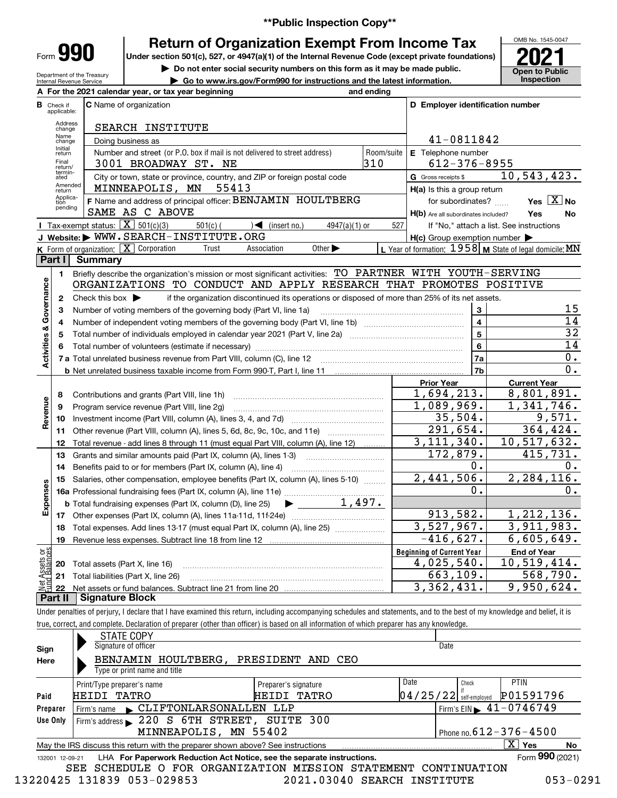**\*\*Public Inspection Copy\*\***

Form**990**

Department of the Treasury Internal Revenue Service

# **Return of Organization Exempt From Income Tax**

Under section 501(c), 527, or 4947(a)(1) of the Internal Revenue Code (except private foundations) **2021** 

**| Do not enter social security numbers on this form as it may be made public.**

**| Go to www.irs.gov/Form990 for instructions and the latest information. Inspection**

OMB No. 1545-0047 **Open to Public<br>Inspection** 

|                                |                                  | A For the 2021 calendar year, or tax year beginning                                                                                                                        | and ending                  |                                                     |                                                           |  |  |  |
|--------------------------------|----------------------------------|----------------------------------------------------------------------------------------------------------------------------------------------------------------------------|-----------------------------|-----------------------------------------------------|-----------------------------------------------------------|--|--|--|
|                                | <b>B</b> Check if<br>applicable: | <b>C</b> Name of organization                                                                                                                                              |                             | D Employer identification number                    |                                                           |  |  |  |
|                                | Address<br>change                | SEARCH INSTITUTE                                                                                                                                                           |                             |                                                     |                                                           |  |  |  |
|                                | Name<br>change                   | Doing business as                                                                                                                                                          |                             | 41-0811842                                          |                                                           |  |  |  |
|                                | Initial<br>return                | Number and street (or P.O. box if mail is not delivered to street address)                                                                                                 | Room/suite                  | E Telephone number                                  |                                                           |  |  |  |
|                                | Final<br>return/                 | 3001 BROADWAY ST. NE                                                                                                                                                       | 310                         | $612 - 376 - 8955$                                  |                                                           |  |  |  |
|                                | termin-<br>ated                  | City or town, state or province, country, and ZIP or foreign postal code                                                                                                   | G Gross receipts \$         | 10, 543, 423.                                       |                                                           |  |  |  |
|                                | Amended<br>return                | MINNEAPOLIS, MN<br>55413                                                                                                                                                   | H(a) Is this a group return |                                                     |                                                           |  |  |  |
|                                | Applica-<br>tion                 | F Name and address of principal officer: BENJAMIN HOULTBERG                                                                                                                |                             | for subordinates?                                   | Yes $X$ No                                                |  |  |  |
|                                | pending                          | SAME AS C ABOVE                                                                                                                                                            |                             | H(b) Are all subordinates included?                 | Yes<br>No                                                 |  |  |  |
|                                |                                  | <b>I</b> Tax-exempt status: $\boxed{\mathbf{X}}$ 501(c)(3)<br>$501(c)$ (<br>$4947(a)(1)$ or<br>$\sqrt{\phantom{a}}$ (insert no.)                                           | 527                         |                                                     | If "No," attach a list. See instructions                  |  |  |  |
|                                |                                  | J Website: WWW.SEARCH-INSTITUTE.ORG                                                                                                                                        |                             | $H(c)$ Group exemption number $\blacktriangleright$ |                                                           |  |  |  |
|                                |                                  | <b>K</b> Form of organization: $\boxed{\mathbf{X}}$ Corporation<br>Other $\blacktriangleright$<br>Association<br>Trust                                                     |                             |                                                     | L Year of formation: $1958$ M State of legal domicile: MN |  |  |  |
|                                | Part I                           | <b>Summary</b>                                                                                                                                                             |                             |                                                     |                                                           |  |  |  |
|                                | $\mathbf{1}$                     | Briefly describe the organization's mission or most significant activities: TO PARTNER WITH YOUTH-SERVING                                                                  |                             |                                                     |                                                           |  |  |  |
|                                |                                  | ORGANIZATIONS TO CONDUCT AND APPLY RESEARCH THAT PROMOTES POSITIVE                                                                                                         |                             |                                                     |                                                           |  |  |  |
| Governance                     | $\mathbf{2}$                     | if the organization discontinued its operations or disposed of more than 25% of its net assets.<br>Check this box $\blacktriangleright$                                    |                             |                                                     |                                                           |  |  |  |
|                                | 3                                | Number of voting members of the governing body (Part VI, line 1a)                                                                                                          |                             | 3<br>4                                              | 15<br>14                                                  |  |  |  |
|                                | 4                                |                                                                                                                                                                            |                             |                                                     |                                                           |  |  |  |
| <b>Activities &amp;</b>        | 5                                |                                                                                                                                                                            |                             | 5<br>6                                              | $\overline{32}$<br>14                                     |  |  |  |
|                                | 6                                |                                                                                                                                                                            | 7a                          | $0$ .                                               |                                                           |  |  |  |
|                                |                                  |                                                                                                                                                                            | 7b                          | 0.                                                  |                                                           |  |  |  |
|                                |                                  |                                                                                                                                                                            |                             | <b>Prior Year</b>                                   | <b>Current Year</b>                                       |  |  |  |
|                                | 8                                | Contributions and grants (Part VIII, line 1h)                                                                                                                              |                             | 1,694,213.                                          | 8,801,891.                                                |  |  |  |
|                                | 9                                | Program service revenue (Part VIII, line 2g)                                                                                                                               |                             | 1,089,969.                                          | 1,341,746.                                                |  |  |  |
| Revenue                        | 10                               |                                                                                                                                                                            |                             | 35,504.                                             | 9,571.                                                    |  |  |  |
|                                | 11                               | Other revenue (Part VIII, column (A), lines 5, 6d, 8c, 9c, 10c, and 11e)                                                                                                   |                             | 291,654.                                            | 364, 424.                                                 |  |  |  |
|                                | 12                               | Total revenue - add lines 8 through 11 (must equal Part VIII, column (A), line 12)                                                                                         |                             | 3, 111, 340.                                        | 10,517,632.                                               |  |  |  |
|                                | 13                               | Grants and similar amounts paid (Part IX, column (A), lines 1-3)                                                                                                           |                             | 172,879.                                            | 415,731.                                                  |  |  |  |
|                                | 14                               | Benefits paid to or for members (Part IX, column (A), line 4)                                                                                                              |                             | 0.                                                  | υ.                                                        |  |  |  |
|                                | 15                               | Salaries, other compensation, employee benefits (Part IX, column (A), lines 5-10)                                                                                          |                             | 2,441,506.                                          | 2, 284, 116.                                              |  |  |  |
|                                |                                  |                                                                                                                                                                            |                             | 0.                                                  | 0.                                                        |  |  |  |
| Expenses                       |                                  | $\blacktriangleright$ $\frac{1,497.}{\ldots}$<br><b>b</b> Total fundraising expenses (Part IX, column (D), line 25)                                                        |                             |                                                     |                                                           |  |  |  |
|                                |                                  |                                                                                                                                                                            |                             | 913,582.                                            | 1,212,136.                                                |  |  |  |
|                                | 18                               | Total expenses. Add lines 13-17 (must equal Part IX, column (A), line 25)                                                                                                  |                             | 3,527,967.                                          | 3,911,983.                                                |  |  |  |
|                                |                                  | 19 Revenue less expenses. Subtract line 18 from line 12                                                                                                                    |                             | $-416,627.$                                         | 6,605,649.                                                |  |  |  |
|                                |                                  |                                                                                                                                                                            |                             | <b>Beginning of Current Year</b>                    | <b>End of Year</b>                                        |  |  |  |
|                                | 20                               | Total assets (Part X, line 16)                                                                                                                                             |                             | 4,025,540.                                          | 10,519,414.                                               |  |  |  |
| Net Assets or<br>Eund Balances | 21                               | Total liabilities (Part X, line 26)                                                                                                                                        |                             | 663,109.                                            | 568,790.                                                  |  |  |  |
|                                | 22                               |                                                                                                                                                                            |                             | 3,362,431.                                          | 9,950,624.                                                |  |  |  |
|                                | Part II                          | <b>Signature Block</b>                                                                                                                                                     |                             |                                                     |                                                           |  |  |  |
|                                |                                  | Under penalties of perjury, I declare that I have examined this return, including accompanying schedules and statements, and to the best of my knowledge and belief, it is |                             |                                                     |                                                           |  |  |  |

true, correct, and complete. Declaration of preparer (other than officer) is based on all information of which preparer has any knowledge.

| Sign            | <b>STATE COPY</b><br>Signature of officer                                       |                      | Date                                   |       |                                                 |    |
|-----------------|---------------------------------------------------------------------------------|----------------------|----------------------------------------|-------|-------------------------------------------------|----|
| Here            | BENJAMIN HOULTBERG, PRESIDENT AND CEO<br>Type or print name and title           |                      |                                        |       |                                                 |    |
|                 | Print/Type preparer's name                                                      | Preparer's signature | Date                                   | Check | <b>PTIN</b>                                     |    |
| Paid            | HEIDI TATRO                                                                     | TATRO<br>HEIDI       | $04/25/22$ $\frac{1}{3}$ self-employed |       | P01591796                                       |    |
| Preparer        | CLIFTONLARSONALLEN LLP<br>Firm's name                                           |                      |                                        |       | $1$ Firm's EIN $\blacktriangleright$ 41-0746749 |    |
| Use Only        | Firm's address 220 S 6TH STREET, SUITE 300                                      |                      |                                        |       |                                                 |    |
|                 | MINNEAPOLIS, MN 55402                                                           |                      |                                        |       | Phone no. $612 - 376 - 4500$                    |    |
|                 | May the IRS discuss this return with the preparer shown above? See instructions |                      |                                        |       | $\mathbf{X}$<br>Yes                             | No |
| 132001 12-09-21 | LHA For Paperwork Reduction Act Notice, see the separate instructions.          |                      |                                        |       | Form 990 (2021)                                 |    |
|                 | SCHEDULE O FOR ORGANIZATION MISSION STATEMENT CONTINUATION<br>SEE               |                      |                                        |       |                                                 |    |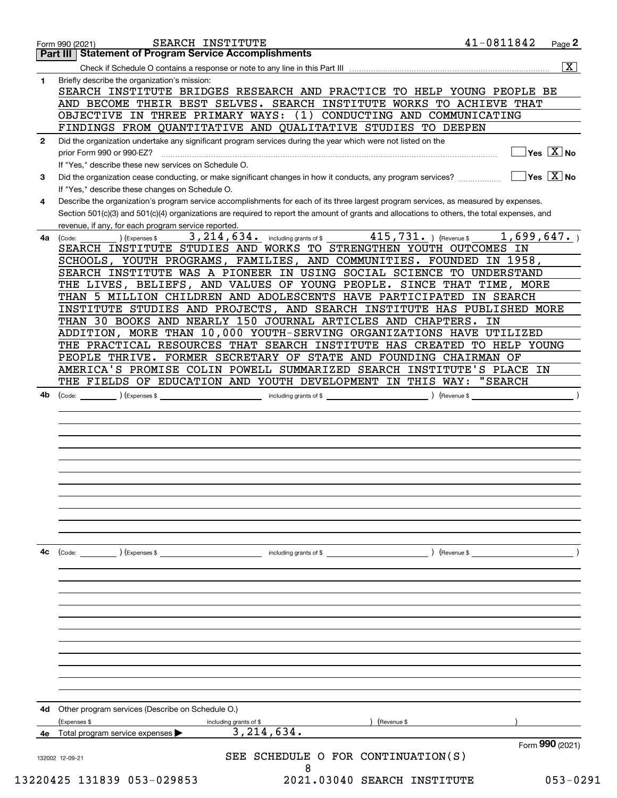|              | SEARCH INSTITUTE<br>Form 990 (2021)<br><b>Part III Statement of Program Service Accomplishments</b>                                                                                         | 41-0811842 | Page <sup>2</sup>                                                  |
|--------------|---------------------------------------------------------------------------------------------------------------------------------------------------------------------------------------------|------------|--------------------------------------------------------------------|
|              |                                                                                                                                                                                             |            | $\overline{\mathbf{x}}$                                            |
|              |                                                                                                                                                                                             |            |                                                                    |
| $\mathbf{1}$ | Briefly describe the organization's mission:<br>SEARCH INSTITUTE BRIDGES RESEARCH AND PRACTICE TO HELP YOUNG PEOPLE BE                                                                      |            |                                                                    |
|              | AND BECOME THEIR BEST SELVES. SEARCH INSTITUTE WORKS TO ACHIEVE THAT                                                                                                                        |            |                                                                    |
|              | OBJECTIVE IN THREE PRIMARY WAYS:<br>(1) CONDUCTING AND COMMUNICATING                                                                                                                        |            |                                                                    |
|              | FINDINGS FROM QUANTITATIVE AND QUALITATIVE STUDIES TO DEEPEN                                                                                                                                |            |                                                                    |
| $\mathbf{2}$ | Did the organization undertake any significant program services during the year which were not listed on the                                                                                |            |                                                                    |
|              | prior Form 990 or 990-EZ?                                                                                                                                                                   |            | $\sqrt{}$ Yes $\sqrt{X}$ No                                        |
|              | If "Yes," describe these new services on Schedule O.                                                                                                                                        |            |                                                                    |
| 3            | Did the organization cease conducting, or make significant changes in how it conducts, any program services?<br>If "Yes," describe these changes on Schedule O.                             |            | $\overline{\mathsf{Yes} \mathrel{\;\;\overline{\mathbf{X}}\;}}$ No |
| 4            | Describe the organization's program service accomplishments for each of its three largest program services, as measured by expenses.                                                        |            |                                                                    |
|              | Section 501(c)(3) and 501(c)(4) organizations are required to report the amount of grants and allocations to others, the total expenses, and                                                |            |                                                                    |
|              | revenue, if any, for each program service reported.                                                                                                                                         |            |                                                                    |
| 4a           | $\overline{415}$ , $\overline{731}$ . ) (Revenue \$<br>3,214,634.<br>(Expenses \$<br>including grants of \$<br>(Code:<br>SEARCH INSTITUTE STUDIES AND WORKS TO STRENGTHEN YOUTH OUTCOMES IN | 1,699,647. |                                                                    |
|              | SCHOOLS, YOUTH PROGRAMS, FAMILIES, AND COMMUNITIES. FOUNDED IN 1958,                                                                                                                        |            |                                                                    |
|              | SEARCH INSTITUTE WAS A PIONEER IN USING SOCIAL SCIENCE TO UNDERSTAND                                                                                                                        |            |                                                                    |
|              | THE LIVES, BELIEFS, AND VALUES OF YOUNG PEOPLE. SINCE THAT TIME, MORE                                                                                                                       |            |                                                                    |
|              | THAN 5 MILLION CHILDREN AND ADOLESCENTS HAVE PARTICIPATED IN SEARCH                                                                                                                         |            |                                                                    |
|              | INSTITUTE STUDIES AND PROJECTS, AND SEARCH INSTITUTE HAS PUBLISHED MORE                                                                                                                     |            |                                                                    |
|              | THAN 30 BOOKS AND NEARLY 150 JOURNAL ARTICLES AND CHAPTERS.                                                                                                                                 | IN         |                                                                    |
|              | ADDITION, MORE THAN 10,000 YOUTH-SERVING ORGANIZATIONS HAVE UTILIZED                                                                                                                        |            |                                                                    |
|              | THE PRACTICAL RESOURCES THAT SEARCH INSTITUTE HAS CREATED TO HELP YOUNG                                                                                                                     |            |                                                                    |
|              | PEOPLE THRIVE. FORMER SECRETARY OF STATE AND FOUNDING CHAIRMAN OF                                                                                                                           |            |                                                                    |
|              | AMERICA'S PROMISE COLIN POWELL SUMMARIZED SEARCH INSTITUTE'S PLACE IN                                                                                                                       |            |                                                                    |
|              | THE FIELDS OF EDUCATION AND YOUTH DEVELOPMENT IN THIS WAY:                                                                                                                                  | "SEARCH    |                                                                    |
| 4b           | including grants of \$<br>Revenue \$<br>) (Expenses \$<br>(Code:                                                                                                                            |            |                                                                    |
|              |                                                                                                                                                                                             |            |                                                                    |
|              |                                                                                                                                                                                             |            |                                                                    |
|              |                                                                                                                                                                                             |            |                                                                    |
|              |                                                                                                                                                                                             |            |                                                                    |
|              |                                                                                                                                                                                             |            |                                                                    |
|              |                                                                                                                                                                                             |            |                                                                    |
|              |                                                                                                                                                                                             |            |                                                                    |
|              |                                                                                                                                                                                             |            |                                                                    |
| 4с           | including grants of \$<br>(Code: ) (Expenses \$<br>) (Revenue \$                                                                                                                            |            |                                                                    |
|              |                                                                                                                                                                                             |            |                                                                    |
|              |                                                                                                                                                                                             |            |                                                                    |
|              |                                                                                                                                                                                             |            |                                                                    |
|              |                                                                                                                                                                                             |            |                                                                    |
|              |                                                                                                                                                                                             |            |                                                                    |
|              |                                                                                                                                                                                             |            |                                                                    |
|              |                                                                                                                                                                                             |            |                                                                    |
|              |                                                                                                                                                                                             |            |                                                                    |
| 4d           | Other program services (Describe on Schedule O.)                                                                                                                                            |            |                                                                    |
|              | (Expenses \$<br>(Revenue \$<br>including grants of \$                                                                                                                                       |            |                                                                    |
|              | 3,214,634.<br>Total program service expenses                                                                                                                                                |            | Form 990 (2021)                                                    |
|              | SCHEDULE O FOR CONTINUATION(S)<br>SEE<br>132002 12-09-21                                                                                                                                    |            |                                                                    |
|              | 8                                                                                                                                                                                           |            |                                                                    |
|              | 13220425 131839 053-029853<br>2021.03040 SEARCH INSTITUTE                                                                                                                                   |            | $053 - 0291$                                                       |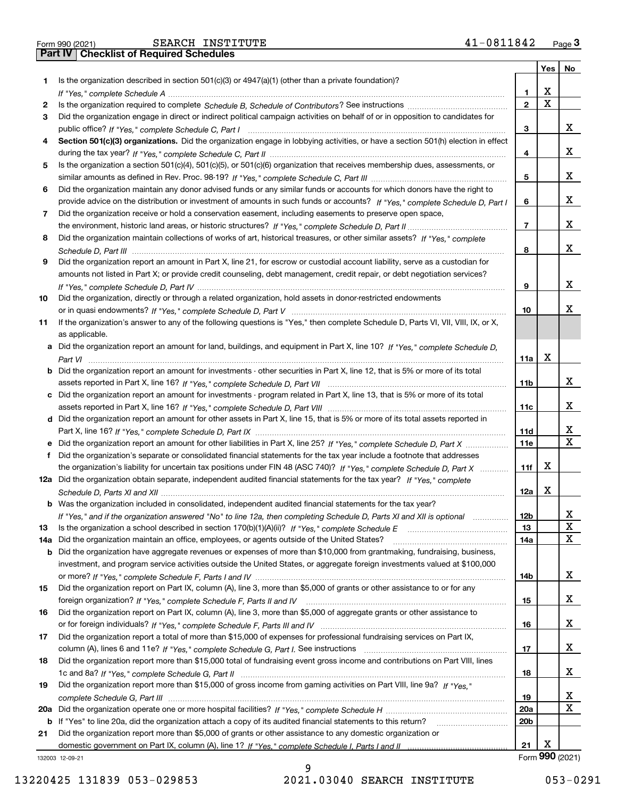|  | Form 990 (2021) |
|--|-----------------|

|     |                                                                                                                                       |                 | Yes                | No |
|-----|---------------------------------------------------------------------------------------------------------------------------------------|-----------------|--------------------|----|
| 1.  | Is the organization described in section 501(c)(3) or 4947(a)(1) (other than a private foundation)?                                   |                 |                    |    |
|     |                                                                                                                                       | 1               | x                  |    |
| 2   |                                                                                                                                       | $\mathbf{2}$    | X                  |    |
| 3   | Did the organization engage in direct or indirect political campaign activities on behalf of or in opposition to candidates for       |                 |                    |    |
|     |                                                                                                                                       | 3               |                    | X. |
| 4   | Section 501(c)(3) organizations. Did the organization engage in lobbying activities, or have a section 501(h) election in effect      |                 |                    |    |
|     |                                                                                                                                       | 4               |                    | X. |
| 5   | Is the organization a section 501(c)(4), 501(c)(5), or 501(c)(6) organization that receives membership dues, assessments, or          |                 |                    |    |
|     |                                                                                                                                       | 5               |                    | x  |
| 6   | Did the organization maintain any donor advised funds or any similar funds or accounts for which donors have the right to             |                 |                    |    |
|     | provide advice on the distribution or investment of amounts in such funds or accounts? If "Yes," complete Schedule D, Part I          | 6               |                    | X. |
| 7   | Did the organization receive or hold a conservation easement, including easements to preserve open space,                             |                 |                    |    |
|     |                                                                                                                                       | $\overline{7}$  |                    | x  |
| 8   | Did the organization maintain collections of works of art, historical treasures, or other similar assets? If "Yes," complete          |                 |                    |    |
|     |                                                                                                                                       | 8               |                    | X. |
| 9   | Did the organization report an amount in Part X, line 21, for escrow or custodial account liability, serve as a custodian for         |                 |                    |    |
|     | amounts not listed in Part X; or provide credit counseling, debt management, credit repair, or debt negotiation services?             |                 |                    |    |
|     |                                                                                                                                       | 9               |                    | x  |
| 10  | Did the organization, directly or through a related organization, hold assets in donor-restricted endowments                          |                 |                    |    |
|     |                                                                                                                                       | 10              |                    | x  |
| 11  | If the organization's answer to any of the following questions is "Yes," then complete Schedule D, Parts VI, VII, VIII, IX, or X,     |                 |                    |    |
|     | as applicable.                                                                                                                        |                 |                    |    |
|     | a Did the organization report an amount for land, buildings, and equipment in Part X, line 10? If "Yes," complete Schedule D,         |                 |                    |    |
|     |                                                                                                                                       | 11a             | х                  |    |
|     | <b>b</b> Did the organization report an amount for investments - other securities in Part X, line 12, that is 5% or more of its total |                 |                    |    |
|     |                                                                                                                                       | 11 <sub>b</sub> |                    | x  |
|     | c Did the organization report an amount for investments - program related in Part X, line 13, that is 5% or more of its total         |                 |                    |    |
|     |                                                                                                                                       | 11c             |                    | x  |
|     | d Did the organization report an amount for other assets in Part X, line 15, that is 5% or more of its total assets reported in       |                 |                    |    |
|     |                                                                                                                                       | 11d             |                    | x  |
|     | e Did the organization report an amount for other liabilities in Part X, line 25? If "Yes," complete Schedule D, Part X               | <b>11e</b>      |                    | X  |
| f   | Did the organization's separate or consolidated financial statements for the tax year include a footnote that addresses               |                 |                    |    |
|     | the organization's liability for uncertain tax positions under FIN 48 (ASC 740)? If "Yes," complete Schedule D, Part X                | 11f             | x                  |    |
|     | 12a Did the organization obtain separate, independent audited financial statements for the tax year? If "Yes," complete               |                 |                    |    |
|     |                                                                                                                                       | 12a             | x                  |    |
|     | <b>b</b> Was the organization included in consolidated, independent audited financial statements for the tax year?                    |                 |                    |    |
|     | If "Yes," and if the organization answered "No" to line 12a, then completing Schedule D, Parts XI and XII is optional                 | 12 <sub>b</sub> |                    |    |
| 13  |                                                                                                                                       | 13              |                    | X  |
| 14a | Did the organization maintain an office, employees, or agents outside of the United States?                                           | 14a             |                    | x  |
|     | <b>b</b> Did the organization have aggregate revenues or expenses of more than \$10,000 from grantmaking, fundraising, business,      |                 |                    |    |
|     | investment, and program service activities outside the United States, or aggregate foreign investments valued at \$100,000            |                 |                    |    |
|     |                                                                                                                                       | 14b             |                    | x  |
| 15  | Did the organization report on Part IX, column (A), line 3, more than \$5,000 of grants or other assistance to or for any             |                 |                    |    |
|     |                                                                                                                                       | 15              |                    | x  |
| 16  | Did the organization report on Part IX, column (A), line 3, more than \$5,000 of aggregate grants or other assistance to              |                 |                    |    |
|     |                                                                                                                                       | 16              |                    | x  |
| 17  | Did the organization report a total of more than \$15,000 of expenses for professional fundraising services on Part IX,               |                 |                    |    |
|     |                                                                                                                                       | 17              |                    | X  |
| 18  | Did the organization report more than \$15,000 total of fundraising event gross income and contributions on Part VIII, lines          |                 |                    |    |
|     |                                                                                                                                       | 18              |                    | x  |
| 19  | Did the organization report more than \$15,000 of gross income from gaming activities on Part VIII, line 9a? If "Yes."                |                 |                    |    |
|     |                                                                                                                                       | 19              |                    | x  |
| 20a |                                                                                                                                       | 20a             |                    | x  |
|     | b If "Yes" to line 20a, did the organization attach a copy of its audited financial statements to this return?                        | 20 <sub>b</sub> |                    |    |
| 21  | Did the organization report more than \$5,000 of grants or other assistance to any domestic organization or                           |                 |                    |    |
|     |                                                                                                                                       | 21              | х<br>$000$ $(001)$ |    |

132003 12-09-21

13220425 131839 053-029853 2021.03040 SEARCH INSTITUTE 053-0291

9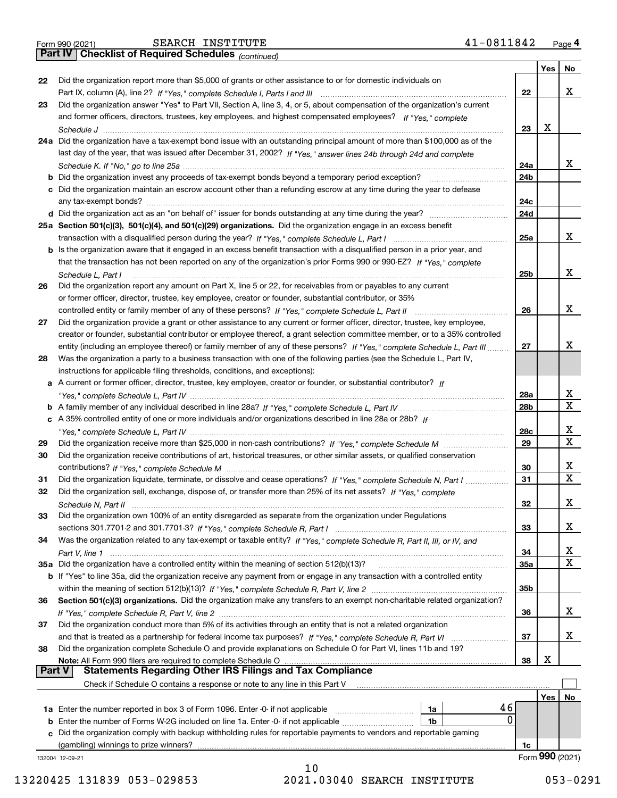|  | Form 990 (2021) |
|--|-----------------|

*(continued)*

|          |                                                                                                                              |                 | Yes | No              |
|----------|------------------------------------------------------------------------------------------------------------------------------|-----------------|-----|-----------------|
| 22       | Did the organization report more than \$5,000 of grants or other assistance to or for domestic individuals on                |                 |     |                 |
|          |                                                                                                                              | 22              |     | х               |
| 23       | Did the organization answer "Yes" to Part VII, Section A, line 3, 4, or 5, about compensation of the organization's current  |                 |     |                 |
|          | and former officers, directors, trustees, key employees, and highest compensated employees? If "Yes," complete               |                 |     |                 |
|          |                                                                                                                              | 23              | X   |                 |
|          | 24a Did the organization have a tax-exempt bond issue with an outstanding principal amount of more than \$100,000 as of the  |                 |     |                 |
|          | last day of the year, that was issued after December 31, 2002? If "Yes," answer lines 24b through 24d and complete           |                 |     |                 |
|          |                                                                                                                              | 24a             |     | х               |
|          | <b>b</b> Did the organization invest any proceeds of tax-exempt bonds beyond a temporary period exception?                   | 24b             |     |                 |
|          | c Did the organization maintain an escrow account other than a refunding escrow at any time during the year to defease       |                 |     |                 |
|          |                                                                                                                              | 24c             |     |                 |
|          |                                                                                                                              | 24d             |     |                 |
|          | 25a Section 501(c)(3), 501(c)(4), and 501(c)(29) organizations. Did the organization engage in an excess benefit             |                 |     |                 |
|          |                                                                                                                              | 25a             |     | х               |
|          | b Is the organization aware that it engaged in an excess benefit transaction with a disqualified person in a prior year, and |                 |     |                 |
|          | that the transaction has not been reported on any of the organization's prior Forms 990 or 990-EZ? If "Yes," complete        |                 |     |                 |
|          | Schedule L, Part I                                                                                                           | 25b             |     | x               |
| 26       | Did the organization report any amount on Part X, line 5 or 22, for receivables from or payables to any current              |                 |     |                 |
|          | or former officer, director, trustee, key employee, creator or founder, substantial contributor, or 35%                      |                 |     |                 |
|          | controlled entity or family member of any of these persons? If "Yes," complete Schedule L, Part II                           | 26              |     | х               |
| 27       | Did the organization provide a grant or other assistance to any current or former officer, director, trustee, key employee,  |                 |     |                 |
|          | creator or founder, substantial contributor or employee thereof, a grant selection committee member, or to a 35% controlled  |                 |     |                 |
|          | entity (including an employee thereof) or family member of any of these persons? If "Yes," complete Schedule L, Part III     | 27              |     | x               |
| 28       | Was the organization a party to a business transaction with one of the following parties (see the Schedule L, Part IV,       |                 |     |                 |
|          | instructions for applicable filing thresholds, conditions, and exceptions):                                                  |                 |     |                 |
|          | a A current or former officer, director, trustee, key employee, creator or founder, or substantial contributor? If           |                 |     |                 |
|          |                                                                                                                              | 28a             |     | x               |
|          |                                                                                                                              | 28 <sub>b</sub> |     | X               |
|          | c A 35% controlled entity of one or more individuals and/or organizations described in line 28a or 28b? If                   |                 |     |                 |
|          |                                                                                                                              | 28c             |     | х               |
| 29       |                                                                                                                              | 29              |     | $\mathbf x$     |
| 30       | Did the organization receive contributions of art, historical treasures, or other similar assets, or qualified conservation  |                 |     |                 |
|          |                                                                                                                              | 30              |     | х               |
| 31       | Did the organization liquidate, terminate, or dissolve and cease operations? If "Yes," complete Schedule N, Part I           | 31              |     | $\mathbf X$     |
| 32       | Did the organization sell, exchange, dispose of, or transfer more than 25% of its net assets? If "Yes," complete             |                 |     |                 |
|          | Schedule N, Part II                                                                                                          | 32              |     | х               |
| 33       | Did the organization own 100% of an entity disregarded as separate from the organization under Regulations                   |                 |     |                 |
|          |                                                                                                                              | 33              |     | х               |
| 34       | Was the organization related to any tax-exempt or taxable entity? If "Yes," complete Schedule R, Part II, III, or IV, and    |                 |     |                 |
|          |                                                                                                                              | 34              |     | x               |
|          | 35a Did the organization have a controlled entity within the meaning of section 512(b)(13)?                                  | <b>35a</b>      |     | X               |
|          | b If "Yes" to line 35a, did the organization receive any payment from or engage in any transaction with a controlled entity  |                 |     |                 |
|          |                                                                                                                              | 35b             |     |                 |
| 36       | Section 501(c)(3) organizations. Did the organization make any transfers to an exempt non-charitable related organization?   |                 |     |                 |
|          |                                                                                                                              | 36              |     | x               |
| 37       | Did the organization conduct more than 5% of its activities through an entity that is not a related organization             |                 |     |                 |
|          |                                                                                                                              | 37              |     | х               |
| 38       | Did the organization complete Schedule O and provide explanations on Schedule O for Part VI, lines 11b and 19?               |                 |     |                 |
|          | Note: All Form 990 filers are required to complete Schedule O                                                                | 38              | х   |                 |
| ∣ Part V | <b>Statements Regarding Other IRS Filings and Tax Compliance</b>                                                             |                 |     |                 |
|          | Check if Schedule O contains a response or note to any line in this Part V                                                   |                 |     |                 |
|          |                                                                                                                              |                 | Yes | No              |
|          | 46<br>1a Enter the number reported in box 3 of Form 1096. Enter -0- if not applicable<br>1a                                  |                 |     |                 |
|          | 0<br>1b                                                                                                                      |                 |     |                 |
|          | c Did the organization comply with backup withholding rules for reportable payments to vendors and reportable gaming         |                 |     |                 |
|          | (gambling) winnings to prize winners?                                                                                        | 1c              |     | Form 990 (2021) |
|          | 132004 12-09-21<br>10                                                                                                        |                 |     |                 |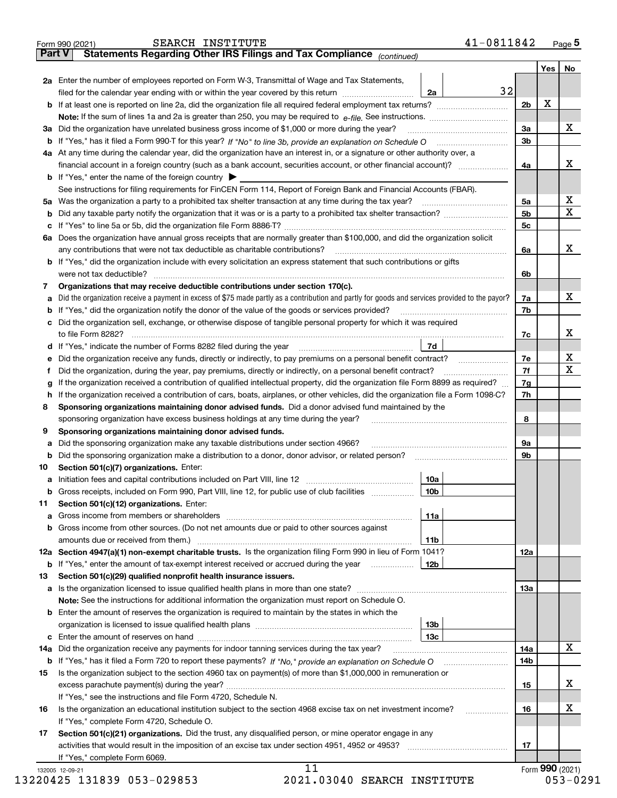|    | Statements Regarding Other IRS Filings and Tax Compliance (continued)<br>Part V                                                                                                     |                 |                |          |                         |
|----|-------------------------------------------------------------------------------------------------------------------------------------------------------------------------------------|-----------------|----------------|----------|-------------------------|
|    |                                                                                                                                                                                     |                 |                | Yes   No |                         |
|    | 2a Enter the number of employees reported on Form W-3, Transmittal of Wage and Tax Statements,<br>filed for the calendar year ending with or within the year covered by this return | 32              |                |          |                         |
|    |                                                                                                                                                                                     | 2a              |                | x        |                         |
|    |                                                                                                                                                                                     |                 | 2 <sub>b</sub> |          |                         |
|    |                                                                                                                                                                                     |                 |                |          | X                       |
|    | 3a Did the organization have unrelated business gross income of \$1,000 or more during the year?                                                                                    |                 | 3a             |          |                         |
|    |                                                                                                                                                                                     |                 | 3 <sub>b</sub> |          |                         |
|    | 4a At any time during the calendar year, did the organization have an interest in, or a signature or other authority over, a                                                        |                 |                |          |                         |
|    | financial account in a foreign country (such as a bank account, securities account, or other financial account)?                                                                    |                 | 4a             |          | х                       |
|    | <b>b</b> If "Yes," enter the name of the foreign country $\blacktriangleright$                                                                                                      |                 |                |          |                         |
|    | See instructions for filing requirements for FinCEN Form 114, Report of Foreign Bank and Financial Accounts (FBAR).                                                                 |                 |                |          |                         |
|    |                                                                                                                                                                                     |                 | 5a             |          | х                       |
| b  |                                                                                                                                                                                     |                 | 5b             |          | $\overline{\mathbf{X}}$ |
|    |                                                                                                                                                                                     |                 | 5c             |          |                         |
|    | 6a Does the organization have annual gross receipts that are normally greater than \$100,000, and did the organization solicit                                                      |                 |                |          |                         |
|    | any contributions that were not tax deductible as charitable contributions?                                                                                                         |                 | 6a             |          | X                       |
|    | <b>b</b> If "Yes," did the organization include with every solicitation an express statement that such contributions or gifts                                                       |                 |                |          |                         |
|    |                                                                                                                                                                                     |                 | 6b             |          |                         |
| 7  | Organizations that may receive deductible contributions under section 170(c).                                                                                                       |                 |                |          |                         |
| а  | Did the organization receive a payment in excess of \$75 made partly as a contribution and partly for goods and services provided to the payor?                                     |                 | 7a             |          | х                       |
| b  | If "Yes," did the organization notify the donor of the value of the goods or services provided?                                                                                     |                 | 7b             |          |                         |
|    | c Did the organization sell, exchange, or otherwise dispose of tangible personal property for which it was required                                                                 |                 |                |          |                         |
|    |                                                                                                                                                                                     |                 | 7c             |          | X                       |
|    |                                                                                                                                                                                     | 7d              |                |          |                         |
| е  | Did the organization receive any funds, directly or indirectly, to pay premiums on a personal benefit contract?                                                                     |                 | 7e             |          | $\mathbf{x}$            |
| f  | Did the organization, during the year, pay premiums, directly or indirectly, on a personal benefit contract?                                                                        |                 | 7f             |          | $\mathbf X$             |
| g  | If the organization received a contribution of qualified intellectual property, did the organization file Form 8899 as required?                                                    |                 | 7g             |          |                         |
| h  | If the organization received a contribution of cars, boats, airplanes, or other vehicles, did the organization file a Form 1098-C?                                                  |                 | 7h             |          |                         |
| 8  | Sponsoring organizations maintaining donor advised funds. Did a donor advised fund maintained by the                                                                                |                 |                |          |                         |
|    | sponsoring organization have excess business holdings at any time during the year?                                                                                                  |                 | 8              |          |                         |
| 9  | Sponsoring organizations maintaining donor advised funds.                                                                                                                           |                 |                |          |                         |
| а  | Did the sponsoring organization make any taxable distributions under section 4966?                                                                                                  |                 | 9a             |          |                         |
| b  | Did the sponsoring organization make a distribution to a donor, donor advisor, or related person? [[[[[[[[[[[                                                                       |                 | 9b             |          |                         |
| 10 | Section 501(c)(7) organizations. Enter:                                                                                                                                             |                 |                |          |                         |
|    |                                                                                                                                                                                     | 10a             |                |          |                         |
|    | Gross receipts, included on Form 990, Part VIII, line 12, for public use of club facilities                                                                                         | 10b             |                |          |                         |
| 11 | Section 501(c)(12) organizations. Enter:                                                                                                                                            |                 |                |          |                         |
|    |                                                                                                                                                                                     | 11a             |                |          |                         |
|    | b Gross income from other sources. (Do not net amounts due or paid to other sources against                                                                                         |                 |                |          |                         |
|    |                                                                                                                                                                                     | 11b             |                |          |                         |
|    | 12a Section 4947(a)(1) non-exempt charitable trusts. Is the organization filing Form 990 in lieu of Form 1041?                                                                      |                 | 12a            |          |                         |
|    | <b>b</b> If "Yes," enter the amount of tax-exempt interest received or accrued during the year                                                                                      | 12b             |                |          |                         |
| 13 | Section 501(c)(29) qualified nonprofit health insurance issuers.                                                                                                                    |                 |                |          |                         |
|    | a Is the organization licensed to issue qualified health plans in more than one state?                                                                                              |                 | 13а            |          |                         |
|    | Note: See the instructions for additional information the organization must report on Schedule O.                                                                                   |                 |                |          |                         |
|    | <b>b</b> Enter the amount of reserves the organization is required to maintain by the states in which the                                                                           |                 |                |          |                         |
|    |                                                                                                                                                                                     | 13 <sub>b</sub> |                |          |                         |
|    |                                                                                                                                                                                     |                 |                |          |                         |
|    |                                                                                                                                                                                     | 13с             |                |          | X                       |
|    | 14a Did the organization receive any payments for indoor tanning services during the tax year?                                                                                      |                 | 14a            |          |                         |
|    |                                                                                                                                                                                     |                 | 14b            |          |                         |
| 15 | Is the organization subject to the section 4960 tax on payment(s) of more than \$1,000,000 in remuneration or                                                                       |                 |                |          |                         |
|    |                                                                                                                                                                                     |                 | 15             |          | x                       |
|    | If "Yes," see the instructions and file Form 4720, Schedule N.                                                                                                                      |                 |                |          |                         |
| 16 | Is the organization an educational institution subject to the section 4968 excise tax on net investment income?                                                                     |                 | 16             |          | х                       |
|    | If "Yes," complete Form 4720, Schedule O.                                                                                                                                           |                 |                |          |                         |
| 17 | Section 501(c)(21) organizations. Did the trust, any disqualified person, or mine operator engage in any                                                                            |                 |                |          |                         |
|    |                                                                                                                                                                                     |                 | 17             |          |                         |
|    | If "Yes," complete Form 6069.                                                                                                                                                       |                 |                |          |                         |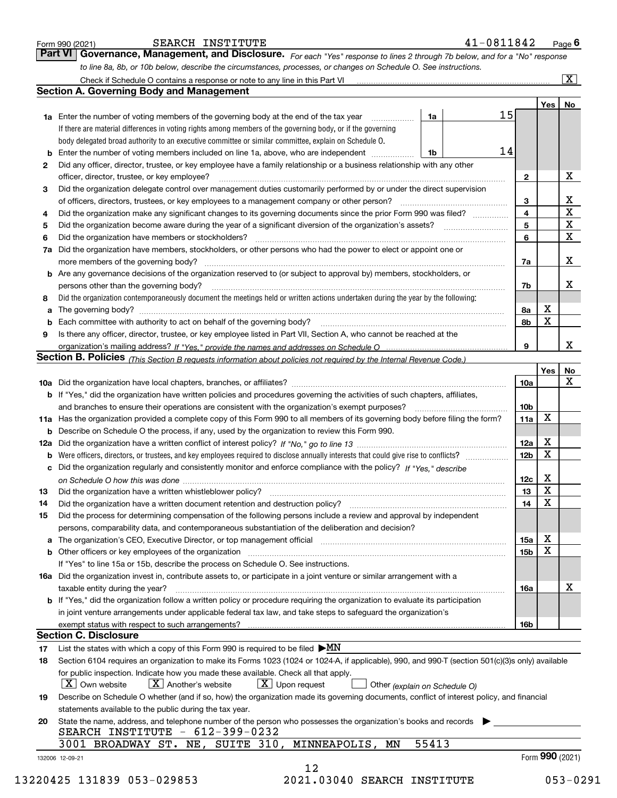|    |                                                                                                                                                                                                                                                                                                                                                                                                                                                                                                                                                                                                                                                                                                                                                                                                                                                                                                                                                                                                                                                                                                                                                                                                                                                                                                                                                                                                                                                                                                                                                                                                                                                                                                                                                                                                                                                                                                                                                                                                                                                                                                                                                                                                                                                                                                                                                                                                                                                                                                                                                                                                                                                                                                                                                                                                                                                                                                                                                                                                                                                                                                                                                                                                                                                                                                                                                                                                                                                                                                                                                                                                                                                                                                                                                                                                                                                                                                                                                                                                                                                                                                                                                                                                                                                                                                                                                                                                                                                                                                                                                                                                                                                                                                                                                      |       |                         |                 | $\boxed{\textbf{X}}$    |
|----|------------------------------------------------------------------------------------------------------------------------------------------------------------------------------------------------------------------------------------------------------------------------------------------------------------------------------------------------------------------------------------------------------------------------------------------------------------------------------------------------------------------------------------------------------------------------------------------------------------------------------------------------------------------------------------------------------------------------------------------------------------------------------------------------------------------------------------------------------------------------------------------------------------------------------------------------------------------------------------------------------------------------------------------------------------------------------------------------------------------------------------------------------------------------------------------------------------------------------------------------------------------------------------------------------------------------------------------------------------------------------------------------------------------------------------------------------------------------------------------------------------------------------------------------------------------------------------------------------------------------------------------------------------------------------------------------------------------------------------------------------------------------------------------------------------------------------------------------------------------------------------------------------------------------------------------------------------------------------------------------------------------------------------------------------------------------------------------------------------------------------------------------------------------------------------------------------------------------------------------------------------------------------------------------------------------------------------------------------------------------------------------------------------------------------------------------------------------------------------------------------------------------------------------------------------------------------------------------------------------------------------------------------------------------------------------------------------------------------------------------------------------------------------------------------------------------------------------------------------------------------------------------------------------------------------------------------------------------------------------------------------------------------------------------------------------------------------------------------------------------------------------------------------------------------------------------------------------------------------------------------------------------------------------------------------------------------------------------------------------------------------------------------------------------------------------------------------------------------------------------------------------------------------------------------------------------------------------------------------------------------------------------------------------------------------------------------------------------------------------------------------------------------------------------------------------------------------------------------------------------------------------------------------------------------------------------------------------------------------------------------------------------------------------------------------------------------------------------------------------------------------------------------------------------------------------------------------------------------------------------------------------------------------------------------------------------------------------------------------------------------------------------------------------------------------------------------------------------------------------------------------------------------------------------------------------------------------------------------------------------------------------------------------------------------------------------------------------------------------------------------|-------|-------------------------|-----------------|-------------------------|
|    | 41-0811842<br>SEARCH INSTITUTE<br>Form 990 (2021)<br>Part VI<br>Governance, Management, and Disclosure. For each "Yes" response to lines 2 through 7b below, and for a "No" response<br>to line 8a, 8b, or 10b below, describe the circumstances, processes, or changes on Schedule O. See instructions.<br><b>Section A. Governing Body and Management</b><br>15<br>1a<br><b>1a</b> Enter the number of voting members of the governing body at the end of the tax year <i>manumum</i><br>If there are material differences in voting rights among members of the governing body, or if the governing<br>body delegated broad authority to an executive committee or similar committee, explain on Schedule O.<br>14<br>Enter the number of voting members included on line 1a, above, who are independent<br>1b<br>Did any officer, director, trustee, or key employee have a family relationship or a business relationship with any other<br>2<br>officer, director, trustee, or key employee?<br>Did the organization delegate control over management duties customarily performed by or under the direct supervision<br>3<br>of officers, directors, trustees, or key employees to a management company or other person?<br>Did the organization make any significant changes to its governing documents since the prior Form 990 was filed?<br>4<br>5<br>Did the organization have members or stockholders?<br>6<br>Did the organization have members, stockholders, or other persons who had the power to elect or appoint one or<br>7a<br><b>b</b> Are any governance decisions of the organization reserved to (or subject to approval by) members, stockholders, or<br>persons other than the governing body?<br>Did the organization contemporaneously document the meetings held or written actions undertaken during the year by the following:<br>8<br>a<br>b<br>Is there any officer, director, trustee, or key employee listed in Part VII, Section A, who cannot be reached at the<br>9<br>Section B. Policies (This Section B requests information about policies not required by the Internal Revenue Code.)<br><b>b</b> If "Yes," did the organization have written policies and procedures governing the activities of such chapters, affiliates,<br>and branches to ensure their operations are consistent with the organization's exempt purposes?<br>11a Has the organization provided a complete copy of this Form 990 to all members of its governing body before filing the form?<br><b>b</b> Describe on Schedule O the process, if any, used by the organization to review this Form 990.<br>Were officers, directors, or trustees, and key employees required to disclose annually interests that could give rise to conflicts?<br>b<br>Did the organization regularly and consistently monitor and enforce compliance with the policy? If "Yes," describe<br>с<br>Did the organization have a written document retention and destruction policy? [11] manufaction policy?<br>Did the process for determining compensation of the following persons include a review and approval by independent<br>persons, comparability data, and contemporaneous substantiation of the deliberation and decision?<br>a The organization's CEO, Executive Director, or top management official [111] [11] manument material manument<br>If "Yes" to line 15a or 15b, describe the process on Schedule O. See instructions.<br>16a Did the organization invest in, contribute assets to, or participate in a joint venture or similar arrangement with a<br>taxable entity during the year?<br>b If "Yes," did the organization follow a written policy or procedure requiring the organization to evaluate its participation<br>in joint venture arrangements under applicable federal tax law, and take steps to safeguard the organization's<br><b>Section C. Disclosure</b><br>List the states with which a copy of this Form 990 is required to be filed $\blacktriangleright MN$<br>Section 6104 requires an organization to make its Forms 1023 (1024 or 1024-A, if applicable), 990, and 990-T (section 501(c)(3)s only) available<br>for public inspection. Indicate how you made these available. Check all that apply.<br>  X   Own website<br>$\lfloor X \rfloor$ Another's website<br>$\lfloor x \rfloor$ Upon request<br>Other (explain on Schedule O)<br>Describe on Schedule O whether (and if so, how) the organization made its governing documents, conflict of interest policy, and financial<br>statements available to the public during the tax year.<br>State the name, address, and telephone number of the person who possesses the organization's books and records<br>SEARCH INSTITUTE $-612-399-0232$ |       |                         |                 |                         |
|    |                                                                                                                                                                                                                                                                                                                                                                                                                                                                                                                                                                                                                                                                                                                                                                                                                                                                                                                                                                                                                                                                                                                                                                                                                                                                                                                                                                                                                                                                                                                                                                                                                                                                                                                                                                                                                                                                                                                                                                                                                                                                                                                                                                                                                                                                                                                                                                                                                                                                                                                                                                                                                                                                                                                                                                                                                                                                                                                                                                                                                                                                                                                                                                                                                                                                                                                                                                                                                                                                                                                                                                                                                                                                                                                                                                                                                                                                                                                                                                                                                                                                                                                                                                                                                                                                                                                                                                                                                                                                                                                                                                                                                                                                                                                                                      |       |                         | Yes             | No                      |
|    |                                                                                                                                                                                                                                                                                                                                                                                                                                                                                                                                                                                                                                                                                                                                                                                                                                                                                                                                                                                                                                                                                                                                                                                                                                                                                                                                                                                                                                                                                                                                                                                                                                                                                                                                                                                                                                                                                                                                                                                                                                                                                                                                                                                                                                                                                                                                                                                                                                                                                                                                                                                                                                                                                                                                                                                                                                                                                                                                                                                                                                                                                                                                                                                                                                                                                                                                                                                                                                                                                                                                                                                                                                                                                                                                                                                                                                                                                                                                                                                                                                                                                                                                                                                                                                                                                                                                                                                                                                                                                                                                                                                                                                                                                                                                                      |       |                         |                 |                         |
|    |                                                                                                                                                                                                                                                                                                                                                                                                                                                                                                                                                                                                                                                                                                                                                                                                                                                                                                                                                                                                                                                                                                                                                                                                                                                                                                                                                                                                                                                                                                                                                                                                                                                                                                                                                                                                                                                                                                                                                                                                                                                                                                                                                                                                                                                                                                                                                                                                                                                                                                                                                                                                                                                                                                                                                                                                                                                                                                                                                                                                                                                                                                                                                                                                                                                                                                                                                                                                                                                                                                                                                                                                                                                                                                                                                                                                                                                                                                                                                                                                                                                                                                                                                                                                                                                                                                                                                                                                                                                                                                                                                                                                                                                                                                                                                      |       |                         |                 |                         |
|    |                                                                                                                                                                                                                                                                                                                                                                                                                                                                                                                                                                                                                                                                                                                                                                                                                                                                                                                                                                                                                                                                                                                                                                                                                                                                                                                                                                                                                                                                                                                                                                                                                                                                                                                                                                                                                                                                                                                                                                                                                                                                                                                                                                                                                                                                                                                                                                                                                                                                                                                                                                                                                                                                                                                                                                                                                                                                                                                                                                                                                                                                                                                                                                                                                                                                                                                                                                                                                                                                                                                                                                                                                                                                                                                                                                                                                                                                                                                                                                                                                                                                                                                                                                                                                                                                                                                                                                                                                                                                                                                                                                                                                                                                                                                                                      |       |                         |                 |                         |
|    |                                                                                                                                                                                                                                                                                                                                                                                                                                                                                                                                                                                                                                                                                                                                                                                                                                                                                                                                                                                                                                                                                                                                                                                                                                                                                                                                                                                                                                                                                                                                                                                                                                                                                                                                                                                                                                                                                                                                                                                                                                                                                                                                                                                                                                                                                                                                                                                                                                                                                                                                                                                                                                                                                                                                                                                                                                                                                                                                                                                                                                                                                                                                                                                                                                                                                                                                                                                                                                                                                                                                                                                                                                                                                                                                                                                                                                                                                                                                                                                                                                                                                                                                                                                                                                                                                                                                                                                                                                                                                                                                                                                                                                                                                                                                                      |       |                         |                 |                         |
|    |                                                                                                                                                                                                                                                                                                                                                                                                                                                                                                                                                                                                                                                                                                                                                                                                                                                                                                                                                                                                                                                                                                                                                                                                                                                                                                                                                                                                                                                                                                                                                                                                                                                                                                                                                                                                                                                                                                                                                                                                                                                                                                                                                                                                                                                                                                                                                                                                                                                                                                                                                                                                                                                                                                                                                                                                                                                                                                                                                                                                                                                                                                                                                                                                                                                                                                                                                                                                                                                                                                                                                                                                                                                                                                                                                                                                                                                                                                                                                                                                                                                                                                                                                                                                                                                                                                                                                                                                                                                                                                                                                                                                                                                                                                                                                      |       |                         |                 |                         |
|    |                                                                                                                                                                                                                                                                                                                                                                                                                                                                                                                                                                                                                                                                                                                                                                                                                                                                                                                                                                                                                                                                                                                                                                                                                                                                                                                                                                                                                                                                                                                                                                                                                                                                                                                                                                                                                                                                                                                                                                                                                                                                                                                                                                                                                                                                                                                                                                                                                                                                                                                                                                                                                                                                                                                                                                                                                                                                                                                                                                                                                                                                                                                                                                                                                                                                                                                                                                                                                                                                                                                                                                                                                                                                                                                                                                                                                                                                                                                                                                                                                                                                                                                                                                                                                                                                                                                                                                                                                                                                                                                                                                                                                                                                                                                                                      |       | 2                       |                 | х                       |
|    |                                                                                                                                                                                                                                                                                                                                                                                                                                                                                                                                                                                                                                                                                                                                                                                                                                                                                                                                                                                                                                                                                                                                                                                                                                                                                                                                                                                                                                                                                                                                                                                                                                                                                                                                                                                                                                                                                                                                                                                                                                                                                                                                                                                                                                                                                                                                                                                                                                                                                                                                                                                                                                                                                                                                                                                                                                                                                                                                                                                                                                                                                                                                                                                                                                                                                                                                                                                                                                                                                                                                                                                                                                                                                                                                                                                                                                                                                                                                                                                                                                                                                                                                                                                                                                                                                                                                                                                                                                                                                                                                                                                                                                                                                                                                                      |       |                         |                 |                         |
|    |                                                                                                                                                                                                                                                                                                                                                                                                                                                                                                                                                                                                                                                                                                                                                                                                                                                                                                                                                                                                                                                                                                                                                                                                                                                                                                                                                                                                                                                                                                                                                                                                                                                                                                                                                                                                                                                                                                                                                                                                                                                                                                                                                                                                                                                                                                                                                                                                                                                                                                                                                                                                                                                                                                                                                                                                                                                                                                                                                                                                                                                                                                                                                                                                                                                                                                                                                                                                                                                                                                                                                                                                                                                                                                                                                                                                                                                                                                                                                                                                                                                                                                                                                                                                                                                                                                                                                                                                                                                                                                                                                                                                                                                                                                                                                      |       | 3                       |                 | $\overline{\mathbf{X}}$ |
|    |                                                                                                                                                                                                                                                                                                                                                                                                                                                                                                                                                                                                                                                                                                                                                                                                                                                                                                                                                                                                                                                                                                                                                                                                                                                                                                                                                                                                                                                                                                                                                                                                                                                                                                                                                                                                                                                                                                                                                                                                                                                                                                                                                                                                                                                                                                                                                                                                                                                                                                                                                                                                                                                                                                                                                                                                                                                                                                                                                                                                                                                                                                                                                                                                                                                                                                                                                                                                                                                                                                                                                                                                                                                                                                                                                                                                                                                                                                                                                                                                                                                                                                                                                                                                                                                                                                                                                                                                                                                                                                                                                                                                                                                                                                                                                      |       | $\overline{\mathbf{4}}$ |                 | $\overline{\mathtt{x}}$ |
|    |                                                                                                                                                                                                                                                                                                                                                                                                                                                                                                                                                                                                                                                                                                                                                                                                                                                                                                                                                                                                                                                                                                                                                                                                                                                                                                                                                                                                                                                                                                                                                                                                                                                                                                                                                                                                                                                                                                                                                                                                                                                                                                                                                                                                                                                                                                                                                                                                                                                                                                                                                                                                                                                                                                                                                                                                                                                                                                                                                                                                                                                                                                                                                                                                                                                                                                                                                                                                                                                                                                                                                                                                                                                                                                                                                                                                                                                                                                                                                                                                                                                                                                                                                                                                                                                                                                                                                                                                                                                                                                                                                                                                                                                                                                                                                      |       | 5                       |                 | $\overline{\mathbf{X}}$ |
|    |                                                                                                                                                                                                                                                                                                                                                                                                                                                                                                                                                                                                                                                                                                                                                                                                                                                                                                                                                                                                                                                                                                                                                                                                                                                                                                                                                                                                                                                                                                                                                                                                                                                                                                                                                                                                                                                                                                                                                                                                                                                                                                                                                                                                                                                                                                                                                                                                                                                                                                                                                                                                                                                                                                                                                                                                                                                                                                                                                                                                                                                                                                                                                                                                                                                                                                                                                                                                                                                                                                                                                                                                                                                                                                                                                                                                                                                                                                                                                                                                                                                                                                                                                                                                                                                                                                                                                                                                                                                                                                                                                                                                                                                                                                                                                      |       | 6                       |                 | $\mathbf X$             |
|    |                                                                                                                                                                                                                                                                                                                                                                                                                                                                                                                                                                                                                                                                                                                                                                                                                                                                                                                                                                                                                                                                                                                                                                                                                                                                                                                                                                                                                                                                                                                                                                                                                                                                                                                                                                                                                                                                                                                                                                                                                                                                                                                                                                                                                                                                                                                                                                                                                                                                                                                                                                                                                                                                                                                                                                                                                                                                                                                                                                                                                                                                                                                                                                                                                                                                                                                                                                                                                                                                                                                                                                                                                                                                                                                                                                                                                                                                                                                                                                                                                                                                                                                                                                                                                                                                                                                                                                                                                                                                                                                                                                                                                                                                                                                                                      |       |                         |                 |                         |
|    |                                                                                                                                                                                                                                                                                                                                                                                                                                                                                                                                                                                                                                                                                                                                                                                                                                                                                                                                                                                                                                                                                                                                                                                                                                                                                                                                                                                                                                                                                                                                                                                                                                                                                                                                                                                                                                                                                                                                                                                                                                                                                                                                                                                                                                                                                                                                                                                                                                                                                                                                                                                                                                                                                                                                                                                                                                                                                                                                                                                                                                                                                                                                                                                                                                                                                                                                                                                                                                                                                                                                                                                                                                                                                                                                                                                                                                                                                                                                                                                                                                                                                                                                                                                                                                                                                                                                                                                                                                                                                                                                                                                                                                                                                                                                                      |       | 7a                      |                 | X                       |
|    |                                                                                                                                                                                                                                                                                                                                                                                                                                                                                                                                                                                                                                                                                                                                                                                                                                                                                                                                                                                                                                                                                                                                                                                                                                                                                                                                                                                                                                                                                                                                                                                                                                                                                                                                                                                                                                                                                                                                                                                                                                                                                                                                                                                                                                                                                                                                                                                                                                                                                                                                                                                                                                                                                                                                                                                                                                                                                                                                                                                                                                                                                                                                                                                                                                                                                                                                                                                                                                                                                                                                                                                                                                                                                                                                                                                                                                                                                                                                                                                                                                                                                                                                                                                                                                                                                                                                                                                                                                                                                                                                                                                                                                                                                                                                                      |       |                         |                 |                         |
|    |                                                                                                                                                                                                                                                                                                                                                                                                                                                                                                                                                                                                                                                                                                                                                                                                                                                                                                                                                                                                                                                                                                                                                                                                                                                                                                                                                                                                                                                                                                                                                                                                                                                                                                                                                                                                                                                                                                                                                                                                                                                                                                                                                                                                                                                                                                                                                                                                                                                                                                                                                                                                                                                                                                                                                                                                                                                                                                                                                                                                                                                                                                                                                                                                                                                                                                                                                                                                                                                                                                                                                                                                                                                                                                                                                                                                                                                                                                                                                                                                                                                                                                                                                                                                                                                                                                                                                                                                                                                                                                                                                                                                                                                                                                                                                      |       | 7b                      |                 | x                       |
|    |                                                                                                                                                                                                                                                                                                                                                                                                                                                                                                                                                                                                                                                                                                                                                                                                                                                                                                                                                                                                                                                                                                                                                                                                                                                                                                                                                                                                                                                                                                                                                                                                                                                                                                                                                                                                                                                                                                                                                                                                                                                                                                                                                                                                                                                                                                                                                                                                                                                                                                                                                                                                                                                                                                                                                                                                                                                                                                                                                                                                                                                                                                                                                                                                                                                                                                                                                                                                                                                                                                                                                                                                                                                                                                                                                                                                                                                                                                                                                                                                                                                                                                                                                                                                                                                                                                                                                                                                                                                                                                                                                                                                                                                                                                                                                      |       |                         |                 |                         |
|    |                                                                                                                                                                                                                                                                                                                                                                                                                                                                                                                                                                                                                                                                                                                                                                                                                                                                                                                                                                                                                                                                                                                                                                                                                                                                                                                                                                                                                                                                                                                                                                                                                                                                                                                                                                                                                                                                                                                                                                                                                                                                                                                                                                                                                                                                                                                                                                                                                                                                                                                                                                                                                                                                                                                                                                                                                                                                                                                                                                                                                                                                                                                                                                                                                                                                                                                                                                                                                                                                                                                                                                                                                                                                                                                                                                                                                                                                                                                                                                                                                                                                                                                                                                                                                                                                                                                                                                                                                                                                                                                                                                                                                                                                                                                                                      |       |                         | Х               |                         |
|    |                                                                                                                                                                                                                                                                                                                                                                                                                                                                                                                                                                                                                                                                                                                                                                                                                                                                                                                                                                                                                                                                                                                                                                                                                                                                                                                                                                                                                                                                                                                                                                                                                                                                                                                                                                                                                                                                                                                                                                                                                                                                                                                                                                                                                                                                                                                                                                                                                                                                                                                                                                                                                                                                                                                                                                                                                                                                                                                                                                                                                                                                                                                                                                                                                                                                                                                                                                                                                                                                                                                                                                                                                                                                                                                                                                                                                                                                                                                                                                                                                                                                                                                                                                                                                                                                                                                                                                                                                                                                                                                                                                                                                                                                                                                                                      |       | 8a                      | X               |                         |
|    |                                                                                                                                                                                                                                                                                                                                                                                                                                                                                                                                                                                                                                                                                                                                                                                                                                                                                                                                                                                                                                                                                                                                                                                                                                                                                                                                                                                                                                                                                                                                                                                                                                                                                                                                                                                                                                                                                                                                                                                                                                                                                                                                                                                                                                                                                                                                                                                                                                                                                                                                                                                                                                                                                                                                                                                                                                                                                                                                                                                                                                                                                                                                                                                                                                                                                                                                                                                                                                                                                                                                                                                                                                                                                                                                                                                                                                                                                                                                                                                                                                                                                                                                                                                                                                                                                                                                                                                                                                                                                                                                                                                                                                                                                                                                                      |       | 8b                      |                 |                         |
|    |                                                                                                                                                                                                                                                                                                                                                                                                                                                                                                                                                                                                                                                                                                                                                                                                                                                                                                                                                                                                                                                                                                                                                                                                                                                                                                                                                                                                                                                                                                                                                                                                                                                                                                                                                                                                                                                                                                                                                                                                                                                                                                                                                                                                                                                                                                                                                                                                                                                                                                                                                                                                                                                                                                                                                                                                                                                                                                                                                                                                                                                                                                                                                                                                                                                                                                                                                                                                                                                                                                                                                                                                                                                                                                                                                                                                                                                                                                                                                                                                                                                                                                                                                                                                                                                                                                                                                                                                                                                                                                                                                                                                                                                                                                                                                      |       |                         |                 | x                       |
|    |                                                                                                                                                                                                                                                                                                                                                                                                                                                                                                                                                                                                                                                                                                                                                                                                                                                                                                                                                                                                                                                                                                                                                                                                                                                                                                                                                                                                                                                                                                                                                                                                                                                                                                                                                                                                                                                                                                                                                                                                                                                                                                                                                                                                                                                                                                                                                                                                                                                                                                                                                                                                                                                                                                                                                                                                                                                                                                                                                                                                                                                                                                                                                                                                                                                                                                                                                                                                                                                                                                                                                                                                                                                                                                                                                                                                                                                                                                                                                                                                                                                                                                                                                                                                                                                                                                                                                                                                                                                                                                                                                                                                                                                                                                                                                      |       | 9                       |                 |                         |
|    |                                                                                                                                                                                                                                                                                                                                                                                                                                                                                                                                                                                                                                                                                                                                                                                                                                                                                                                                                                                                                                                                                                                                                                                                                                                                                                                                                                                                                                                                                                                                                                                                                                                                                                                                                                                                                                                                                                                                                                                                                                                                                                                                                                                                                                                                                                                                                                                                                                                                                                                                                                                                                                                                                                                                                                                                                                                                                                                                                                                                                                                                                                                                                                                                                                                                                                                                                                                                                                                                                                                                                                                                                                                                                                                                                                                                                                                                                                                                                                                                                                                                                                                                                                                                                                                                                                                                                                                                                                                                                                                                                                                                                                                                                                                                                      |       |                         |                 |                         |
|    |                                                                                                                                                                                                                                                                                                                                                                                                                                                                                                                                                                                                                                                                                                                                                                                                                                                                                                                                                                                                                                                                                                                                                                                                                                                                                                                                                                                                                                                                                                                                                                                                                                                                                                                                                                                                                                                                                                                                                                                                                                                                                                                                                                                                                                                                                                                                                                                                                                                                                                                                                                                                                                                                                                                                                                                                                                                                                                                                                                                                                                                                                                                                                                                                                                                                                                                                                                                                                                                                                                                                                                                                                                                                                                                                                                                                                                                                                                                                                                                                                                                                                                                                                                                                                                                                                                                                                                                                                                                                                                                                                                                                                                                                                                                                                      |       |                         | Yes             | No<br>x                 |
|    |                                                                                                                                                                                                                                                                                                                                                                                                                                                                                                                                                                                                                                                                                                                                                                                                                                                                                                                                                                                                                                                                                                                                                                                                                                                                                                                                                                                                                                                                                                                                                                                                                                                                                                                                                                                                                                                                                                                                                                                                                                                                                                                                                                                                                                                                                                                                                                                                                                                                                                                                                                                                                                                                                                                                                                                                                                                                                                                                                                                                                                                                                                                                                                                                                                                                                                                                                                                                                                                                                                                                                                                                                                                                                                                                                                                                                                                                                                                                                                                                                                                                                                                                                                                                                                                                                                                                                                                                                                                                                                                                                                                                                                                                                                                                                      |       | 10a                     |                 |                         |
|    |                                                                                                                                                                                                                                                                                                                                                                                                                                                                                                                                                                                                                                                                                                                                                                                                                                                                                                                                                                                                                                                                                                                                                                                                                                                                                                                                                                                                                                                                                                                                                                                                                                                                                                                                                                                                                                                                                                                                                                                                                                                                                                                                                                                                                                                                                                                                                                                                                                                                                                                                                                                                                                                                                                                                                                                                                                                                                                                                                                                                                                                                                                                                                                                                                                                                                                                                                                                                                                                                                                                                                                                                                                                                                                                                                                                                                                                                                                                                                                                                                                                                                                                                                                                                                                                                                                                                                                                                                                                                                                                                                                                                                                                                                                                                                      |       |                         |                 |                         |
|    |                                                                                                                                                                                                                                                                                                                                                                                                                                                                                                                                                                                                                                                                                                                                                                                                                                                                                                                                                                                                                                                                                                                                                                                                                                                                                                                                                                                                                                                                                                                                                                                                                                                                                                                                                                                                                                                                                                                                                                                                                                                                                                                                                                                                                                                                                                                                                                                                                                                                                                                                                                                                                                                                                                                                                                                                                                                                                                                                                                                                                                                                                                                                                                                                                                                                                                                                                                                                                                                                                                                                                                                                                                                                                                                                                                                                                                                                                                                                                                                                                                                                                                                                                                                                                                                                                                                                                                                                                                                                                                                                                                                                                                                                                                                                                      |       | 10 <sub>b</sub>         |                 |                         |
|    |                                                                                                                                                                                                                                                                                                                                                                                                                                                                                                                                                                                                                                                                                                                                                                                                                                                                                                                                                                                                                                                                                                                                                                                                                                                                                                                                                                                                                                                                                                                                                                                                                                                                                                                                                                                                                                                                                                                                                                                                                                                                                                                                                                                                                                                                                                                                                                                                                                                                                                                                                                                                                                                                                                                                                                                                                                                                                                                                                                                                                                                                                                                                                                                                                                                                                                                                                                                                                                                                                                                                                                                                                                                                                                                                                                                                                                                                                                                                                                                                                                                                                                                                                                                                                                                                                                                                                                                                                                                                                                                                                                                                                                                                                                                                                      |       | 11a                     | X               |                         |
|    |                                                                                                                                                                                                                                                                                                                                                                                                                                                                                                                                                                                                                                                                                                                                                                                                                                                                                                                                                                                                                                                                                                                                                                                                                                                                                                                                                                                                                                                                                                                                                                                                                                                                                                                                                                                                                                                                                                                                                                                                                                                                                                                                                                                                                                                                                                                                                                                                                                                                                                                                                                                                                                                                                                                                                                                                                                                                                                                                                                                                                                                                                                                                                                                                                                                                                                                                                                                                                                                                                                                                                                                                                                                                                                                                                                                                                                                                                                                                                                                                                                                                                                                                                                                                                                                                                                                                                                                                                                                                                                                                                                                                                                                                                                                                                      |       |                         |                 |                         |
|    |                                                                                                                                                                                                                                                                                                                                                                                                                                                                                                                                                                                                                                                                                                                                                                                                                                                                                                                                                                                                                                                                                                                                                                                                                                                                                                                                                                                                                                                                                                                                                                                                                                                                                                                                                                                                                                                                                                                                                                                                                                                                                                                                                                                                                                                                                                                                                                                                                                                                                                                                                                                                                                                                                                                                                                                                                                                                                                                                                                                                                                                                                                                                                                                                                                                                                                                                                                                                                                                                                                                                                                                                                                                                                                                                                                                                                                                                                                                                                                                                                                                                                                                                                                                                                                                                                                                                                                                                                                                                                                                                                                                                                                                                                                                                                      |       | 12a                     | Х               |                         |
|    |                                                                                                                                                                                                                                                                                                                                                                                                                                                                                                                                                                                                                                                                                                                                                                                                                                                                                                                                                                                                                                                                                                                                                                                                                                                                                                                                                                                                                                                                                                                                                                                                                                                                                                                                                                                                                                                                                                                                                                                                                                                                                                                                                                                                                                                                                                                                                                                                                                                                                                                                                                                                                                                                                                                                                                                                                                                                                                                                                                                                                                                                                                                                                                                                                                                                                                                                                                                                                                                                                                                                                                                                                                                                                                                                                                                                                                                                                                                                                                                                                                                                                                                                                                                                                                                                                                                                                                                                                                                                                                                                                                                                                                                                                                                                                      |       | 12 <sub>b</sub>         | х               |                         |
|    |                                                                                                                                                                                                                                                                                                                                                                                                                                                                                                                                                                                                                                                                                                                                                                                                                                                                                                                                                                                                                                                                                                                                                                                                                                                                                                                                                                                                                                                                                                                                                                                                                                                                                                                                                                                                                                                                                                                                                                                                                                                                                                                                                                                                                                                                                                                                                                                                                                                                                                                                                                                                                                                                                                                                                                                                                                                                                                                                                                                                                                                                                                                                                                                                                                                                                                                                                                                                                                                                                                                                                                                                                                                                                                                                                                                                                                                                                                                                                                                                                                                                                                                                                                                                                                                                                                                                                                                                                                                                                                                                                                                                                                                                                                                                                      |       |                         |                 |                         |
|    |                                                                                                                                                                                                                                                                                                                                                                                                                                                                                                                                                                                                                                                                                                                                                                                                                                                                                                                                                                                                                                                                                                                                                                                                                                                                                                                                                                                                                                                                                                                                                                                                                                                                                                                                                                                                                                                                                                                                                                                                                                                                                                                                                                                                                                                                                                                                                                                                                                                                                                                                                                                                                                                                                                                                                                                                                                                                                                                                                                                                                                                                                                                                                                                                                                                                                                                                                                                                                                                                                                                                                                                                                                                                                                                                                                                                                                                                                                                                                                                                                                                                                                                                                                                                                                                                                                                                                                                                                                                                                                                                                                                                                                                                                                                                                      |       | 12c                     | x               |                         |
|    |                                                                                                                                                                                                                                                                                                                                                                                                                                                                                                                                                                                                                                                                                                                                                                                                                                                                                                                                                                                                                                                                                                                                                                                                                                                                                                                                                                                                                                                                                                                                                                                                                                                                                                                                                                                                                                                                                                                                                                                                                                                                                                                                                                                                                                                                                                                                                                                                                                                                                                                                                                                                                                                                                                                                                                                                                                                                                                                                                                                                                                                                                                                                                                                                                                                                                                                                                                                                                                                                                                                                                                                                                                                                                                                                                                                                                                                                                                                                                                                                                                                                                                                                                                                                                                                                                                                                                                                                                                                                                                                                                                                                                                                                                                                                                      |       | 13                      | $\mathbf X$     |                         |
| 14 |                                                                                                                                                                                                                                                                                                                                                                                                                                                                                                                                                                                                                                                                                                                                                                                                                                                                                                                                                                                                                                                                                                                                                                                                                                                                                                                                                                                                                                                                                                                                                                                                                                                                                                                                                                                                                                                                                                                                                                                                                                                                                                                                                                                                                                                                                                                                                                                                                                                                                                                                                                                                                                                                                                                                                                                                                                                                                                                                                                                                                                                                                                                                                                                                                                                                                                                                                                                                                                                                                                                                                                                                                                                                                                                                                                                                                                                                                                                                                                                                                                                                                                                                                                                                                                                                                                                                                                                                                                                                                                                                                                                                                                                                                                                                                      |       | 14                      | X               |                         |
| 15 |                                                                                                                                                                                                                                                                                                                                                                                                                                                                                                                                                                                                                                                                                                                                                                                                                                                                                                                                                                                                                                                                                                                                                                                                                                                                                                                                                                                                                                                                                                                                                                                                                                                                                                                                                                                                                                                                                                                                                                                                                                                                                                                                                                                                                                                                                                                                                                                                                                                                                                                                                                                                                                                                                                                                                                                                                                                                                                                                                                                                                                                                                                                                                                                                                                                                                                                                                                                                                                                                                                                                                                                                                                                                                                                                                                                                                                                                                                                                                                                                                                                                                                                                                                                                                                                                                                                                                                                                                                                                                                                                                                                                                                                                                                                                                      |       |                         |                 |                         |
|    |                                                                                                                                                                                                                                                                                                                                                                                                                                                                                                                                                                                                                                                                                                                                                                                                                                                                                                                                                                                                                                                                                                                                                                                                                                                                                                                                                                                                                                                                                                                                                                                                                                                                                                                                                                                                                                                                                                                                                                                                                                                                                                                                                                                                                                                                                                                                                                                                                                                                                                                                                                                                                                                                                                                                                                                                                                                                                                                                                                                                                                                                                                                                                                                                                                                                                                                                                                                                                                                                                                                                                                                                                                                                                                                                                                                                                                                                                                                                                                                                                                                                                                                                                                                                                                                                                                                                                                                                                                                                                                                                                                                                                                                                                                                                                      |       |                         |                 |                         |
|    |                                                                                                                                                                                                                                                                                                                                                                                                                                                                                                                                                                                                                                                                                                                                                                                                                                                                                                                                                                                                                                                                                                                                                                                                                                                                                                                                                                                                                                                                                                                                                                                                                                                                                                                                                                                                                                                                                                                                                                                                                                                                                                                                                                                                                                                                                                                                                                                                                                                                                                                                                                                                                                                                                                                                                                                                                                                                                                                                                                                                                                                                                                                                                                                                                                                                                                                                                                                                                                                                                                                                                                                                                                                                                                                                                                                                                                                                                                                                                                                                                                                                                                                                                                                                                                                                                                                                                                                                                                                                                                                                                                                                                                                                                                                                                      |       | 15a                     | х               |                         |
|    |                                                                                                                                                                                                                                                                                                                                                                                                                                                                                                                                                                                                                                                                                                                                                                                                                                                                                                                                                                                                                                                                                                                                                                                                                                                                                                                                                                                                                                                                                                                                                                                                                                                                                                                                                                                                                                                                                                                                                                                                                                                                                                                                                                                                                                                                                                                                                                                                                                                                                                                                                                                                                                                                                                                                                                                                                                                                                                                                                                                                                                                                                                                                                                                                                                                                                                                                                                                                                                                                                                                                                                                                                                                                                                                                                                                                                                                                                                                                                                                                                                                                                                                                                                                                                                                                                                                                                                                                                                                                                                                                                                                                                                                                                                                                                      |       | 15 <sub>b</sub>         | X               |                         |
|    |                                                                                                                                                                                                                                                                                                                                                                                                                                                                                                                                                                                                                                                                                                                                                                                                                                                                                                                                                                                                                                                                                                                                                                                                                                                                                                                                                                                                                                                                                                                                                                                                                                                                                                                                                                                                                                                                                                                                                                                                                                                                                                                                                                                                                                                                                                                                                                                                                                                                                                                                                                                                                                                                                                                                                                                                                                                                                                                                                                                                                                                                                                                                                                                                                                                                                                                                                                                                                                                                                                                                                                                                                                                                                                                                                                                                                                                                                                                                                                                                                                                                                                                                                                                                                                                                                                                                                                                                                                                                                                                                                                                                                                                                                                                                                      |       |                         |                 |                         |
|    |                                                                                                                                                                                                                                                                                                                                                                                                                                                                                                                                                                                                                                                                                                                                                                                                                                                                                                                                                                                                                                                                                                                                                                                                                                                                                                                                                                                                                                                                                                                                                                                                                                                                                                                                                                                                                                                                                                                                                                                                                                                                                                                                                                                                                                                                                                                                                                                                                                                                                                                                                                                                                                                                                                                                                                                                                                                                                                                                                                                                                                                                                                                                                                                                                                                                                                                                                                                                                                                                                                                                                                                                                                                                                                                                                                                                                                                                                                                                                                                                                                                                                                                                                                                                                                                                                                                                                                                                                                                                                                                                                                                                                                                                                                                                                      |       |                         |                 |                         |
|    |                                                                                                                                                                                                                                                                                                                                                                                                                                                                                                                                                                                                                                                                                                                                                                                                                                                                                                                                                                                                                                                                                                                                                                                                                                                                                                                                                                                                                                                                                                                                                                                                                                                                                                                                                                                                                                                                                                                                                                                                                                                                                                                                                                                                                                                                                                                                                                                                                                                                                                                                                                                                                                                                                                                                                                                                                                                                                                                                                                                                                                                                                                                                                                                                                                                                                                                                                                                                                                                                                                                                                                                                                                                                                                                                                                                                                                                                                                                                                                                                                                                                                                                                                                                                                                                                                                                                                                                                                                                                                                                                                                                                                                                                                                                                                      |       |                         |                 | х                       |
|    |                                                                                                                                                                                                                                                                                                                                                                                                                                                                                                                                                                                                                                                                                                                                                                                                                                                                                                                                                                                                                                                                                                                                                                                                                                                                                                                                                                                                                                                                                                                                                                                                                                                                                                                                                                                                                                                                                                                                                                                                                                                                                                                                                                                                                                                                                                                                                                                                                                                                                                                                                                                                                                                                                                                                                                                                                                                                                                                                                                                                                                                                                                                                                                                                                                                                                                                                                                                                                                                                                                                                                                                                                                                                                                                                                                                                                                                                                                                                                                                                                                                                                                                                                                                                                                                                                                                                                                                                                                                                                                                                                                                                                                                                                                                                                      |       | 16a                     |                 |                         |
|    |                                                                                                                                                                                                                                                                                                                                                                                                                                                                                                                                                                                                                                                                                                                                                                                                                                                                                                                                                                                                                                                                                                                                                                                                                                                                                                                                                                                                                                                                                                                                                                                                                                                                                                                                                                                                                                                                                                                                                                                                                                                                                                                                                                                                                                                                                                                                                                                                                                                                                                                                                                                                                                                                                                                                                                                                                                                                                                                                                                                                                                                                                                                                                                                                                                                                                                                                                                                                                                                                                                                                                                                                                                                                                                                                                                                                                                                                                                                                                                                                                                                                                                                                                                                                                                                                                                                                                                                                                                                                                                                                                                                                                                                                                                                                                      |       |                         |                 |                         |
|    |                                                                                                                                                                                                                                                                                                                                                                                                                                                                                                                                                                                                                                                                                                                                                                                                                                                                                                                                                                                                                                                                                                                                                                                                                                                                                                                                                                                                                                                                                                                                                                                                                                                                                                                                                                                                                                                                                                                                                                                                                                                                                                                                                                                                                                                                                                                                                                                                                                                                                                                                                                                                                                                                                                                                                                                                                                                                                                                                                                                                                                                                                                                                                                                                                                                                                                                                                                                                                                                                                                                                                                                                                                                                                                                                                                                                                                                                                                                                                                                                                                                                                                                                                                                                                                                                                                                                                                                                                                                                                                                                                                                                                                                                                                                                                      |       |                         |                 |                         |
|    |                                                                                                                                                                                                                                                                                                                                                                                                                                                                                                                                                                                                                                                                                                                                                                                                                                                                                                                                                                                                                                                                                                                                                                                                                                                                                                                                                                                                                                                                                                                                                                                                                                                                                                                                                                                                                                                                                                                                                                                                                                                                                                                                                                                                                                                                                                                                                                                                                                                                                                                                                                                                                                                                                                                                                                                                                                                                                                                                                                                                                                                                                                                                                                                                                                                                                                                                                                                                                                                                                                                                                                                                                                                                                                                                                                                                                                                                                                                                                                                                                                                                                                                                                                                                                                                                                                                                                                                                                                                                                                                                                                                                                                                                                                                                                      |       | 16b                     |                 |                         |
|    |                                                                                                                                                                                                                                                                                                                                                                                                                                                                                                                                                                                                                                                                                                                                                                                                                                                                                                                                                                                                                                                                                                                                                                                                                                                                                                                                                                                                                                                                                                                                                                                                                                                                                                                                                                                                                                                                                                                                                                                                                                                                                                                                                                                                                                                                                                                                                                                                                                                                                                                                                                                                                                                                                                                                                                                                                                                                                                                                                                                                                                                                                                                                                                                                                                                                                                                                                                                                                                                                                                                                                                                                                                                                                                                                                                                                                                                                                                                                                                                                                                                                                                                                                                                                                                                                                                                                                                                                                                                                                                                                                                                                                                                                                                                                                      |       |                         |                 |                         |
|    |                                                                                                                                                                                                                                                                                                                                                                                                                                                                                                                                                                                                                                                                                                                                                                                                                                                                                                                                                                                                                                                                                                                                                                                                                                                                                                                                                                                                                                                                                                                                                                                                                                                                                                                                                                                                                                                                                                                                                                                                                                                                                                                                                                                                                                                                                                                                                                                                                                                                                                                                                                                                                                                                                                                                                                                                                                                                                                                                                                                                                                                                                                                                                                                                                                                                                                                                                                                                                                                                                                                                                                                                                                                                                                                                                                                                                                                                                                                                                                                                                                                                                                                                                                                                                                                                                                                                                                                                                                                                                                                                                                                                                                                                                                                                                      |       |                         |                 |                         |
|    |                                                                                                                                                                                                                                                                                                                                                                                                                                                                                                                                                                                                                                                                                                                                                                                                                                                                                                                                                                                                                                                                                                                                                                                                                                                                                                                                                                                                                                                                                                                                                                                                                                                                                                                                                                                                                                                                                                                                                                                                                                                                                                                                                                                                                                                                                                                                                                                                                                                                                                                                                                                                                                                                                                                                                                                                                                                                                                                                                                                                                                                                                                                                                                                                                                                                                                                                                                                                                                                                                                                                                                                                                                                                                                                                                                                                                                                                                                                                                                                                                                                                                                                                                                                                                                                                                                                                                                                                                                                                                                                                                                                                                                                                                                                                                      |       |                         |                 |                         |
| 18 |                                                                                                                                                                                                                                                                                                                                                                                                                                                                                                                                                                                                                                                                                                                                                                                                                                                                                                                                                                                                                                                                                                                                                                                                                                                                                                                                                                                                                                                                                                                                                                                                                                                                                                                                                                                                                                                                                                                                                                                                                                                                                                                                                                                                                                                                                                                                                                                                                                                                                                                                                                                                                                                                                                                                                                                                                                                                                                                                                                                                                                                                                                                                                                                                                                                                                                                                                                                                                                                                                                                                                                                                                                                                                                                                                                                                                                                                                                                                                                                                                                                                                                                                                                                                                                                                                                                                                                                                                                                                                                                                                                                                                                                                                                                                                      |       |                         |                 |                         |
|    |                                                                                                                                                                                                                                                                                                                                                                                                                                                                                                                                                                                                                                                                                                                                                                                                                                                                                                                                                                                                                                                                                                                                                                                                                                                                                                                                                                                                                                                                                                                                                                                                                                                                                                                                                                                                                                                                                                                                                                                                                                                                                                                                                                                                                                                                                                                                                                                                                                                                                                                                                                                                                                                                                                                                                                                                                                                                                                                                                                                                                                                                                                                                                                                                                                                                                                                                                                                                                                                                                                                                                                                                                                                                                                                                                                                                                                                                                                                                                                                                                                                                                                                                                                                                                                                                                                                                                                                                                                                                                                                                                                                                                                                                                                                                                      |       |                         |                 |                         |
| 19 |                                                                                                                                                                                                                                                                                                                                                                                                                                                                                                                                                                                                                                                                                                                                                                                                                                                                                                                                                                                                                                                                                                                                                                                                                                                                                                                                                                                                                                                                                                                                                                                                                                                                                                                                                                                                                                                                                                                                                                                                                                                                                                                                                                                                                                                                                                                                                                                                                                                                                                                                                                                                                                                                                                                                                                                                                                                                                                                                                                                                                                                                                                                                                                                                                                                                                                                                                                                                                                                                                                                                                                                                                                                                                                                                                                                                                                                                                                                                                                                                                                                                                                                                                                                                                                                                                                                                                                                                                                                                                                                                                                                                                                                                                                                                                      |       |                         |                 |                         |
| 17 |                                                                                                                                                                                                                                                                                                                                                                                                                                                                                                                                                                                                                                                                                                                                                                                                                                                                                                                                                                                                                                                                                                                                                                                                                                                                                                                                                                                                                                                                                                                                                                                                                                                                                                                                                                                                                                                                                                                                                                                                                                                                                                                                                                                                                                                                                                                                                                                                                                                                                                                                                                                                                                                                                                                                                                                                                                                                                                                                                                                                                                                                                                                                                                                                                                                                                                                                                                                                                                                                                                                                                                                                                                                                                                                                                                                                                                                                                                                                                                                                                                                                                                                                                                                                                                                                                                                                                                                                                                                                                                                                                                                                                                                                                                                                                      |       |                         |                 |                         |
| 20 |                                                                                                                                                                                                                                                                                                                                                                                                                                                                                                                                                                                                                                                                                                                                                                                                                                                                                                                                                                                                                                                                                                                                                                                                                                                                                                                                                                                                                                                                                                                                                                                                                                                                                                                                                                                                                                                                                                                                                                                                                                                                                                                                                                                                                                                                                                                                                                                                                                                                                                                                                                                                                                                                                                                                                                                                                                                                                                                                                                                                                                                                                                                                                                                                                                                                                                                                                                                                                                                                                                                                                                                                                                                                                                                                                                                                                                                                                                                                                                                                                                                                                                                                                                                                                                                                                                                                                                                                                                                                                                                                                                                                                                                                                                                                                      |       |                         |                 |                         |
|    |                                                                                                                                                                                                                                                                                                                                                                                                                                                                                                                                                                                                                                                                                                                                                                                                                                                                                                                                                                                                                                                                                                                                                                                                                                                                                                                                                                                                                                                                                                                                                                                                                                                                                                                                                                                                                                                                                                                                                                                                                                                                                                                                                                                                                                                                                                                                                                                                                                                                                                                                                                                                                                                                                                                                                                                                                                                                                                                                                                                                                                                                                                                                                                                                                                                                                                                                                                                                                                                                                                                                                                                                                                                                                                                                                                                                                                                                                                                                                                                                                                                                                                                                                                                                                                                                                                                                                                                                                                                                                                                                                                                                                                                                                                                                                      |       |                         |                 |                         |
|    | 3001 BROADWAY ST. NE, SUITE 310, MINNEAPOLIS, MN                                                                                                                                                                                                                                                                                                                                                                                                                                                                                                                                                                                                                                                                                                                                                                                                                                                                                                                                                                                                                                                                                                                                                                                                                                                                                                                                                                                                                                                                                                                                                                                                                                                                                                                                                                                                                                                                                                                                                                                                                                                                                                                                                                                                                                                                                                                                                                                                                                                                                                                                                                                                                                                                                                                                                                                                                                                                                                                                                                                                                                                                                                                                                                                                                                                                                                                                                                                                                                                                                                                                                                                                                                                                                                                                                                                                                                                                                                                                                                                                                                                                                                                                                                                                                                                                                                                                                                                                                                                                                                                                                                                                                                                                                                     | 55413 |                         |                 |                         |
|    | 132006 12-09-21                                                                                                                                                                                                                                                                                                                                                                                                                                                                                                                                                                                                                                                                                                                                                                                                                                                                                                                                                                                                                                                                                                                                                                                                                                                                                                                                                                                                                                                                                                                                                                                                                                                                                                                                                                                                                                                                                                                                                                                                                                                                                                                                                                                                                                                                                                                                                                                                                                                                                                                                                                                                                                                                                                                                                                                                                                                                                                                                                                                                                                                                                                                                                                                                                                                                                                                                                                                                                                                                                                                                                                                                                                                                                                                                                                                                                                                                                                                                                                                                                                                                                                                                                                                                                                                                                                                                                                                                                                                                                                                                                                                                                                                                                                                                      |       |                         | Form 990 (2021) |                         |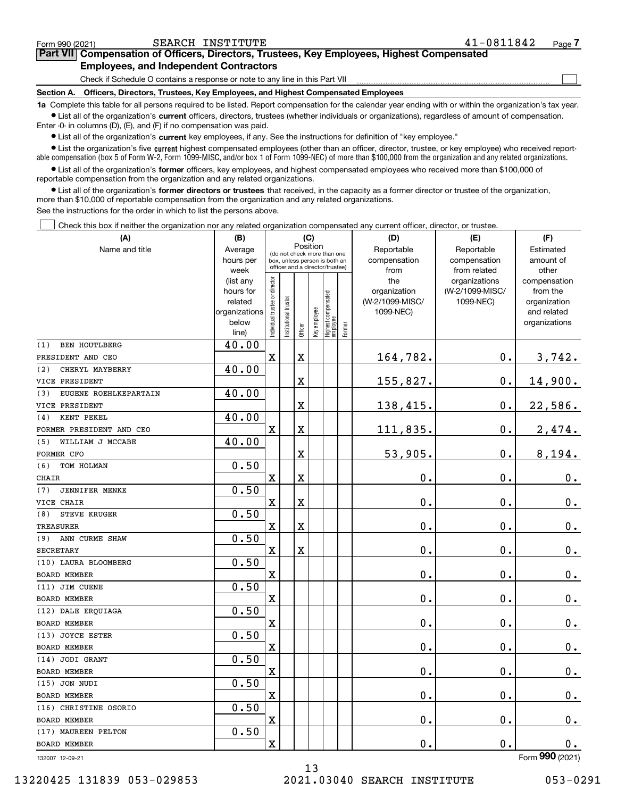|  | Form 990 (2021) |
|--|-----------------|
|  |                 |

 $\mathcal{L}^{\text{max}}$ 

# **7Part VII Compensation of Officers, Directors, Trustees, Key Employees, Highest Compensated Employees, and Independent Contractors**

Check if Schedule O contains a response or note to any line in this Part VII

**Section A. Officers, Directors, Trustees, Key Employees, and Highest Compensated Employees**

**1a**  Complete this table for all persons required to be listed. Report compensation for the calendar year ending with or within the organization's tax year. **•** List all of the organization's current officers, directors, trustees (whether individuals or organizations), regardless of amount of compensation.

Enter -0- in columns (D), (E), and (F) if no compensation was paid.

 $\bullet$  List all of the organization's  $\sf current$  key employees, if any. See the instructions for definition of "key employee."

**•** List the organization's five current highest compensated employees (other than an officer, director, trustee, or key employee) who received reportable compensation (box 5 of Form W-2, Form 1099-MISC, and/or box 1 of Form 1099-NEC) of more than \$100,000 from the organization and any related organizations.

**•** List all of the organization's former officers, key employees, and highest compensated employees who received more than \$100,000 of reportable compensation from the organization and any related organizations.

**former directors or trustees**  ¥ List all of the organization's that received, in the capacity as a former director or trustee of the organization, more than \$10,000 of reportable compensation from the organization and any related organizations.

See the instructions for the order in which to list the persons above.

Check this box if neither the organization nor any related organization compensated any current officer, director, or trustee.  $\mathcal{L}^{\text{max}}$ 

| (A)                          | (B)<br>(C)               |                                         |                                 |         |              |                                 |        | (D)                          | (E)             | (F)                         |
|------------------------------|--------------------------|-----------------------------------------|---------------------------------|---------|--------------|---------------------------------|--------|------------------------------|-----------------|-----------------------------|
| Name and title               | Average                  | Position<br>(do not check more than one |                                 |         |              |                                 |        | Reportable                   | Estimated       |                             |
|                              | hours per                |                                         | box, unless person is both an   |         |              |                                 |        | compensation                 | compensation    | amount of                   |
|                              | week                     |                                         | officer and a director/trustee) |         |              |                                 |        | from                         | from related    | other                       |
|                              | (list any                |                                         |                                 |         |              |                                 |        | the                          | organizations   | compensation                |
|                              | hours for                |                                         |                                 |         |              |                                 |        | organization                 | (W-2/1099-MISC/ | from the                    |
|                              | related<br>organizations |                                         |                                 |         |              |                                 |        | (W-2/1099-MISC/<br>1099-NEC) | 1099-NEC)       | organization<br>and related |
|                              | below                    |                                         |                                 |         |              |                                 |        |                              |                 | organizations               |
|                              | line)                    | Individual trustee or director          | Institutional trustee           | Officer | Key employee | Highest compensated<br>employee | Former |                              |                 |                             |
| <b>BEN HOUTLBERG</b><br>(1)  | 40.00                    |                                         |                                 |         |              |                                 |        |                              |                 |                             |
| PRESIDENT AND CEO            |                          | X                                       |                                 | X       |              |                                 |        | 164,782.                     | $\mathbf 0$ .   | 3,742.                      |
| CHERYL MAYBERRY<br>(2)       | 40.00                    |                                         |                                 |         |              |                                 |        |                              |                 |                             |
| VICE PRESIDENT               |                          |                                         |                                 | X       |              |                                 |        | 155,827.                     | $\mathbf 0$ .   | 14,900.                     |
| EUGENE ROEHLKEPARTAIN<br>(3) | 40.00                    |                                         |                                 |         |              |                                 |        |                              |                 |                             |
| VICE PRESIDENT               |                          |                                         |                                 | X       |              |                                 |        | 138,415.                     | $\mathbf 0$ .   | 22,586.                     |
| KENT PEKEL<br>(4)            | 40.00                    |                                         |                                 |         |              |                                 |        |                              |                 |                             |
| FORMER PRESIDENT AND CEO     |                          | X                                       |                                 | X       |              |                                 |        | 111,835.                     | $\mathbf 0$ .   | 2,474.                      |
| WILLIAM J MCCABE<br>(5)      | 40.00                    |                                         |                                 |         |              |                                 |        |                              |                 |                             |
| FORMER CFO                   |                          |                                         |                                 | X       |              |                                 |        | 53,905.                      | 0.              | 8,194.                      |
| TOM HOLMAN<br>(6)            | 0.50                     |                                         |                                 |         |              |                                 |        |                              |                 |                             |
| <b>CHAIR</b>                 |                          | X                                       |                                 | X       |              |                                 |        | 0.                           | 0.              | $0_{.}$                     |
| <b>JENNIFER MENKE</b><br>(7) | 0.50                     |                                         |                                 |         |              |                                 |        |                              |                 |                             |
| VICE CHAIR                   |                          | X                                       |                                 | X       |              |                                 |        | 0.                           | 0.              | $0_{.}$                     |
| <b>STEVE KRUGER</b><br>(8)   | 0.50                     |                                         |                                 |         |              |                                 |        |                              |                 |                             |
| <b>TREASURER</b>             |                          | X                                       |                                 | X       |              |                                 |        | 0.                           | 0.              | 0.                          |
| ANN CURME SHAW<br>(9)        | 0.50                     |                                         |                                 |         |              |                                 |        |                              |                 |                             |
| <b>SECRETARY</b>             |                          | X                                       |                                 | X       |              |                                 |        | 0.                           | 0.              | $0_{.}$                     |
| (10) LAURA BLOOMBERG         | 0.50                     |                                         |                                 |         |              |                                 |        |                              |                 |                             |
| BOARD MEMBER                 |                          | X                                       |                                 |         |              |                                 |        | 0.                           | 0.              | $0_{.}$                     |
| (11) JIM CUENE               | 0.50                     |                                         |                                 |         |              |                                 |        |                              |                 |                             |
| <b>BOARD MEMBER</b>          |                          | $\mathbf X$                             |                                 |         |              |                                 |        | 0.                           | 0.              | $0_{.}$                     |
| (12) DALE ERQUIAGA           | 0.50                     |                                         |                                 |         |              |                                 |        |                              |                 |                             |
| <b>BOARD MEMBER</b>          |                          | $\mathbf X$                             |                                 |         |              |                                 |        | 0.                           | 0.              | 0.                          |
| (13) JOYCE ESTER             | 0.50                     |                                         |                                 |         |              |                                 |        |                              |                 |                             |
| <b>BOARD MEMBER</b>          |                          | X                                       |                                 |         |              |                                 |        | 0.                           | 0.              | 0.                          |
| (14) JODI GRANT              | 0.50                     |                                         |                                 |         |              |                                 |        |                              |                 |                             |
| BOARD MEMBER                 |                          | X                                       |                                 |         |              |                                 |        | 0.                           | 0.              | 0.                          |
| (15) JON NUDI                | 0.50                     |                                         |                                 |         |              |                                 |        |                              |                 |                             |
| BOARD MEMBER                 |                          | $\mathbf X$                             |                                 |         |              |                                 |        | $\mathbf 0$ .                | 0.              | $0_{.}$                     |
| (16) CHRISTINE OSORIO        | 0.50                     |                                         |                                 |         |              |                                 |        |                              |                 |                             |
| BOARD MEMBER                 |                          | X                                       |                                 |         |              |                                 |        | 0.                           | 0.              | $0_{\cdot}$                 |
| (17) MAUREEN PELTON          | 0.50                     |                                         |                                 |         |              |                                 |        |                              |                 |                             |
| BOARD MEMBER                 |                          | X                                       |                                 |         |              |                                 |        | 0.                           | 0.              | 0.                          |
| 132007 12-09-21              |                          |                                         |                                 |         |              |                                 |        |                              |                 | Form $990$ (2021)           |

132007 12-09-21

13 13220425 131839 053-029853 2021.03040 SEARCH INSTITUTE 053-0291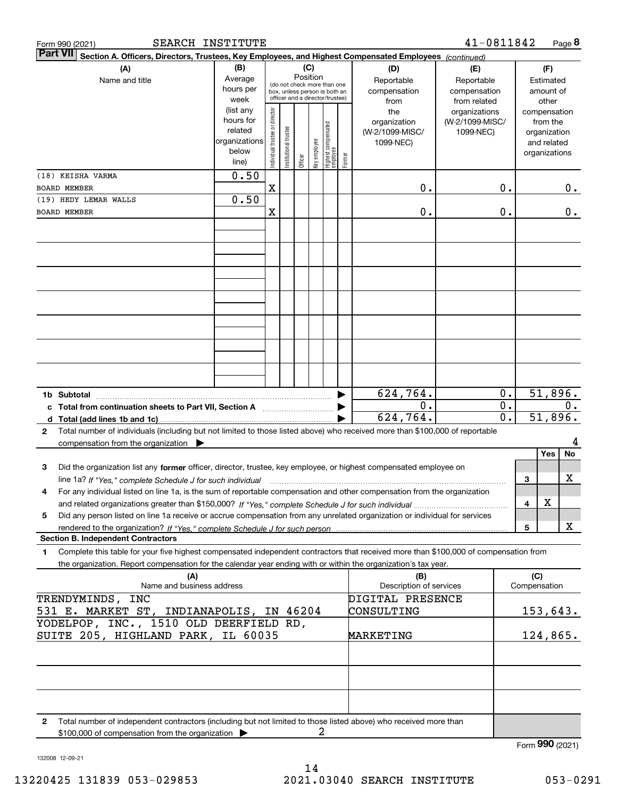| SEARCH INSTITUTE<br>Form 990 (2021)                                                                                                                                                                                                                                        |                                                                      |                                |                                                                                                 |         |                 |                                 |        |                                                     | 41-0811842                                        | Page 8                                                                   |         |
|----------------------------------------------------------------------------------------------------------------------------------------------------------------------------------------------------------------------------------------------------------------------------|----------------------------------------------------------------------|--------------------------------|-------------------------------------------------------------------------------------------------|---------|-----------------|---------------------------------|--------|-----------------------------------------------------|---------------------------------------------------|--------------------------------------------------------------------------|---------|
| Part VII<br>Section A. Officers, Directors, Trustees, Key Employees, and Highest Compensated Employees (continued)                                                                                                                                                         |                                                                      |                                |                                                                                                 |         |                 |                                 |        |                                                     |                                                   |                                                                          |         |
| (A)<br>Name and title                                                                                                                                                                                                                                                      | (B)<br>Average<br>hours per<br>week                                  |                                | (do not check more than one<br>box, unless person is both an<br>officer and a director/trustee) |         | (C)<br>Position |                                 |        | (D)<br>Reportable<br>compensation<br>from           | (E)<br>Reportable<br>compensation<br>from related | (F)<br>Estimated<br>amount of<br>other                                   |         |
|                                                                                                                                                                                                                                                                            | (list any<br>hours for<br>related<br>organizations<br>below<br>line) | Individual trustee or director | nstitutional trustee                                                                            | Officer | Key employee    | Highest compensated<br>employee | Former | the<br>organization<br>(W-2/1099-MISC/<br>1099-NEC) | organizations<br>(W-2/1099-MISC/<br>1099-NEC)     | compensation<br>from the<br>organization<br>and related<br>organizations |         |
| (18) KEISHA VARMA<br><b>BOARD MEMBER</b>                                                                                                                                                                                                                                   | 0.50                                                                 | X                              |                                                                                                 |         |                 |                                 |        | 0.                                                  |                                                   | 0.                                                                       |         |
| (19) HEDY LEMAR WALLS                                                                                                                                                                                                                                                      | 0.50                                                                 |                                |                                                                                                 |         |                 |                                 |        |                                                     |                                                   |                                                                          | 0.      |
| <b>BOARD MEMBER</b>                                                                                                                                                                                                                                                        |                                                                      | X                              |                                                                                                 |         |                 |                                 |        | 0.                                                  |                                                   | 0.                                                                       | 0.      |
|                                                                                                                                                                                                                                                                            |                                                                      |                                |                                                                                                 |         |                 |                                 |        |                                                     |                                                   |                                                                          |         |
|                                                                                                                                                                                                                                                                            |                                                                      |                                |                                                                                                 |         |                 |                                 |        |                                                     |                                                   |                                                                          |         |
|                                                                                                                                                                                                                                                                            |                                                                      |                                |                                                                                                 |         |                 |                                 |        |                                                     |                                                   |                                                                          |         |
|                                                                                                                                                                                                                                                                            |                                                                      |                                |                                                                                                 |         |                 |                                 |        |                                                     |                                                   |                                                                          |         |
|                                                                                                                                                                                                                                                                            |                                                                      |                                |                                                                                                 |         |                 |                                 |        |                                                     |                                                   |                                                                          |         |
| 1b Subtotal                                                                                                                                                                                                                                                                |                                                                      |                                |                                                                                                 |         |                 |                                 |        | 624,764.                                            |                                                   | 51,896.<br>0.                                                            |         |
| c Total from continuation sheets to Part VII, Section A manufactor continues<br>d Total (add lines 1b and 1c)                                                                                                                                                              |                                                                      |                                |                                                                                                 |         |                 |                                 |        | 0.<br>624, 764.                                     |                                                   | 0.<br>$\overline{0}$ .<br>51,896.                                        | 0.      |
| Total number of individuals (including but not limited to those listed above) who received more than \$100,000 of reportable<br>$\mathbf{2}$                                                                                                                               |                                                                      |                                |                                                                                                 |         |                 |                                 |        |                                                     |                                                   |                                                                          |         |
| compensation from the organization $\blacktriangleright$                                                                                                                                                                                                                   |                                                                      |                                |                                                                                                 |         |                 |                                 |        |                                                     |                                                   | Yes                                                                      | 4<br>No |
| Did the organization list any former officer, director, trustee, key employee, or highest compensated employee on<br>3<br>line 1a? If "Yes," complete Schedule J for such individual material content content to the 1a? If "Yes," complete Schedule J for such individual |                                                                      |                                |                                                                                                 |         |                 |                                 |        |                                                     |                                                   | 3                                                                        | х       |
| 4<br>For any individual listed on line 1a, is the sum of reportable compensation and other compensation from the organization                                                                                                                                              |                                                                      |                                |                                                                                                 |         |                 |                                 |        |                                                     |                                                   |                                                                          |         |
| Did any person listed on line 1a receive or accrue compensation from any unrelated organization or individual for services<br>5                                                                                                                                            |                                                                      |                                |                                                                                                 |         |                 |                                 |        |                                                     |                                                   | X<br>4                                                                   |         |
|                                                                                                                                                                                                                                                                            |                                                                      |                                |                                                                                                 |         |                 |                                 |        |                                                     |                                                   | 5                                                                        | х       |
| <b>Section B. Independent Contractors</b>                                                                                                                                                                                                                                  |                                                                      |                                |                                                                                                 |         |                 |                                 |        |                                                     |                                                   |                                                                          |         |
| Complete this table for your five highest compensated independent contractors that received more than \$100,000 of compensation from<br>1<br>the organization. Report compensation for the calendar year ending with or within the organization's tax year.                |                                                                      |                                |                                                                                                 |         |                 |                                 |        |                                                     |                                                   |                                                                          |         |
| (A)<br>Name and business address                                                                                                                                                                                                                                           |                                                                      |                                |                                                                                                 |         |                 |                                 |        | (B)<br>Description of services                      |                                                   | (C)<br>Compensation                                                      |         |
| TRENDYMINDS, INC                                                                                                                                                                                                                                                           |                                                                      |                                |                                                                                                 |         |                 |                                 |        | DIGITAL PRESENCE                                    |                                                   |                                                                          |         |
| 531 E. MARKET ST, INDIANAPOLIS, IN 46204                                                                                                                                                                                                                                   |                                                                      |                                |                                                                                                 |         |                 |                                 |        | CONSULTING                                          |                                                   | 153,643.                                                                 |         |
| YODELPOP, INC., 1510 OLD DEERFIELD RD,<br>SUITE 205, HIGHLAND PARK, IL 60035                                                                                                                                                                                               |                                                                      |                                |                                                                                                 |         |                 |                                 |        | <b>MARKETING</b>                                    |                                                   | 124,865.                                                                 |         |
|                                                                                                                                                                                                                                                                            |                                                                      |                                |                                                                                                 |         |                 |                                 |        |                                                     |                                                   |                                                                          |         |
|                                                                                                                                                                                                                                                                            |                                                                      |                                |                                                                                                 |         |                 |                                 |        |                                                     |                                                   |                                                                          |         |
| Total number of independent contractors (including but not limited to those listed above) who received more than<br>$\mathbf{2}$                                                                                                                                           |                                                                      |                                |                                                                                                 |         |                 |                                 |        |                                                     |                                                   |                                                                          |         |
| \$100,000 of compensation from the organization                                                                                                                                                                                                                            |                                                                      |                                |                                                                                                 |         | 2               |                                 |        |                                                     |                                                   | Form 990 (2021)                                                          |         |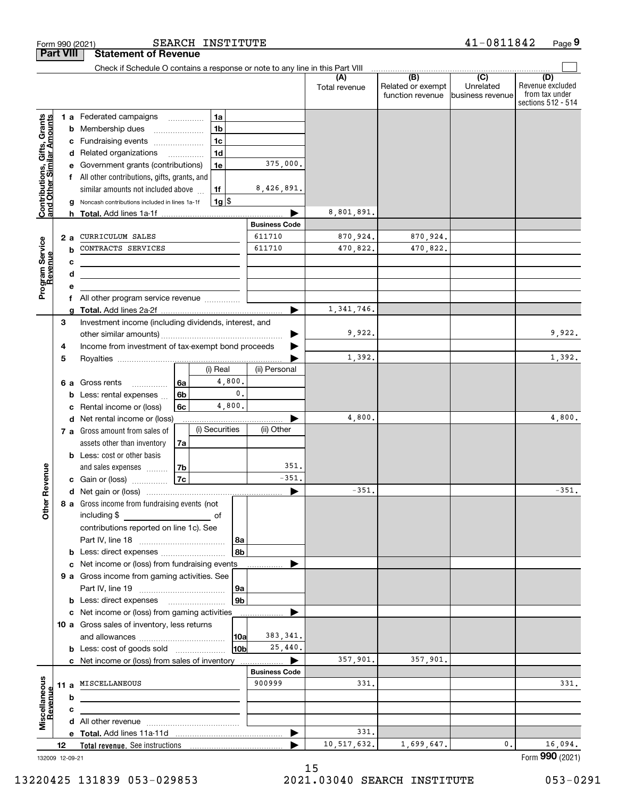| <b>Part VIII</b>                                          |    |        | <b>Statement of Revenue</b>                                                   |    |                |                |                      |                      |                                              |                                                 |                                                                 |
|-----------------------------------------------------------|----|--------|-------------------------------------------------------------------------------|----|----------------|----------------|----------------------|----------------------|----------------------------------------------|-------------------------------------------------|-----------------------------------------------------------------|
|                                                           |    |        | Check if Schedule O contains a response or note to any line in this Part VIII |    |                |                |                      |                      |                                              |                                                 |                                                                 |
|                                                           |    |        |                                                                               |    |                |                |                      | Total revenue        | (B)<br>Related or exempt<br>function revenue | $\overline{C}$<br>Unrelated<br>business revenue | (D)<br>Revenue excluded<br>from tax under<br>sections 512 - 514 |
|                                                           |    |        | 1 a Federated campaigns                                                       |    | 1a             |                |                      |                      |                                              |                                                 |                                                                 |
|                                                           |    | b      | Membership dues                                                               |    | 1 <sub>b</sub> |                |                      |                      |                                              |                                                 |                                                                 |
|                                                           |    | с      | Fundraising events                                                            |    | 1 <sub>c</sub> |                |                      |                      |                                              |                                                 |                                                                 |
|                                                           |    |        | d Related organizations                                                       |    | 1 <sub>d</sub> |                |                      |                      |                                              |                                                 |                                                                 |
|                                                           |    | е      | Government grants (contributions)                                             |    | 1e             |                | 375,000.             |                      |                                              |                                                 |                                                                 |
|                                                           |    |        | All other contributions, gifts, grants, and                                   |    |                |                |                      |                      |                                              |                                                 |                                                                 |
|                                                           |    |        | similar amounts not included above                                            |    | 1f             |                | 8,426,891.           |                      |                                              |                                                 |                                                                 |
| Contributions, Gifts, Grants<br>and Other Similar Amounts |    |        | Noncash contributions included in lines 1a-1f                                 |    | $1g$ \$        |                |                      |                      |                                              |                                                 |                                                                 |
|                                                           |    |        |                                                                               |    |                |                |                      | 8,801,891.           |                                              |                                                 |                                                                 |
|                                                           |    |        |                                                                               |    |                |                | <b>Business Code</b> |                      |                                              |                                                 |                                                                 |
| Program Service<br>Revenue                                |    | 2a     | CURRICULUM SALES<br>CONTRACTS SERVICES                                        |    |                |                | 611710<br>611710     | 870,924.<br>470,822. | 870,924.                                     |                                                 |                                                                 |
|                                                           |    | b      |                                                                               |    |                |                |                      |                      | 470,822.                                     |                                                 |                                                                 |
|                                                           |    | c      |                                                                               |    |                |                |                      |                      |                                              |                                                 |                                                                 |
|                                                           |    | d<br>е |                                                                               |    |                |                |                      |                      |                                              |                                                 |                                                                 |
|                                                           |    | f      | All other program service revenue                                             |    |                |                |                      |                      |                                              |                                                 |                                                                 |
|                                                           |    |        |                                                                               |    |                |                |                      | 1,341,746.           |                                              |                                                 |                                                                 |
|                                                           | 3  |        | Investment income (including dividends, interest, and                         |    |                |                |                      |                      |                                              |                                                 |                                                                 |
|                                                           |    |        |                                                                               |    |                |                |                      | 9,922.               |                                              |                                                 | 9,922.                                                          |
|                                                           | 4  |        | Income from investment of tax-exempt bond proceeds                            |    |                |                |                      |                      |                                              |                                                 |                                                                 |
|                                                           | 5  |        |                                                                               |    |                |                |                      | 1,392.               |                                              |                                                 | 1,392.                                                          |
|                                                           |    |        |                                                                               |    | (i) Real       |                | (ii) Personal        |                      |                                              |                                                 |                                                                 |
|                                                           |    | 6а     | Gross rents                                                                   | 6а |                | 4,800.         |                      |                      |                                              |                                                 |                                                                 |
|                                                           |    | b      | Less: rental expenses                                                         | 6b |                | $\mathbf{0}$ . |                      |                      |                                              |                                                 |                                                                 |
|                                                           |    | c      | Rental income or (loss)                                                       | 6с |                | 4,800.         |                      |                      |                                              |                                                 |                                                                 |
|                                                           |    | d      | Net rental income or (loss)                                                   |    |                |                |                      | 4,800.               |                                              |                                                 | 4,800.                                                          |
|                                                           |    |        | 7 a Gross amount from sales of                                                |    | (i) Securities |                | (ii) Other           |                      |                                              |                                                 |                                                                 |
|                                                           |    |        | assets other than inventory                                                   | 7a |                |                |                      |                      |                                              |                                                 |                                                                 |
|                                                           |    |        | <b>b</b> Less: cost or other basis                                            |    |                |                |                      |                      |                                              |                                                 |                                                                 |
| Revenue                                                   |    |        | and sales expenses                                                            | 7b |                |                | 351.<br>$-351$       |                      |                                              |                                                 |                                                                 |
|                                                           |    |        | c Gain or (loss)                                                              | 7c |                |                |                      | $-351$ .             |                                              |                                                 | $-351.$                                                         |
|                                                           |    |        | 8 a Gross income from fundraising events (not                                 |    |                |                | ▶                    |                      |                                              |                                                 |                                                                 |
| <b>Other</b>                                              |    |        | including \$                                                                  |    |                |                |                      |                      |                                              |                                                 |                                                                 |
|                                                           |    |        | contributions reported on line 1c). See                                       |    |                |                |                      |                      |                                              |                                                 |                                                                 |
|                                                           |    |        |                                                                               |    |                | 8a             |                      |                      |                                              |                                                 |                                                                 |
|                                                           |    |        |                                                                               |    |                | 8b             |                      |                      |                                              |                                                 |                                                                 |
|                                                           |    |        | c Net income or (loss) from fundraising events                                |    |                |                |                      |                      |                                              |                                                 |                                                                 |
|                                                           |    |        | 9 a Gross income from gaming activities. See                                  |    |                |                |                      |                      |                                              |                                                 |                                                                 |
|                                                           |    |        |                                                                               |    |                | 9a             |                      |                      |                                              |                                                 |                                                                 |
|                                                           |    |        | <b>b</b> Less: direct expenses <b>manually</b>                                |    |                | 9 <sub>b</sub> |                      |                      |                                              |                                                 |                                                                 |
|                                                           |    |        | c Net income or (loss) from gaming activities                                 |    |                |                |                      |                      |                                              |                                                 |                                                                 |
|                                                           |    |        | 10 a Gross sales of inventory, less returns                                   |    |                |                |                      |                      |                                              |                                                 |                                                                 |
|                                                           |    |        |                                                                               |    |                | 10a            | 383, 341.            |                      |                                              |                                                 |                                                                 |
|                                                           |    |        | <b>b</b> Less: cost of goods sold                                             |    |                | 10b            | 25,440.              |                      |                                              |                                                 |                                                                 |
|                                                           |    |        | c Net income or (loss) from sales of inventory                                |    |                |                |                      | 357,901.             | 357,901.                                     |                                                 |                                                                 |
|                                                           |    |        |                                                                               |    |                |                | <b>Business Code</b> |                      |                                              |                                                 |                                                                 |
|                                                           |    |        | 11 a MISCELLANEOUS                                                            |    |                |                | 900999               | 331.                 |                                              |                                                 | 331.                                                            |
|                                                           |    | b      |                                                                               |    |                |                |                      |                      |                                              |                                                 |                                                                 |
| Miscellaneous<br>Revenue                                  |    | c      |                                                                               |    |                |                |                      |                      |                                              |                                                 |                                                                 |
|                                                           |    |        |                                                                               |    |                |                |                      |                      |                                              |                                                 |                                                                 |
|                                                           |    |        |                                                                               |    |                |                | ▶                    | 331.                 |                                              |                                                 | 16,094.                                                         |
|                                                           | 12 |        |                                                                               |    |                |                |                      | 10,517,632.          | 1,699,647.                                   | 0.                                              |                                                                 |

Form 990 (2021) SEARCH INS'I'I'U'I'E 4 I-0 8 I I 8 4 Z Page

SEARCH INSTITUTE

132009 12-09-21

**9**

41-0811842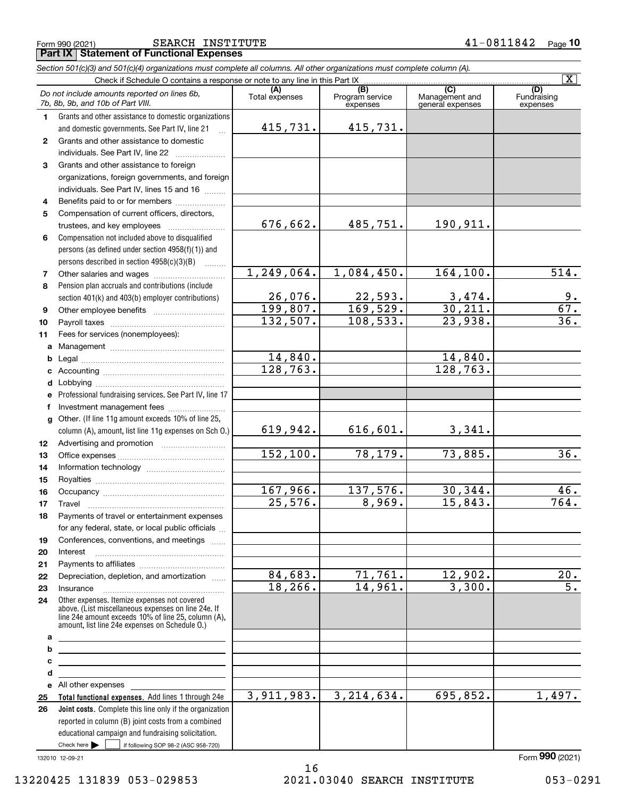Form 990 (2021) Page **Part IX Statement of Functional Expenses** SEARCH INSTITUTE 41-0811842

|              | Section 501(c)(3) and 501(c)(4) organizations must complete all columns. All other organizations must complete column (A).                                   |                       |                                    |                                    | $\overline{\mathbf{X}}$        |
|--------------|--------------------------------------------------------------------------------------------------------------------------------------------------------------|-----------------------|------------------------------------|------------------------------------|--------------------------------|
|              | Check if Schedule O contains a response or note to any line in this Part IX                                                                                  |                       |                                    | (C)                                |                                |
|              | Do not include amounts reported on lines 6b,<br>7b, 8b, 9b, and 10b of Part VIII.                                                                            | (A)<br>Total expenses | (B)<br>Program service<br>expenses | Management and<br>general expenses | (D)<br>Fundraising<br>expenses |
| 1.           | Grants and other assistance to domestic organizations                                                                                                        |                       |                                    |                                    |                                |
|              | and domestic governments. See Part IV, line 21                                                                                                               | 415,731.              | 415,731.                           |                                    |                                |
| $\mathbf{2}$ | Grants and other assistance to domestic                                                                                                                      |                       |                                    |                                    |                                |
|              | individuals. See Part IV, line 22<br>$\overline{\phantom{a}}$                                                                                                |                       |                                    |                                    |                                |
| 3            | Grants and other assistance to foreign                                                                                                                       |                       |                                    |                                    |                                |
|              | organizations, foreign governments, and foreign                                                                                                              |                       |                                    |                                    |                                |
|              | individuals. See Part IV, lines 15 and 16                                                                                                                    |                       |                                    |                                    |                                |
| 4            | Benefits paid to or for members                                                                                                                              |                       |                                    |                                    |                                |
| 5            | Compensation of current officers, directors,                                                                                                                 |                       |                                    |                                    |                                |
|              | trustees, and key employees                                                                                                                                  | 676,662.              | 485,751.                           | 190,911.                           |                                |
| 6            | Compensation not included above to disqualified                                                                                                              |                       |                                    |                                    |                                |
|              | persons (as defined under section 4958(f)(1)) and                                                                                                            |                       |                                    |                                    |                                |
|              | persons described in section $4958(c)(3)(B)$                                                                                                                 |                       |                                    |                                    |                                |
| 7            |                                                                                                                                                              | 1, 249, 064.          | 1,084,450.                         | 164, 100.                          | 514.                           |
| 8            | Pension plan accruals and contributions (include                                                                                                             |                       |                                    |                                    |                                |
|              | section 401(k) and 403(b) employer contributions)                                                                                                            | 26,076.               | 22,593.                            | $\frac{3,474}{30,211}$ .           | <u>9.</u>                      |
| 9            |                                                                                                                                                              | 199,807.              | 169,529.                           |                                    | 67.                            |
| 10           |                                                                                                                                                              | 132,507.              | 108,533.                           | 23,938.                            | $\overline{36}$                |
| 11           | Fees for services (nonemployees):                                                                                                                            |                       |                                    |                                    |                                |
|              |                                                                                                                                                              |                       |                                    |                                    |                                |
| b            |                                                                                                                                                              | 14,840.               |                                    | 14,840.                            |                                |
| c            |                                                                                                                                                              | 128, 763.             |                                    | 128,763.                           |                                |
| d            |                                                                                                                                                              |                       |                                    |                                    |                                |
| е            | Professional fundraising services. See Part IV, line 17                                                                                                      |                       |                                    |                                    |                                |
| f            | Investment management fees                                                                                                                                   |                       |                                    |                                    |                                |
| g            | Other. (If line 11g amount exceeds 10% of line 25,                                                                                                           |                       |                                    |                                    |                                |
|              | column (A), amount, list line 11g expenses on Sch O.)                                                                                                        | 619,942.              | 616, 601.                          | 3,341.                             |                                |
| 12           |                                                                                                                                                              |                       |                                    |                                    |                                |
| 13           |                                                                                                                                                              | 152, 100.             | 78,179.                            | 73,885.                            | 36.                            |
| 14           |                                                                                                                                                              |                       |                                    |                                    |                                |
| 15           |                                                                                                                                                              |                       |                                    |                                    |                                |
| 16           |                                                                                                                                                              | 167,966.              | 137,576.                           | 30,344.                            | 46.<br>764.                    |
| 17           |                                                                                                                                                              | 25,576.               | 8,969.                             | 15,843.                            |                                |
| 18           | Payments of travel or entertainment expenses                                                                                                                 |                       |                                    |                                    |                                |
|              | for any federal, state, or local public officials                                                                                                            |                       |                                    |                                    |                                |
| 19           | Conferences, conventions, and meetings                                                                                                                       |                       |                                    |                                    |                                |
| 20           | Interest                                                                                                                                                     |                       |                                    |                                    |                                |
| 21           |                                                                                                                                                              | 84,683.               | 71,761.                            | 12,902.                            | 20.                            |
| 22           | Depreciation, depletion, and amortization                                                                                                                    | 18, 266.              | 14,961.                            | 3,300.                             | $\overline{5}$ .               |
| 23           | Insurance<br>Other expenses. Itemize expenses not covered                                                                                                    |                       |                                    |                                    |                                |
| 24           | above. (List miscellaneous expenses on line 24e. If<br>line 24e amount exceeds 10% of line 25, column (A),<br>amount, list line 24e expenses on Schedule O.) |                       |                                    |                                    |                                |
| а            | <u> 1989 - Johann Harrison, markazar basar (</u>                                                                                                             |                       |                                    |                                    |                                |
| b            | <u> 1989 - Johann Barbara, martxa alemaniar a</u>                                                                                                            |                       |                                    |                                    |                                |
| с            | <u> 1989 - Johann Barn, amerikansk politiker (d. 1989)</u>                                                                                                   |                       |                                    |                                    |                                |
| d            | <u> 1989 - Johann Stein, marwolaethau a bhann an t-Amhainn an t-Amhainn an t-Amhainn an t-Amhainn an t-Amhainn an</u>                                        |                       |                                    |                                    |                                |
|              |                                                                                                                                                              |                       |                                    |                                    |                                |
| 25           | Total functional expenses. Add lines 1 through 24e                                                                                                           | 3,911,983.            | 3, 214, 634.                       | 695,852.                           | 1,497.                         |
| 26           | Joint costs. Complete this line only if the organization                                                                                                     |                       |                                    |                                    |                                |
|              | reported in column (B) joint costs from a combined<br>educational campaign and fundraising solicitation.                                                     |                       |                                    |                                    |                                |

132010 12-09-21

 $Check here$ 

Check here  $\begin{array}{|c|c|c|c|c|}\hline \text{ } & \text{ if following SOP 98-2 (ASC 958-720)} \hline \end{array}$ 

Form (2021) **990**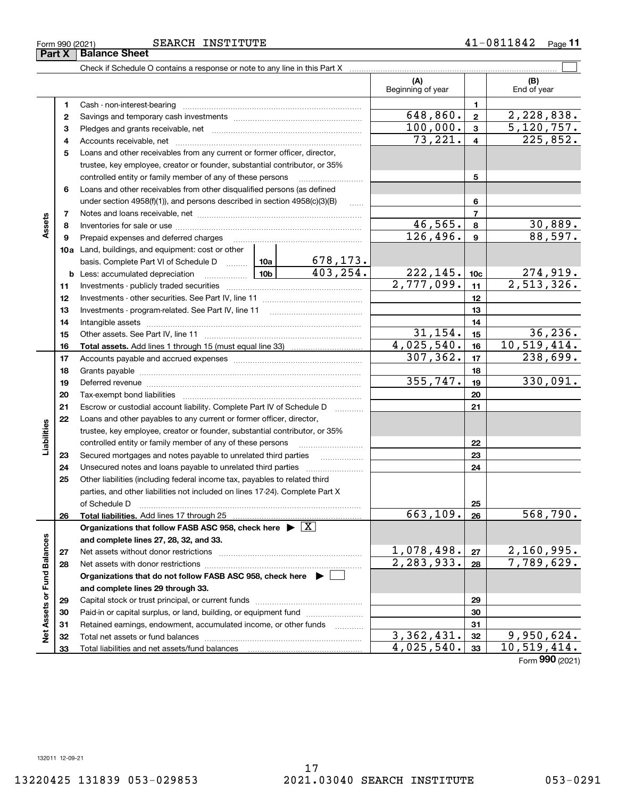## Form 990 (2021) SEARCH INSTITUTE 4 $1$   $0\,811842$   $\,$   $_{\rm Page}$

Check if Schedule O contains a response or note to any line in this Part X

|                             |    |                                                                                                                                                                                                                                |                 |                             | (A)<br>Beginning of year |                 | (B)<br>End of year |
|-----------------------------|----|--------------------------------------------------------------------------------------------------------------------------------------------------------------------------------------------------------------------------------|-----------------|-----------------------------|--------------------------|-----------------|--------------------|
|                             | 1  | Cash - non-interest-bearing                                                                                                                                                                                                    |                 |                             |                          | 1               |                    |
|                             | 2  |                                                                                                                                                                                                                                |                 |                             | 648,860.                 | $\mathbf{2}$    | 2,228,838.         |
|                             | з  |                                                                                                                                                                                                                                | 100,000.        | $\mathbf{3}$                | 5, 120, 757.             |                 |                    |
|                             | 4  |                                                                                                                                                                                                                                |                 |                             | 73,221.                  | 4               | 225,852.           |
|                             | 5  | Loans and other receivables from any current or former officer, director,                                                                                                                                                      |                 |                             |                          |                 |                    |
|                             |    | trustee, key employee, creator or founder, substantial contributor, or 35%                                                                                                                                                     |                 |                             |                          |                 |                    |
|                             |    | controlled entity or family member of any of these persons                                                                                                                                                                     |                 |                             |                          | 5               |                    |
|                             | 6  | Loans and other receivables from other disqualified persons (as defined                                                                                                                                                        |                 |                             |                          |                 |                    |
|                             |    | under section $4958(f)(1)$ , and persons described in section $4958(c)(3)(B)$                                                                                                                                                  |                 | $\ldots$                    |                          | 6               |                    |
|                             | 7  |                                                                                                                                                                                                                                |                 |                             |                          | $\overline{7}$  |                    |
| Assets                      | 8  |                                                                                                                                                                                                                                |                 |                             | 46,565.                  | 8               | 30,889.            |
|                             | 9  | Prepaid expenses and deferred charges                                                                                                                                                                                          |                 |                             | 126,496.                 | 9               | 88,597.            |
|                             |    | <b>10a</b> Land, buildings, and equipment: cost or other                                                                                                                                                                       |                 |                             |                          |                 |                    |
|                             |    | basis. Complete Part VI of Schedule D  10a                                                                                                                                                                                     |                 | $\frac{678,173.}{403,254.}$ |                          |                 |                    |
|                             |    | <b>b</b> Less: accumulated depreciation                                                                                                                                                                                        | 10 <sub>b</sub> |                             | 222,145.                 | 10 <sub>c</sub> | 274,919.           |
|                             | 11 |                                                                                                                                                                                                                                |                 |                             | 2,777,099.               | 11              | 2,513,326.         |
|                             | 12 |                                                                                                                                                                                                                                |                 |                             |                          | 12              |                    |
|                             | 13 |                                                                                                                                                                                                                                |                 |                             |                          | 13              |                    |
|                             | 14 |                                                                                                                                                                                                                                |                 | 14                          |                          |                 |                    |
|                             | 15 |                                                                                                                                                                                                                                |                 |                             | 31, 154.                 | 15              | 36, 236.           |
|                             | 16 |                                                                                                                                                                                                                                |                 |                             | 4,025,540.               | 16              | 10, 519, 414.      |
|                             | 17 |                                                                                                                                                                                                                                |                 |                             | 307, 362.                | 17              | 238,699.           |
|                             | 18 |                                                                                                                                                                                                                                |                 | 18                          |                          |                 |                    |
|                             | 19 | Deferred revenue manual contracts and contracts are contracted and contract and contract are contracted and contract are contracted and contract are contracted and contract are contracted and contract are contracted and co | 355,747.        | 19                          | 330,091.                 |                 |                    |
|                             | 20 |                                                                                                                                                                                                                                |                 |                             |                          | 20              |                    |
|                             | 21 | Escrow or custodial account liability. Complete Part IV of Schedule D                                                                                                                                                          |                 |                             |                          | 21              |                    |
|                             | 22 | Loans and other payables to any current or former officer, director,                                                                                                                                                           |                 |                             |                          |                 |                    |
| Liabilities                 |    | trustee, key employee, creator or founder, substantial contributor, or 35%                                                                                                                                                     |                 |                             |                          |                 |                    |
|                             |    | controlled entity or family member of any of these persons                                                                                                                                                                     |                 |                             |                          | 22              |                    |
|                             | 23 | Secured mortgages and notes payable to unrelated third parties                                                                                                                                                                 |                 |                             |                          | 23              |                    |
|                             | 24 | Unsecured notes and loans payable to unrelated third parties                                                                                                                                                                   |                 |                             |                          | 24              |                    |
|                             | 25 | Other liabilities (including federal income tax, payables to related third                                                                                                                                                     |                 |                             |                          |                 |                    |
|                             |    | parties, and other liabilities not included on lines 17-24). Complete Part X                                                                                                                                                   |                 |                             |                          |                 |                    |
|                             |    | of Schedule D                                                                                                                                                                                                                  |                 |                             | 663, 109.                | 25<br>26        | 568,790.           |
|                             | 26 | Organizations that follow FASB ASC 958, check here $\blacktriangleright \boxed{\text{X}}$                                                                                                                                      |                 |                             |                          |                 |                    |
|                             |    | and complete lines 27, 28, 32, and 33.                                                                                                                                                                                         |                 |                             |                          |                 |                    |
|                             | 27 | Net assets without donor restrictions                                                                                                                                                                                          | 1,078,498.      | 27                          | 2,160,995.               |                 |                    |
|                             | 28 |                                                                                                                                                                                                                                | 2, 283, 933.    | 28                          | 7,789,629.               |                 |                    |
|                             |    | Organizations that do not follow FASB ASC 958, check here $\blacktriangleright$                                                                                                                                                |                 |                             |                          |                 |                    |
|                             |    | and complete lines 29 through 33.                                                                                                                                                                                              |                 |                             |                          |                 |                    |
|                             | 29 |                                                                                                                                                                                                                                |                 |                             |                          | 29              |                    |
| Net Assets or Fund Balances | 30 | Paid-in or capital surplus, or land, building, or equipment fund                                                                                                                                                               |                 |                             |                          | 30              |                    |
|                             | 31 | Retained earnings, endowment, accumulated income, or other funds                                                                                                                                                               |                 | .                           |                          | 31              |                    |
|                             | 32 | Total net assets or fund balances                                                                                                                                                                                              |                 |                             | 3,362,431.               | 32              | 9,950,624.         |
|                             | 33 |                                                                                                                                                                                                                                |                 |                             | 4,025,540.               | 33              | 10,519,414.        |

 $\mathcal{L}^{\text{max}}$ 

Form (2021) **990**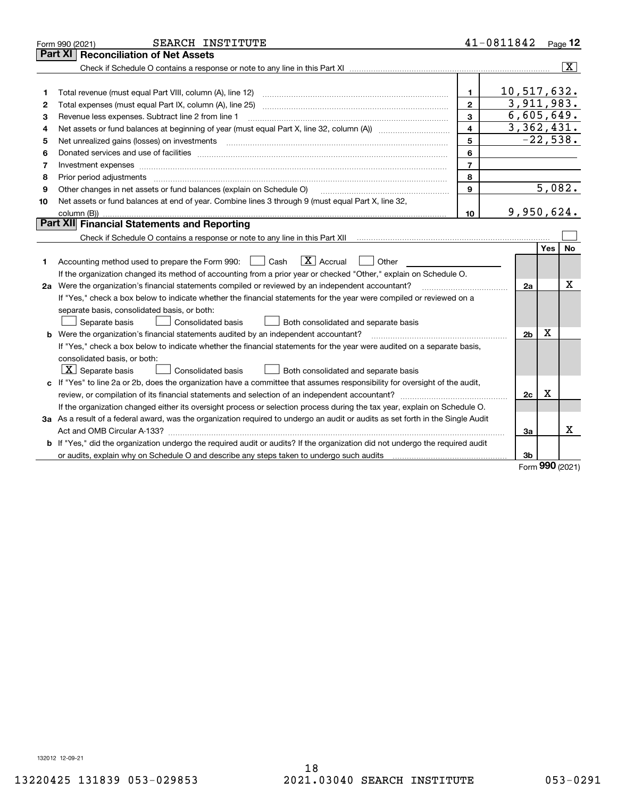|    | SEARCH INSTITUTE<br>Form 990 (2021)                                                                                             |                         | 41-0811842     |     | Page 12        |
|----|---------------------------------------------------------------------------------------------------------------------------------|-------------------------|----------------|-----|----------------|
|    | <b>Reconciliation of Net Assets</b><br>Part XI                                                                                  |                         |                |     |                |
|    |                                                                                                                                 |                         |                |     | $ \mathbf{X} $ |
|    |                                                                                                                                 |                         |                |     |                |
| 1  | Total revenue (must equal Part VIII, column (A), line 12)                                                                       | 1.                      | 10,517,632.    |     |                |
| 2  |                                                                                                                                 | $\mathbf{2}$            | 3,911,983.     |     |                |
| 3  | Revenue less expenses. Subtract line 2 from line 1                                                                              | 3                       | 6,605,649.     |     |                |
| 4  | Net assets or fund balances at beginning of year (must equal Part X, line 32, column (A))                                       | $\overline{\mathbf{4}}$ | 3,362,431.     |     |                |
| 5  | Net unrealized gains (losses) on investments                                                                                    | 5                       |                |     | $-22,538.$     |
| 6  |                                                                                                                                 | 6                       |                |     |                |
| 7  | Investment expenses www.communication.com/www.communication.com/www.communication.com/www.com                                   | $\overline{7}$          |                |     |                |
| 8  | Prior period adjustments                                                                                                        | 8                       |                |     |                |
| 9  | Other changes in net assets or fund balances (explain on Schedule O)                                                            | 9                       |                |     | 5,082.         |
| 10 | Net assets or fund balances at end of year. Combine lines 3 through 9 (must equal Part X, line 32,                              |                         |                |     |                |
|    |                                                                                                                                 | 10                      | 9,950,624.     |     |                |
|    | Part XII Financial Statements and Reporting                                                                                     |                         |                |     |                |
|    |                                                                                                                                 |                         |                |     |                |
|    |                                                                                                                                 |                         |                | Yes | No             |
| 1  | $\boxed{\mathbf{X}}$ Accrual<br>Accounting method used to prepare the Form 990: <u>[</u> Cash<br>Other                          |                         |                |     |                |
|    | If the organization changed its method of accounting from a prior year or checked "Other," explain on Schedule O.               |                         |                |     |                |
|    | 2a Were the organization's financial statements compiled or reviewed by an independent accountant?                              |                         | 2a             |     | Χ              |
|    | If "Yes," check a box below to indicate whether the financial statements for the year were compiled or reviewed on a            |                         |                |     |                |
|    | separate basis, consolidated basis, or both:                                                                                    |                         |                |     |                |
|    | Separate basis<br><b>Consolidated basis</b><br>Both consolidated and separate basis                                             |                         |                |     |                |
|    | <b>b</b> Were the organization's financial statements audited by an independent accountant?                                     |                         | 2 <sub>b</sub> | х   |                |
|    | If "Yes," check a box below to indicate whether the financial statements for the year were audited on a separate basis,         |                         |                |     |                |
|    | consolidated basis, or both:                                                                                                    |                         |                |     |                |
|    | $\vert X \vert$ Separate basis<br>Consolidated basis<br>Both consolidated and separate basis                                    |                         |                |     |                |
|    | c If "Yes" to line 2a or 2b, does the organization have a committee that assumes responsibility for oversight of the audit,     |                         |                |     |                |
|    |                                                                                                                                 |                         | 2c             | x   |                |
|    | If the organization changed either its oversight process or selection process during the tax year, explain on Schedule O.       |                         |                |     |                |
|    | 3a As a result of a federal award, was the organization required to undergo an audit or audits as set forth in the Single Audit |                         |                |     |                |
|    |                                                                                                                                 |                         | 3a             |     | x              |
|    | b If "Yes," did the organization undergo the required audit or audits? If the organization did not undergo the required audit   |                         |                |     |                |
|    |                                                                                                                                 |                         | 3b             |     |                |

Form (2021) **990**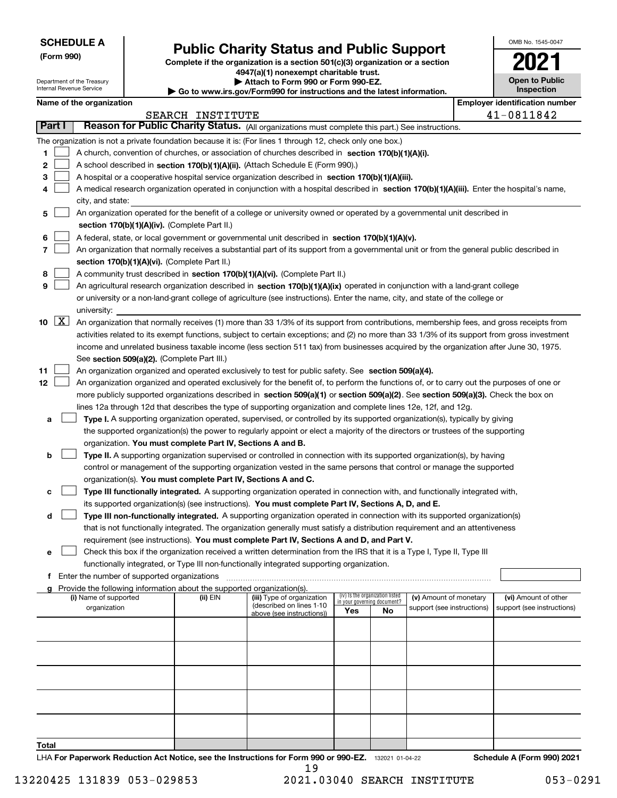Department of the Treasury Internal Revenue Service

**(Form 990)**

## **Public Charity Status and Public Support**

**Complete if the organization is a section 501(c)(3) organization or a section 4947(a)(1) nonexempt charitable trust.**

**| Attach to Form 990 or Form 990-EZ.** 

**| Go to www.irs.gov/Form990 for instructions and the latest information.**

| OMB No. 1545-0047                   |
|-------------------------------------|
| OŹ                                  |
| <b>Open to Public</b><br>Inspection |

|  |  |  | Name of the organization |  |
|--|--|--|--------------------------|--|
|--|--|--|--------------------------|--|

|                           | <b>Employer identification number</b><br>Name of the organization                                                                            |          |                                                        |                             |                                 |                            |  |                            |
|---------------------------|----------------------------------------------------------------------------------------------------------------------------------------------|----------|--------------------------------------------------------|-----------------------------|---------------------------------|----------------------------|--|----------------------------|
|                           | 41-0811842<br>SEARCH INSTITUTE                                                                                                               |          |                                                        |                             |                                 |                            |  |                            |
| <b>Part I</b>             | Reason for Public Charity Status. (All organizations must complete this part.) See instructions.                                             |          |                                                        |                             |                                 |                            |  |                            |
|                           | The organization is not a private foundation because it is: (For lines 1 through 12, check only one box.)                                    |          |                                                        |                             |                                 |                            |  |                            |
| 1                         | A church, convention of churches, or association of churches described in section 170(b)(1)(A)(i).                                           |          |                                                        |                             |                                 |                            |  |                            |
| 2                         | A school described in section 170(b)(1)(A)(ii). (Attach Schedule E (Form 990).)                                                              |          |                                                        |                             |                                 |                            |  |                            |
| З                         | A hospital or a cooperative hospital service organization described in section 170(b)(1)(A)(iii).                                            |          |                                                        |                             |                                 |                            |  |                            |
|                           | A medical research organization operated in conjunction with a hospital described in section 170(b)(1)(A)(iii). Enter the hospital's name,   |          |                                                        |                             |                                 |                            |  |                            |
|                           | city, and state:                                                                                                                             |          |                                                        |                             |                                 |                            |  |                            |
| 5                         | An organization operated for the benefit of a college or university owned or operated by a governmental unit described in                    |          |                                                        |                             |                                 |                            |  |                            |
|                           | section 170(b)(1)(A)(iv). (Complete Part II.)                                                                                                |          |                                                        |                             |                                 |                            |  |                            |
| 6                         | A federal, state, or local government or governmental unit described in section 170(b)(1)(A)(v).                                             |          |                                                        |                             |                                 |                            |  |                            |
| 7                         | An organization that normally receives a substantial part of its support from a governmental unit or from the general public described in    |          |                                                        |                             |                                 |                            |  |                            |
|                           | section 170(b)(1)(A)(vi). (Complete Part II.)                                                                                                |          |                                                        |                             |                                 |                            |  |                            |
| 8                         | A community trust described in section 170(b)(1)(A)(vi). (Complete Part II.)                                                                 |          |                                                        |                             |                                 |                            |  |                            |
| 9                         | An agricultural research organization described in section 170(b)(1)(A)(ix) operated in conjunction with a land-grant college                |          |                                                        |                             |                                 |                            |  |                            |
|                           | or university or a non-land-grant college of agriculture (see instructions). Enter the name, city, and state of the college or               |          |                                                        |                             |                                 |                            |  |                            |
|                           | university:                                                                                                                                  |          |                                                        |                             |                                 |                            |  |                            |
| $\lfloor x \rfloor$<br>10 | An organization that normally receives (1) more than 33 1/3% of its support from contributions, membership fees, and gross receipts from     |          |                                                        |                             |                                 |                            |  |                            |
|                           | activities related to its exempt functions, subject to certain exceptions; and (2) no more than 33 1/3% of its support from gross investment |          |                                                        |                             |                                 |                            |  |                            |
|                           | income and unrelated business taxable income (less section 511 tax) from businesses acquired by the organization after June 30, 1975.        |          |                                                        |                             |                                 |                            |  |                            |
|                           | See section 509(a)(2). (Complete Part III.)                                                                                                  |          |                                                        |                             |                                 |                            |  |                            |
| 11                        | An organization organized and operated exclusively to test for public safety. See section 509(a)(4).                                         |          |                                                        |                             |                                 |                            |  |                            |
| 12                        | An organization organized and operated exclusively for the benefit of, to perform the functions of, or to carry out the purposes of one or   |          |                                                        |                             |                                 |                            |  |                            |
|                           | more publicly supported organizations described in section 509(a)(1) or section 509(a)(2). See section 509(a)(3). Check the box on           |          |                                                        |                             |                                 |                            |  |                            |
|                           | lines 12a through 12d that describes the type of supporting organization and complete lines 12e, 12f, and 12g.                               |          |                                                        |                             |                                 |                            |  |                            |
| а                         | Type I. A supporting organization operated, supervised, or controlled by its supported organization(s), typically by giving                  |          |                                                        |                             |                                 |                            |  |                            |
|                           | the supported organization(s) the power to regularly appoint or elect a majority of the directors or trustees of the supporting              |          |                                                        |                             |                                 |                            |  |                            |
|                           | organization. You must complete Part IV, Sections A and B.                                                                                   |          |                                                        |                             |                                 |                            |  |                            |
| b                         | Type II. A supporting organization supervised or controlled in connection with its supported organization(s), by having                      |          |                                                        |                             |                                 |                            |  |                            |
|                           | control or management of the supporting organization vested in the same persons that control or manage the supported                         |          |                                                        |                             |                                 |                            |  |                            |
|                           | organization(s). You must complete Part IV, Sections A and C.                                                                                |          |                                                        |                             |                                 |                            |  |                            |
| c                         | Type III functionally integrated. A supporting organization operated in connection with, and functionally integrated with,                   |          |                                                        |                             |                                 |                            |  |                            |
|                           | its supported organization(s) (see instructions). You must complete Part IV, Sections A, D, and E.                                           |          |                                                        |                             |                                 |                            |  |                            |
| d                         | Type III non-functionally integrated. A supporting organization operated in connection with its supported organization(s)                    |          |                                                        |                             |                                 |                            |  |                            |
|                           | that is not functionally integrated. The organization generally must satisfy a distribution requirement and an attentiveness                 |          |                                                        |                             |                                 |                            |  |                            |
|                           | requirement (see instructions). You must complete Part IV, Sections A and D, and Part V.                                                     |          |                                                        |                             |                                 |                            |  |                            |
| е                         | Check this box if the organization received a written determination from the IRS that it is a Type I, Type II, Type III                      |          |                                                        |                             |                                 |                            |  |                            |
|                           | functionally integrated, or Type III non-functionally integrated supporting organization.                                                    |          |                                                        |                             |                                 |                            |  |                            |
|                           | f Enter the number of supported organizations                                                                                                |          |                                                        |                             |                                 |                            |  |                            |
|                           | Provide the following information about the supported organization(s).                                                                       |          |                                                        |                             |                                 |                            |  |                            |
|                           | (i) Name of supported                                                                                                                        | (ii) EIN | (iii) Type of organization<br>(described on lines 1-10 | in your governing document? | (iv) Is the organization listed | (v) Amount of monetary     |  | (vi) Amount of other       |
|                           | organization                                                                                                                                 |          | above (see instructions))                              | Yes                         | No                              | support (see instructions) |  | support (see instructions) |
|                           |                                                                                                                                              |          |                                                        |                             |                                 |                            |  |                            |
|                           |                                                                                                                                              |          |                                                        |                             |                                 |                            |  |                            |
|                           |                                                                                                                                              |          |                                                        |                             |                                 |                            |  |                            |
|                           |                                                                                                                                              |          |                                                        |                             |                                 |                            |  |                            |
|                           |                                                                                                                                              |          |                                                        |                             |                                 |                            |  |                            |
|                           |                                                                                                                                              |          |                                                        |                             |                                 |                            |  |                            |
|                           |                                                                                                                                              |          |                                                        |                             |                                 |                            |  |                            |
|                           |                                                                                                                                              |          |                                                        |                             |                                 |                            |  |                            |
|                           |                                                                                                                                              |          |                                                        |                             |                                 |                            |  |                            |
|                           |                                                                                                                                              |          |                                                        |                             |                                 |                            |  |                            |
| Total                     |                                                                                                                                              |          |                                                        |                             |                                 |                            |  |                            |
|                           | LHA For Paperwork Reduction Act Notice, see the Instructions for Form 990 or 990-EZ. 132021 01-04-22                                         |          |                                                        |                             |                                 |                            |  | Schedule A (Form 990) 2021 |

19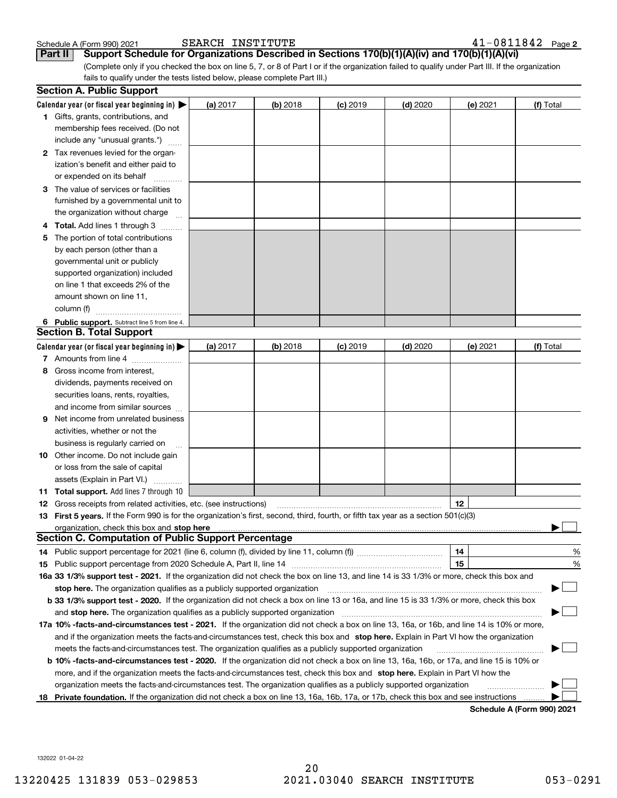| Schedule A (Form 990) 202 |  |  |
|---------------------------|--|--|

41-0811842 Page 2 Schedule A (Form 990) 2021 SEARCH INSTITUTE 4 $1\mathrm{-}0\,8\,11\,8\,4\,2$  Page

(Complete only if you checked the box on line 5, 7, or 8 of Part I or if the organization failed to qualify under Part III. If the organization fails to qualify under the tests listed below, please complete Part III.) **Part II** Support Schedule for Organizations Described in Sections 170(b)(1)(A)(iv) and 170(b)(1)(A)(vi)

|    | <b>Section A. Public Support</b>                                                                                                               |          |          |                 |            |          |                            |
|----|------------------------------------------------------------------------------------------------------------------------------------------------|----------|----------|-----------------|------------|----------|----------------------------|
|    | Calendar year (or fiscal year beginning in) $\blacktriangleright$                                                                              | (a) 2017 | (b) 2018 | <b>(c)</b> 2019 | $(d)$ 2020 | (e) 2021 | (f) Total                  |
|    | <b>1</b> Gifts, grants, contributions, and                                                                                                     |          |          |                 |            |          |                            |
|    | membership fees received. (Do not                                                                                                              |          |          |                 |            |          |                            |
|    | include any "unusual grants.")                                                                                                                 |          |          |                 |            |          |                            |
|    | 2 Tax revenues levied for the organ-                                                                                                           |          |          |                 |            |          |                            |
|    | ization's benefit and either paid to                                                                                                           |          |          |                 |            |          |                            |
|    | or expended on its behalf                                                                                                                      |          |          |                 |            |          |                            |
|    | 3 The value of services or facilities                                                                                                          |          |          |                 |            |          |                            |
|    | furnished by a governmental unit to                                                                                                            |          |          |                 |            |          |                            |
|    | the organization without charge                                                                                                                |          |          |                 |            |          |                            |
|    | 4 Total. Add lines 1 through 3                                                                                                                 |          |          |                 |            |          |                            |
| 5. | The portion of total contributions                                                                                                             |          |          |                 |            |          |                            |
|    | by each person (other than a                                                                                                                   |          |          |                 |            |          |                            |
|    | governmental unit or publicly                                                                                                                  |          |          |                 |            |          |                            |
|    | supported organization) included                                                                                                               |          |          |                 |            |          |                            |
|    | on line 1 that exceeds 2% of the                                                                                                               |          |          |                 |            |          |                            |
|    | amount shown on line 11,                                                                                                                       |          |          |                 |            |          |                            |
|    | column (f)                                                                                                                                     |          |          |                 |            |          |                            |
|    | 6 Public support. Subtract line 5 from line 4.                                                                                                 |          |          |                 |            |          |                            |
|    | <b>Section B. Total Support</b>                                                                                                                |          |          |                 |            |          |                            |
|    | Calendar year (or fiscal year beginning in) $\blacktriangleright$                                                                              | (a) 2017 | (b) 2018 | <b>(c)</b> 2019 | $(d)$ 2020 | (e) 2021 | (f) Total                  |
|    | 7 Amounts from line 4                                                                                                                          |          |          |                 |            |          |                            |
| 8  | Gross income from interest,                                                                                                                    |          |          |                 |            |          |                            |
|    | dividends, payments received on                                                                                                                |          |          |                 |            |          |                            |
|    | securities loans, rents, royalties,                                                                                                            |          |          |                 |            |          |                            |
|    | and income from similar sources                                                                                                                |          |          |                 |            |          |                            |
| 9. | Net income from unrelated business                                                                                                             |          |          |                 |            |          |                            |
|    | activities, whether or not the                                                                                                                 |          |          |                 |            |          |                            |
|    | business is regularly carried on                                                                                                               |          |          |                 |            |          |                            |
|    | <b>10</b> Other income. Do not include gain                                                                                                    |          |          |                 |            |          |                            |
|    | or loss from the sale of capital                                                                                                               |          |          |                 |            |          |                            |
|    | assets (Explain in Part VI.)                                                                                                                   |          |          |                 |            |          |                            |
|    | 11 Total support. Add lines 7 through 10                                                                                                       |          |          |                 |            |          |                            |
|    | <b>12</b> Gross receipts from related activities, etc. (see instructions)                                                                      |          |          |                 |            | 12       |                            |
|    | 13 First 5 years. If the Form 990 is for the organization's first, second, third, fourth, or fifth tax year as a section 501(c)(3)             |          |          |                 |            |          |                            |
|    |                                                                                                                                                |          |          |                 |            |          |                            |
|    | <b>Section C. Computation of Public Support Percentage</b>                                                                                     |          |          |                 |            |          |                            |
|    | 14 Public support percentage for 2021 (line 6, column (f), divided by line 11, column (f) <i>marrourcommum</i>                                 |          |          |                 |            | 14       | %                          |
|    |                                                                                                                                                |          |          |                 |            | 15       | %                          |
|    | 16a 33 1/3% support test - 2021. If the organization did not check the box on line 13, and line 14 is 33 1/3% or more, check this box and      |          |          |                 |            |          |                            |
|    | stop here. The organization qualifies as a publicly supported organization                                                                     |          |          |                 |            |          |                            |
|    | b 33 1/3% support test - 2020. If the organization did not check a box on line 13 or 16a, and line 15 is 33 1/3% or more, check this box       |          |          |                 |            |          |                            |
|    | and stop here. The organization qualifies as a publicly supported organization                                                                 |          |          |                 |            |          |                            |
|    | 17a 10% -facts-and-circumstances test - 2021. If the organization did not check a box on line 13, 16a, or 16b, and line 14 is 10% or more,     |          |          |                 |            |          |                            |
|    | and if the organization meets the facts-and-circumstances test, check this box and stop here. Explain in Part VI how the organization          |          |          |                 |            |          |                            |
|    | meets the facts-and-circumstances test. The organization qualifies as a publicly supported organization                                        |          |          |                 |            |          |                            |
|    | <b>b 10% -facts-and-circumstances test - 2020.</b> If the organization did not check a box on line 13, 16a, 16b, or 17a, and line 15 is 10% or |          |          |                 |            |          |                            |
|    | more, and if the organization meets the facts-and-circumstances test, check this box and stop here. Explain in Part VI how the                 |          |          |                 |            |          |                            |
|    | organization meets the facts-and-circumstances test. The organization qualifies as a publicly supported organization                           |          |          |                 |            |          |                            |
|    | 18 Private foundation. If the organization did not check a box on line 13, 16a, 16b, 17a, or 17b, check this box and see instructions          |          |          |                 |            |          |                            |
|    |                                                                                                                                                |          |          |                 |            |          | Pohodulo A (Form 000) 2024 |

**Schedule A (Form 990) 2021**

132022 01-04-22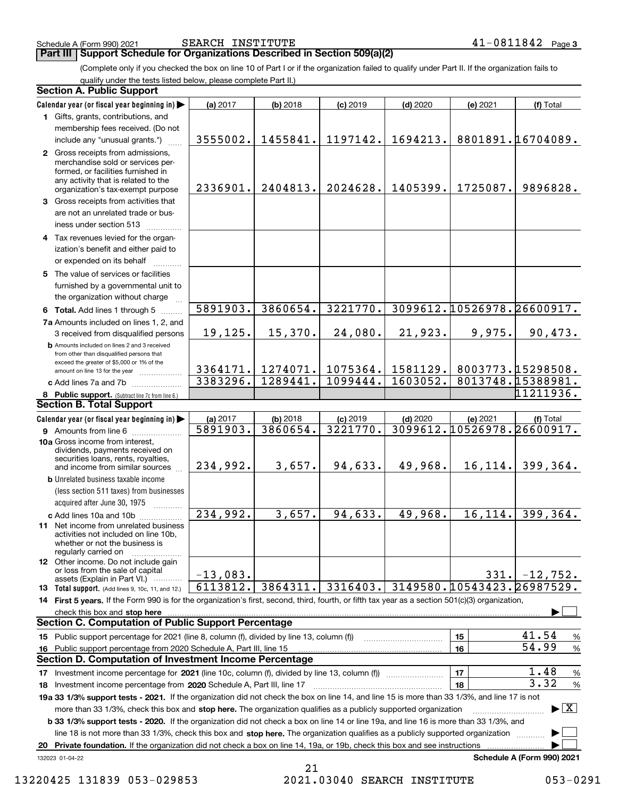Schedule A (Form 990) 2021 SEARCH INSTITUTE 4 $1\mathrm{-}0\,8\,11\,8\,4\,2$  Page

(Complete only if you checked the box on line 10 of Part I or if the organization failed to qualify under Part II. If the organization fails to **Part III Support Schedule for Organizations Described in Section 509(a)(2)** 

qualify under the tests listed below, please complete Part II.)

|    | <b>Section A. Public Support</b>                                                                                                                                                                                                                                 |            |            |            |            |                            |                                          |  |
|----|------------------------------------------------------------------------------------------------------------------------------------------------------------------------------------------------------------------------------------------------------------------|------------|------------|------------|------------|----------------------------|------------------------------------------|--|
|    | Calendar year (or fiscal year beginning in)                                                                                                                                                                                                                      | (a) 2017   | (b) 2018   | $(c)$ 2019 | $(d)$ 2020 | (e) 2021                   | (f) Total                                |  |
|    | 1 Gifts, grants, contributions, and                                                                                                                                                                                                                              |            |            |            |            |                            |                                          |  |
|    | membership fees received. (Do not                                                                                                                                                                                                                                |            |            |            |            |                            |                                          |  |
|    | include any "unusual grants.")                                                                                                                                                                                                                                   | 3555002.   | 1455841.   | 1197142.   | 1694213.   |                            | 8801891.16704089.                        |  |
|    | 2 Gross receipts from admissions,<br>merchandise sold or services per-<br>formed, or facilities furnished in<br>any activity that is related to the<br>organization's tax-exempt purpose                                                                         | 2336901.   | 2404813.   | 2024628.   | 1405399.   | 1725087.                   | 9896828.                                 |  |
|    | 3 Gross receipts from activities that                                                                                                                                                                                                                            |            |            |            |            |                            |                                          |  |
|    | are not an unrelated trade or bus-<br>iness under section 513                                                                                                                                                                                                    |            |            |            |            |                            |                                          |  |
|    | 4 Tax revenues levied for the organ-<br>ization's benefit and either paid to<br>or expended on its behalf                                                                                                                                                        |            |            |            |            |                            |                                          |  |
|    | 5 The value of services or facilities<br>furnished by a governmental unit to                                                                                                                                                                                     |            |            |            |            |                            |                                          |  |
|    | the organization without charge                                                                                                                                                                                                                                  |            |            |            |            |                            |                                          |  |
|    | 6 Total. Add lines 1 through 5                                                                                                                                                                                                                                   | 5891903.   | 3860654.   | 3221770.   |            | 3099612.10526978.26600917. |                                          |  |
|    | 7a Amounts included on lines 1, 2, and                                                                                                                                                                                                                           |            |            |            |            |                            |                                          |  |
|    | 3 received from disqualified persons                                                                                                                                                                                                                             | 19, 125.   | 15,370.    | 24,080.    | 21,923.    | 9,975.                     | 90,473.                                  |  |
|    | <b>b</b> Amounts included on lines 2 and 3 received<br>from other than disqualified persons that<br>exceed the greater of \$5,000 or 1% of the                                                                                                                   | 3364171.   | 1274071.   | 1075364.   | 1581129.   |                            | 8003773.15298508.                        |  |
|    | amount on line 13 for the year<br>c Add lines 7a and 7b                                                                                                                                                                                                          | 3383296.   | 1289441.   | 1099444.   | 1603052.   |                            | 8013748.15388981.                        |  |
|    | 8 Public support. (Subtract line 7c from line 6.)                                                                                                                                                                                                                |            |            |            |            |                            | 11211936.                                |  |
|    | <b>Section B. Total Support</b>                                                                                                                                                                                                                                  |            |            |            |            |                            |                                          |  |
|    | Calendar year (or fiscal year beginning in)                                                                                                                                                                                                                      | (a) 2017   | $(b)$ 2018 | $(c)$ 2019 | $(d)$ 2020 | (e) 2021                   | (f) Total                                |  |
|    | <b>9</b> Amounts from line 6                                                                                                                                                                                                                                     | 5891903.   | 3860654.   | 3221770.   |            | 3099612.10526978.26600917. |                                          |  |
|    | 10a Gross income from interest,<br>dividends, payments received on<br>securities loans, rents, royalties,<br>and income from similar sources                                                                                                                     | 234,992.   | 3,657.     | 94,633.    | 49,968.    | 16, 114.                   | 399,364.                                 |  |
|    | <b>b</b> Unrelated business taxable income                                                                                                                                                                                                                       |            |            |            |            |                            |                                          |  |
|    | (less section 511 taxes) from businesses                                                                                                                                                                                                                         |            |            |            |            |                            |                                          |  |
|    | acquired after June 30, 1975                                                                                                                                                                                                                                     |            |            |            |            |                            |                                          |  |
|    | c Add lines 10a and 10b                                                                                                                                                                                                                                          | 234,992.   | 3,657.     | 94,633.    | 49,968.    | 16, 114.                   | 399,364.                                 |  |
|    | 11 Net income from unrelated business<br>activities not included on line 10b,<br>whether or not the business is<br>regularly carried on                                                                                                                          |            |            |            |            |                            |                                          |  |
|    | <b>12</b> Other income. Do not include gain<br>or loss from the sale of capital                                                                                                                                                                                  |            |            |            |            |                            |                                          |  |
|    | assets (Explain in Part VI.)                                                                                                                                                                                                                                     | $-13,083.$ |            |            |            | 331.                       | $-12,752.$                               |  |
|    | 13 Total support. (Add lines 9, 10c, 11, and 12.)                                                                                                                                                                                                                | 6113812.   | 3864311.   | 3316403.   |            | 3149580.10543423.26987529. |                                          |  |
|    | 14 First 5 years. If the Form 990 is for the organization's first, second, third, fourth, or fifth tax year as a section 501(c)(3) organization,                                                                                                                 |            |            |            |            |                            |                                          |  |
|    | check this box and stop here<br><b>Section C. Computation of Public Support Percentage</b>                                                                                                                                                                       |            |            |            |            |                            |                                          |  |
|    |                                                                                                                                                                                                                                                                  |            |            |            |            | 15                         | 41.54                                    |  |
|    | 15 Public support percentage for 2021 (line 8, column (f), divided by line 13, column (f))                                                                                                                                                                       |            |            |            |            | 16                         | $\%$<br>54.99                            |  |
| 16 | Public support percentage from 2020 Schedule A, Part III, line 15<br><b>Section D. Computation of Investment Income Percentage</b>                                                                                                                               |            |            |            |            |                            | $\%$                                     |  |
| 17 | Investment income percentage for 2021 (line 10c, column (f), divided by line 13, column (f))                                                                                                                                                                     |            |            |            |            | 17                         | 1.48<br>%                                |  |
| 18 | Investment income percentage from 2020 Schedule A, Part III, line 17                                                                                                                                                                                             |            |            |            |            | 18                         | 3.32<br>%                                |  |
|    | 19a 33 1/3% support tests - 2021. If the organization did not check the box on line 14, and line 15 is more than 33 1/3%, and line 17 is not                                                                                                                     |            |            |            |            |                            |                                          |  |
|    | more than 33 1/3%, check this box and stop here. The organization qualifies as a publicly supported organization<br><b>b 33 1/3% support tests - 2020.</b> If the organization did not check a box on line 14 or line 19a, and line 16 is more than 33 1/3%, and |            |            |            |            |                            | $\blacktriangleright$ $\boxed{\text{X}}$ |  |
|    | line 18 is not more than 33 1/3%, check this box and stop here. The organization qualifies as a publicly supported organization                                                                                                                                  |            |            |            |            |                            |                                          |  |
| 20 | Private foundation. If the organization did not check a box on line 14, 19a, or 19b, check this box and see instructions                                                                                                                                         |            |            |            |            |                            |                                          |  |
|    | 132023 01-04-22                                                                                                                                                                                                                                                  |            |            |            |            |                            | Schedule A (Form 990) 2021               |  |

21

 <sup>13220425 131839 053-029853 2021.03040</sup> SEARCH INSTITUTE 053-0291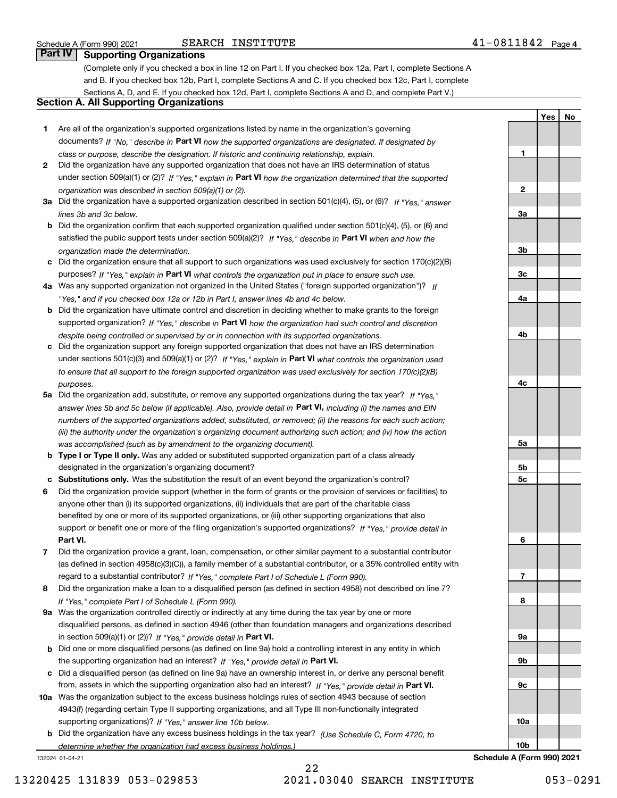**1**

**2**

**3a**

**3b**

**3c**

**4a**

**4b**

**4c**

**5a**

**5b5c**

**6**

**7**

**8**

**9a**

**9b**

**9c**

**10a**

**10b**

**YesNo**

## **Part IV Supporting Organizations**

(Complete only if you checked a box in line 12 on Part I. If you checked box 12a, Part I, complete Sections A and B. If you checked box 12b, Part I, complete Sections A and C. If you checked box 12c, Part I, complete Sections A, D, and E. If you checked box 12d, Part I, complete Sections A and D, and complete Part V.)

## **Section A. All Supporting Organizations**

- **1** Are all of the organization's supported organizations listed by name in the organization's governing documents? If "No," describe in **Part VI** how the supported organizations are designated. If designated by *class or purpose, describe the designation. If historic and continuing relationship, explain.*
- **2** Did the organization have any supported organization that does not have an IRS determination of status under section 509(a)(1) or (2)? If "Yes," explain in Part VI how the organization determined that the supported *organization was described in section 509(a)(1) or (2).*
- **3a** Did the organization have a supported organization described in section 501(c)(4), (5), or (6)? If "Yes," answer *lines 3b and 3c below.*
- **b** Did the organization confirm that each supported organization qualified under section 501(c)(4), (5), or (6) and satisfied the public support tests under section 509(a)(2)? If "Yes," describe in **Part VI** when and how the *organization made the determination.*
- **c**Did the organization ensure that all support to such organizations was used exclusively for section 170(c)(2)(B) purposes? If "Yes," explain in **Part VI** what controls the organization put in place to ensure such use.
- **4a***If* Was any supported organization not organized in the United States ("foreign supported organization")? *"Yes," and if you checked box 12a or 12b in Part I, answer lines 4b and 4c below.*
- **b** Did the organization have ultimate control and discretion in deciding whether to make grants to the foreign supported organization? If "Yes," describe in **Part VI** how the organization had such control and discretion *despite being controlled or supervised by or in connection with its supported organizations.*
- **c** Did the organization support any foreign supported organization that does not have an IRS determination under sections 501(c)(3) and 509(a)(1) or (2)? If "Yes," explain in **Part VI** what controls the organization used *to ensure that all support to the foreign supported organization was used exclusively for section 170(c)(2)(B) purposes.*
- **5a** Did the organization add, substitute, or remove any supported organizations during the tax year? If "Yes," answer lines 5b and 5c below (if applicable). Also, provide detail in **Part VI,** including (i) the names and EIN *numbers of the supported organizations added, substituted, or removed; (ii) the reasons for each such action; (iii) the authority under the organization's organizing document authorizing such action; and (iv) how the action was accomplished (such as by amendment to the organizing document).*
- **b** Type I or Type II only. Was any added or substituted supported organization part of a class already designated in the organization's organizing document?
- **cSubstitutions only.**  Was the substitution the result of an event beyond the organization's control?
- **6** Did the organization provide support (whether in the form of grants or the provision of services or facilities) to **Part VI.** *If "Yes," provide detail in* support or benefit one or more of the filing organization's supported organizations? anyone other than (i) its supported organizations, (ii) individuals that are part of the charitable class benefited by one or more of its supported organizations, or (iii) other supporting organizations that also
- **7**Did the organization provide a grant, loan, compensation, or other similar payment to a substantial contributor *If "Yes," complete Part I of Schedule L (Form 990).* regard to a substantial contributor? (as defined in section 4958(c)(3)(C)), a family member of a substantial contributor, or a 35% controlled entity with
- **8** Did the organization make a loan to a disqualified person (as defined in section 4958) not described on line 7? *If "Yes," complete Part I of Schedule L (Form 990).*
- **9a** Was the organization controlled directly or indirectly at any time during the tax year by one or more in section 509(a)(1) or (2))? If "Yes," *provide detail in* <code>Part VI.</code> disqualified persons, as defined in section 4946 (other than foundation managers and organizations described
- **b**the supporting organization had an interest? If "Yes," provide detail in P**art VI**. Did one or more disqualified persons (as defined on line 9a) hold a controlling interest in any entity in which
- **c**Did a disqualified person (as defined on line 9a) have an ownership interest in, or derive any personal benefit from, assets in which the supporting organization also had an interest? If "Yes," provide detail in P**art VI.**
- **10a** Was the organization subject to the excess business holdings rules of section 4943 because of section supporting organizations)? If "Yes," answer line 10b below. 4943(f) (regarding certain Type II supporting organizations, and all Type III non-functionally integrated
- **b** Did the organization have any excess business holdings in the tax year? (Use Schedule C, Form 4720, to *determine whether the organization had excess business holdings.)*

132024 01-04-21

22 13220425 131839 053-029853 2021.03040 SEARCH INSTITUTE 053-0291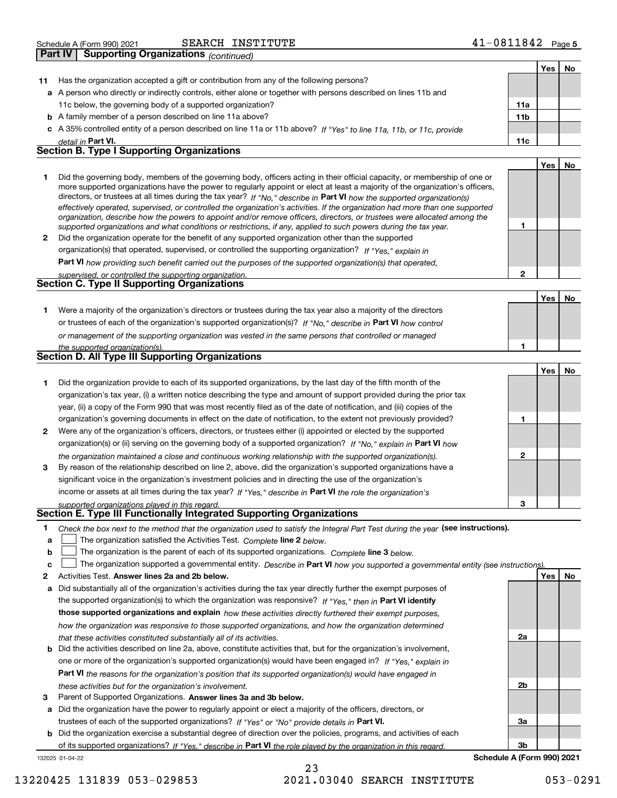| Schedule A (Form 990) 2021 | INSTITUTE<br>SEARCH | 0811842<br>Page 5 |
|----------------------------|---------------------|-------------------|
|                            |                     |                   |

|    | <b>Supporting Organizations (continued)</b><br><b>Part IV</b>                                                                                                                                                                                                                                                                                                                                                                                                                                                                                                                                                                                        |       |     |
|----|------------------------------------------------------------------------------------------------------------------------------------------------------------------------------------------------------------------------------------------------------------------------------------------------------------------------------------------------------------------------------------------------------------------------------------------------------------------------------------------------------------------------------------------------------------------------------------------------------------------------------------------------------|-------|-----|
|    |                                                                                                                                                                                                                                                                                                                                                                                                                                                                                                                                                                                                                                                      | Yes l | No. |
| 11 | Has the organization accepted a gift or contribution from any of the following persons?                                                                                                                                                                                                                                                                                                                                                                                                                                                                                                                                                              |       |     |
|    | a A person who directly or indirectly controls, either alone or together with persons described on lines 11b and                                                                                                                                                                                                                                                                                                                                                                                                                                                                                                                                     |       |     |
|    | 11c below, the governing body of a supported organization?<br>11a                                                                                                                                                                                                                                                                                                                                                                                                                                                                                                                                                                                    |       |     |
|    | <b>b</b> A family member of a person described on line 11a above?<br>11 <sub>b</sub>                                                                                                                                                                                                                                                                                                                                                                                                                                                                                                                                                                 |       |     |
|    | c A 35% controlled entity of a person described on line 11a or 11b above? If "Yes" to line 11a, 11b, or 11c, provide                                                                                                                                                                                                                                                                                                                                                                                                                                                                                                                                 |       |     |
|    | 11c<br>detail in Part VI.                                                                                                                                                                                                                                                                                                                                                                                                                                                                                                                                                                                                                            |       |     |
|    | <b>Section B. Type I Supporting Organizations</b>                                                                                                                                                                                                                                                                                                                                                                                                                                                                                                                                                                                                    |       |     |
|    |                                                                                                                                                                                                                                                                                                                                                                                                                                                                                                                                                                                                                                                      | Yes l | No  |
|    | Did the governing body, members of the governing body, officers acting in their official capacity, or membership of one or<br>more supported organizations have the power to regularly appoint or elect at least a majority of the organization's officers,<br>directors, or trustees at all times during the tax year? If "No," describe in Part VI how the supported organization(s)<br>effectively operated, supervised, or controlled the organization's activities. If the organization had more than one supported<br>organization, describe how the powers to appoint and/or remove officers, directors, or trustees were allocated among the |       |     |
|    | supported organizations and what conditions or restrictions, if any, applied to such powers during the tax year.                                                                                                                                                                                                                                                                                                                                                                                                                                                                                                                                     |       |     |
| 2  | Did the organization operate for the benefit of any supported organization other than the supported                                                                                                                                                                                                                                                                                                                                                                                                                                                                                                                                                  |       |     |
|    | organization(s) that operated, supervised, or controlled the supporting organization? If "Yes." explain in                                                                                                                                                                                                                                                                                                                                                                                                                                                                                                                                           |       |     |
|    | Part VI how providing such benefit carried out the purposes of the supported organization(s) that operated,                                                                                                                                                                                                                                                                                                                                                                                                                                                                                                                                          |       |     |
|    | 2<br>supervised, or controlled the supporting organization.                                                                                                                                                                                                                                                                                                                                                                                                                                                                                                                                                                                          |       |     |
|    | <b>Section C. Type II Supporting Organizations</b>                                                                                                                                                                                                                                                                                                                                                                                                                                                                                                                                                                                                   |       |     |

|                                                                                                                  |  | Yes |  |  |  |  |  |
|------------------------------------------------------------------------------------------------------------------|--|-----|--|--|--|--|--|
| Were a majority of the organization's directors or trustees during the tax year also a majority of the directors |  |     |  |  |  |  |  |
| or trustees of each of the organization's supported organization(s)? If "No." describe in Part VI how control    |  |     |  |  |  |  |  |
| or management of the supporting organization was vested in the same persons that controlled or managed           |  |     |  |  |  |  |  |
| the supported organization(s).                                                                                   |  |     |  |  |  |  |  |
| <b>Section D. All Type III Supporting Organizations</b>                                                          |  |     |  |  |  |  |  |

|   |                                                                                                                        |   | Yes | No |
|---|------------------------------------------------------------------------------------------------------------------------|---|-----|----|
|   | Did the organization provide to each of its supported organizations, by the last day of the fifth month of the         |   |     |    |
|   | organization's tax year, (i) a written notice describing the type and amount of support provided during the prior tax  |   |     |    |
|   | year, (ii) a copy of the Form 990 that was most recently filed as of the date of notification, and (iii) copies of the |   |     |    |
|   | organization's governing documents in effect on the date of notification, to the extent not previously provided?       |   |     |    |
| 2 | Were any of the organization's officers, directors, or trustees either (i) appointed or elected by the supported       |   |     |    |
|   | organization(s) or (ii) serving on the governing body of a supported organization? If "No," explain in Part VI how     |   |     |    |
|   | the organization maintained a close and continuous working relationship with the supported organization(s).            | 2 |     |    |
| 3 | By reason of the relationship described on line 2, above, did the organization's supported organizations have a        |   |     |    |
|   | significant voice in the organization's investment policies and in directing the use of the organization's             |   |     |    |
|   | income or assets at all times during the tax year? If "Yes," describe in Part VI the role the organization's           |   |     |    |
|   | supported organizations played in this regard                                                                          | 3 |     |    |

# *supported organizations played in this regard.* **Section E. Type III Functionally Integrated Supporting Organizations**

|  | Check the box next to the method that the organization used to satisfy the Integral Part Test during the year (see instructions). |  |  |  |
|--|-----------------------------------------------------------------------------------------------------------------------------------|--|--|--|
|--|-----------------------------------------------------------------------------------------------------------------------------------|--|--|--|

- **alinupy** The organization satisfied the Activities Test. Complete line 2 below.
- **bThe organization is the parent of each of its supported organizations. Complete line 3 below.**

|  |  | <b>c</b> $\Box$ The organization supported a governmental entity. Describe in Part VI how you supported a governmental entity (see instructions). |  |  |  |  |  |  |  |  |
|--|--|---------------------------------------------------------------------------------------------------------------------------------------------------|--|--|--|--|--|--|--|--|
|--|--|---------------------------------------------------------------------------------------------------------------------------------------------------|--|--|--|--|--|--|--|--|

23

- **2Answer lines 2a and 2b below. Yes No** Activities Test.
- **a** Did substantially all of the organization's activities during the tax year directly further the exempt purposes of the supported organization(s) to which the organization was responsive? If "Yes," then in **Part VI identify those supported organizations and explain**  *how these activities directly furthered their exempt purposes, how the organization was responsive to those supported organizations, and how the organization determined that these activities constituted substantially all of its activities.*
- **b** Did the activities described on line 2a, above, constitute activities that, but for the organization's involvement, **Part VI**  *the reasons for the organization's position that its supported organization(s) would have engaged in* one or more of the organization's supported organization(s) would have been engaged in? If "Yes," e*xplain in these activities but for the organization's involvement.*
- **3** Parent of Supported Organizations. Answer lines 3a and 3b below.

**a** Did the organization have the power to regularly appoint or elect a majority of the officers, directors, or trustees of each of the supported organizations? If "Yes" or "No" provide details in **Part VI.** 

132025 01-04-22 **b** Did the organization exercise a substantial degree of direction over the policies, programs, and activities of each of its supported organizations? If "Yes," describe in Part VI the role played by the organization in this regard.

**3bSchedule A (Form 990) 2021**

**2a**

**2b**

**3a**

13220425 131839 053-029853 2021.03040 SEARCH INSTITUTE 053-0291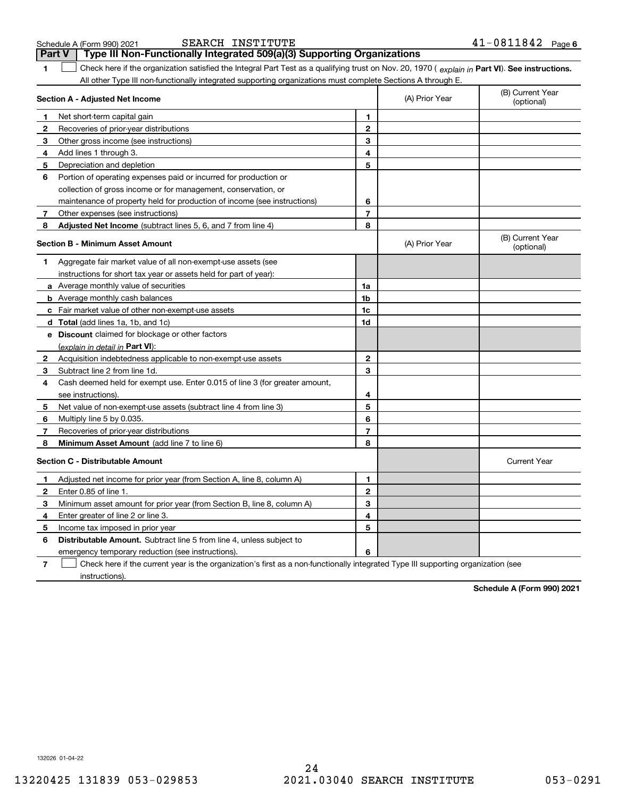| <b>Part V</b>                                                                                                                                       | Type III Non-Functionally Integrated 509(a)(3) Supporting Organizations                                                           |                |                |                                |  |
|-----------------------------------------------------------------------------------------------------------------------------------------------------|-----------------------------------------------------------------------------------------------------------------------------------|----------------|----------------|--------------------------------|--|
| Check here if the organization satisfied the Integral Part Test as a qualifying trust on Nov. 20, 1970 (explain in Part VI). See instructions.<br>1 |                                                                                                                                   |                |                |                                |  |
|                                                                                                                                                     | All other Type III non-functionally integrated supporting organizations must complete Sections A through E.                       |                |                |                                |  |
|                                                                                                                                                     | Section A - Adjusted Net Income                                                                                                   |                | (A) Prior Year | (B) Current Year<br>(optional) |  |
| $\mathbf{1}$                                                                                                                                        | Net short-term capital gain                                                                                                       | 1              |                |                                |  |
| $\mathbf{2}$                                                                                                                                        | Recoveries of prior-year distributions                                                                                            | $\overline{2}$ |                |                                |  |
| 3                                                                                                                                                   | Other gross income (see instructions)                                                                                             | 3              |                |                                |  |
| 4                                                                                                                                                   | Add lines 1 through 3.                                                                                                            | 4              |                |                                |  |
| 5                                                                                                                                                   | Depreciation and depletion                                                                                                        | 5              |                |                                |  |
| 6                                                                                                                                                   | Portion of operating expenses paid or incurred for production or                                                                  |                |                |                                |  |
|                                                                                                                                                     | collection of gross income or for management, conservation, or                                                                    |                |                |                                |  |
|                                                                                                                                                     | maintenance of property held for production of income (see instructions)                                                          | 6              |                |                                |  |
| 7                                                                                                                                                   | Other expenses (see instructions)                                                                                                 | 7              |                |                                |  |
| 8                                                                                                                                                   | Adjusted Net Income (subtract lines 5, 6, and 7 from line 4)                                                                      | 8              |                |                                |  |
|                                                                                                                                                     | <b>Section B - Minimum Asset Amount</b>                                                                                           |                | (A) Prior Year | (B) Current Year<br>(optional) |  |
| 1                                                                                                                                                   | Aggregate fair market value of all non-exempt-use assets (see                                                                     |                |                |                                |  |
|                                                                                                                                                     | instructions for short tax year or assets held for part of year):                                                                 |                |                |                                |  |
|                                                                                                                                                     | <b>a</b> Average monthly value of securities                                                                                      | 1a             |                |                                |  |
|                                                                                                                                                     | <b>b</b> Average monthly cash balances                                                                                            | 1b             |                |                                |  |
|                                                                                                                                                     | c Fair market value of other non-exempt-use assets                                                                                | 1c             |                |                                |  |
|                                                                                                                                                     | <b>d</b> Total (add lines 1a, 1b, and 1c)                                                                                         | 1d             |                |                                |  |
|                                                                                                                                                     | e Discount claimed for blockage or other factors                                                                                  |                |                |                                |  |
|                                                                                                                                                     | (explain in detail in Part VI):                                                                                                   |                |                |                                |  |
| $\mathbf{2}$                                                                                                                                        | Acquisition indebtedness applicable to non-exempt-use assets                                                                      | $\mathbf{2}$   |                |                                |  |
| 3                                                                                                                                                   | Subtract line 2 from line 1d.                                                                                                     | 3              |                |                                |  |
| 4                                                                                                                                                   | Cash deemed held for exempt use. Enter 0.015 of line 3 (for greater amount,                                                       |                |                |                                |  |
|                                                                                                                                                     | see instructions).                                                                                                                | 4              |                |                                |  |
| 5                                                                                                                                                   | Net value of non-exempt-use assets (subtract line 4 from line 3)                                                                  | 5              |                |                                |  |
| 6                                                                                                                                                   | Multiply line 5 by 0.035.                                                                                                         | 6              |                |                                |  |
| 7                                                                                                                                                   | Recoveries of prior-year distributions                                                                                            | 7              |                |                                |  |
| 8                                                                                                                                                   | Minimum Asset Amount (add line 7 to line 6)                                                                                       | 8              |                |                                |  |
|                                                                                                                                                     | <b>Section C - Distributable Amount</b>                                                                                           |                |                | <b>Current Year</b>            |  |
| 1                                                                                                                                                   | Adjusted net income for prior year (from Section A, line 8, column A)                                                             | 1              |                |                                |  |
| $\mathbf{2}$                                                                                                                                        | Enter 0.85 of line 1.                                                                                                             | $\overline{2}$ |                |                                |  |
| 3                                                                                                                                                   | Minimum asset amount for prior year (from Section B, line 8, column A)                                                            | 3              |                |                                |  |
| 4                                                                                                                                                   | Enter greater of line 2 or line 3.                                                                                                | 4              |                |                                |  |
| 5                                                                                                                                                   | Income tax imposed in prior year                                                                                                  | 5              |                |                                |  |
| 6                                                                                                                                                   | Distributable Amount. Subtract line 5 from line 4, unless subject to                                                              |                |                |                                |  |
|                                                                                                                                                     | emergency temporary reduction (see instructions).                                                                                 | 6              |                |                                |  |
| 7                                                                                                                                                   | Check here if the current year is the organization's first as a non-functionally integrated Type III supporting organization (see |                |                |                                |  |

Schedule A (Form 990) 2021 SEARCH INSTITUTE 4 L-U 8 L I 8 4 Z Page

SEARCH INSTITUTE 41-0811842

**7**instructions).

**Schedule A (Form 990) 2021**

132026 01-04-22

**6**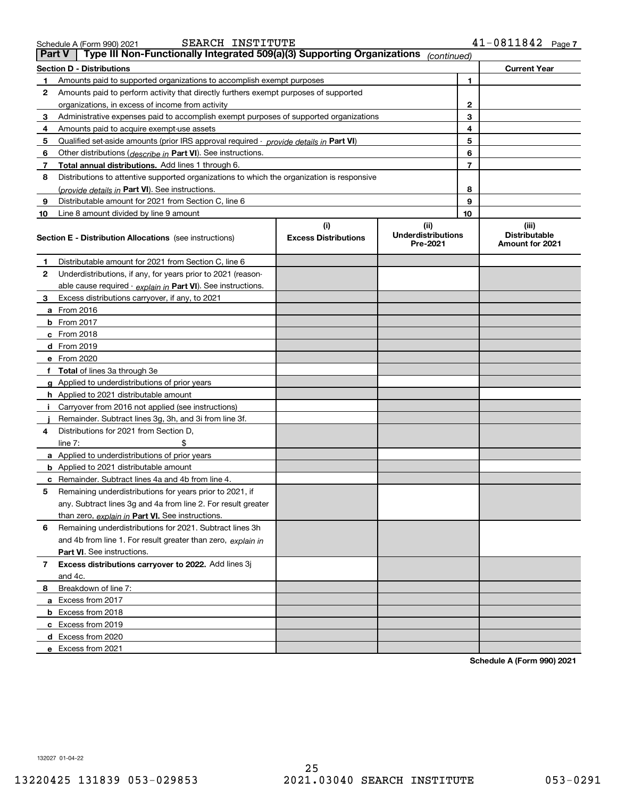|                | Type III Non-Functionally Integrated 509(a)(3) Supporting Organizations<br><b>Part V</b><br>(continued) |                             |                                       |                         |                                                |  |  |  |  |
|----------------|---------------------------------------------------------------------------------------------------------|-----------------------------|---------------------------------------|-------------------------|------------------------------------------------|--|--|--|--|
|                | <b>Current Year</b><br><b>Section D - Distributions</b>                                                 |                             |                                       |                         |                                                |  |  |  |  |
| 1              | Amounts paid to supported organizations to accomplish exempt purposes                                   |                             | 1                                     |                         |                                                |  |  |  |  |
| $\mathbf{2}$   | Amounts paid to perform activity that directly furthers exempt purposes of supported                    |                             |                                       |                         |                                                |  |  |  |  |
|                | organizations, in excess of income from activity                                                        |                             |                                       | 2                       |                                                |  |  |  |  |
| 3              | Administrative expenses paid to accomplish exempt purposes of supported organizations                   |                             |                                       | 3                       |                                                |  |  |  |  |
| 4              | Amounts paid to acquire exempt-use assets                                                               |                             |                                       | 4                       |                                                |  |  |  |  |
| 5              | Qualified set aside amounts (prior IRS approval required - provide details in Part VI)                  |                             |                                       | 5                       |                                                |  |  |  |  |
| 6              | Other distributions ( <i>describe in</i> Part VI). See instructions.                                    |                             |                                       | 6                       |                                                |  |  |  |  |
| 7              | <b>Total annual distributions.</b> Add lines 1 through 6.                                               |                             |                                       | $\overline{\mathbf{r}}$ |                                                |  |  |  |  |
| 8              | Distributions to attentive supported organizations to which the organization is responsive              |                             |                                       |                         |                                                |  |  |  |  |
|                | (provide details in Part VI). See instructions.                                                         |                             |                                       | 8                       |                                                |  |  |  |  |
| 9              | Distributable amount for 2021 from Section C, line 6                                                    |                             |                                       | 9                       |                                                |  |  |  |  |
| 10             | Line 8 amount divided by line 9 amount                                                                  |                             |                                       | 10                      |                                                |  |  |  |  |
|                |                                                                                                         | (i)                         | (ii)                                  |                         | (iii)                                          |  |  |  |  |
|                | <b>Section E - Distribution Allocations</b> (see instructions)                                          | <b>Excess Distributions</b> | <b>Underdistributions</b><br>Pre-2021 |                         | <b>Distributable</b><br><b>Amount for 2021</b> |  |  |  |  |
| 1              | Distributable amount for 2021 from Section C, line 6                                                    |                             |                                       |                         |                                                |  |  |  |  |
| 2              | Underdistributions, if any, for years prior to 2021 (reason-                                            |                             |                                       |                         |                                                |  |  |  |  |
|                | able cause required - explain in Part VI). See instructions.                                            |                             |                                       |                         |                                                |  |  |  |  |
| 3              | Excess distributions carryover, if any, to 2021                                                         |                             |                                       |                         |                                                |  |  |  |  |
|                | <b>a</b> From 2016                                                                                      |                             |                                       |                         |                                                |  |  |  |  |
|                | <b>b</b> From 2017                                                                                      |                             |                                       |                         |                                                |  |  |  |  |
|                | $c$ From 2018                                                                                           |                             |                                       |                         |                                                |  |  |  |  |
|                | <b>d</b> From 2019                                                                                      |                             |                                       |                         |                                                |  |  |  |  |
|                | e From 2020                                                                                             |                             |                                       |                         |                                                |  |  |  |  |
|                | f Total of lines 3a through 3e                                                                          |                             |                                       |                         |                                                |  |  |  |  |
|                | g Applied to underdistributions of prior years                                                          |                             |                                       |                         |                                                |  |  |  |  |
|                | <b>h</b> Applied to 2021 distributable amount                                                           |                             |                                       |                         |                                                |  |  |  |  |
| ÷Ī.            | Carryover from 2016 not applied (see instructions)                                                      |                             |                                       |                         |                                                |  |  |  |  |
|                | Remainder. Subtract lines 3g, 3h, and 3i from line 3f.                                                  |                             |                                       |                         |                                                |  |  |  |  |
| 4              | Distributions for 2021 from Section D,                                                                  |                             |                                       |                         |                                                |  |  |  |  |
|                | line $7:$<br>\$                                                                                         |                             |                                       |                         |                                                |  |  |  |  |
|                | a Applied to underdistributions of prior years                                                          |                             |                                       |                         |                                                |  |  |  |  |
|                | <b>b</b> Applied to 2021 distributable amount                                                           |                             |                                       |                         |                                                |  |  |  |  |
|                | c Remainder. Subtract lines 4a and 4b from line 4.                                                      |                             |                                       |                         |                                                |  |  |  |  |
| 5              | Remaining underdistributions for years prior to 2021, if                                                |                             |                                       |                         |                                                |  |  |  |  |
|                | any. Subtract lines 3g and 4a from line 2. For result greater                                           |                             |                                       |                         |                                                |  |  |  |  |
|                | than zero, explain in Part VI. See instructions.                                                        |                             |                                       |                         |                                                |  |  |  |  |
| 6              | Remaining underdistributions for 2021. Subtract lines 3h                                                |                             |                                       |                         |                                                |  |  |  |  |
|                | and 4b from line 1. For result greater than zero, explain in                                            |                             |                                       |                         |                                                |  |  |  |  |
|                | <b>Part VI.</b> See instructions.                                                                       |                             |                                       |                         |                                                |  |  |  |  |
| $\overline{7}$ | <b>Excess distributions carryover to 2022.</b> Add lines 3j                                             |                             |                                       |                         |                                                |  |  |  |  |
|                | and 4c.                                                                                                 |                             |                                       |                         |                                                |  |  |  |  |
| 8              | Breakdown of line 7:                                                                                    |                             |                                       |                         |                                                |  |  |  |  |
|                | a Excess from 2017                                                                                      |                             |                                       |                         |                                                |  |  |  |  |
|                | <b>b</b> Excess from 2018                                                                               |                             |                                       |                         |                                                |  |  |  |  |
|                | c Excess from 2019                                                                                      |                             |                                       |                         |                                                |  |  |  |  |
|                | d Excess from 2020                                                                                      |                             |                                       |                         |                                                |  |  |  |  |
|                | e Excess from 2021                                                                                      |                             |                                       |                         |                                                |  |  |  |  |

**Schedule A (Form 990) 2021**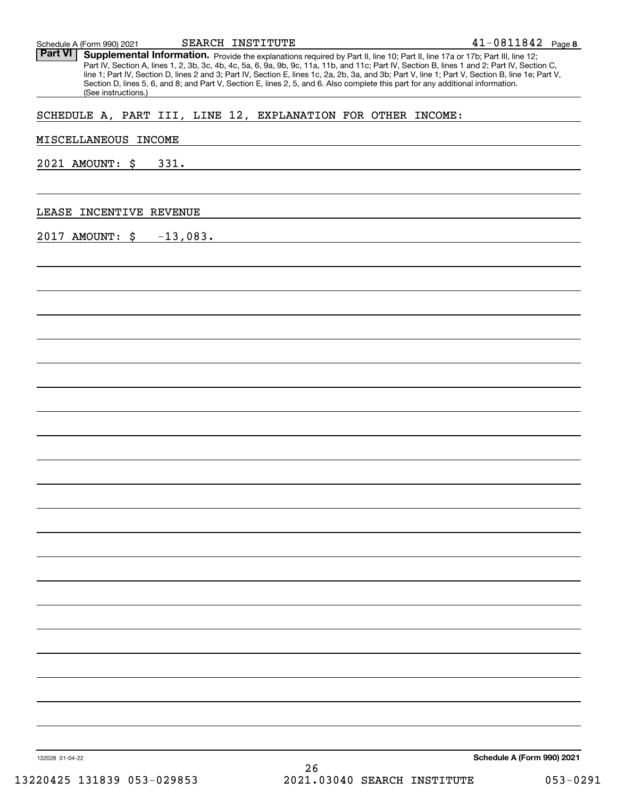| SCHEDULE A, PART III, LINE 12, EXPLANATION FOR OTHER INCOME: |  |             |  |    |  |                                                                                                                      |                            |  |
|--------------------------------------------------------------|--|-------------|--|----|--|----------------------------------------------------------------------------------------------------------------------|----------------------------|--|
| MISCELLANEOUS INCOME                                         |  |             |  |    |  | and the control of the control of the control of the control of the control of the control of the control of the     |                            |  |
|                                                              |  |             |  |    |  |                                                                                                                      |                            |  |
| 2021 AMOUNT: \$                                              |  | 331.        |  |    |  | <u> 1989 - Johann Harry Barn, mars ar breist fan de Amerikaanske kommunenter oant it fan de Amerikaanske kommune</u> |                            |  |
|                                                              |  |             |  |    |  |                                                                                                                      |                            |  |
| LEASE INCENTIVE REVENUE                                      |  |             |  |    |  |                                                                                                                      |                            |  |
| 2017 AMOUNT: \$                                              |  | $-13,083$ . |  |    |  |                                                                                                                      |                            |  |
|                                                              |  |             |  |    |  |                                                                                                                      |                            |  |
|                                                              |  |             |  |    |  |                                                                                                                      |                            |  |
|                                                              |  |             |  |    |  |                                                                                                                      |                            |  |
|                                                              |  |             |  |    |  |                                                                                                                      |                            |  |
|                                                              |  |             |  |    |  |                                                                                                                      |                            |  |
|                                                              |  |             |  |    |  |                                                                                                                      |                            |  |
|                                                              |  |             |  |    |  |                                                                                                                      |                            |  |
|                                                              |  |             |  |    |  |                                                                                                                      |                            |  |
|                                                              |  |             |  |    |  |                                                                                                                      |                            |  |
|                                                              |  |             |  |    |  |                                                                                                                      |                            |  |
|                                                              |  |             |  |    |  |                                                                                                                      |                            |  |
|                                                              |  |             |  |    |  |                                                                                                                      |                            |  |
|                                                              |  |             |  |    |  |                                                                                                                      |                            |  |
|                                                              |  |             |  |    |  |                                                                                                                      |                            |  |
|                                                              |  |             |  |    |  |                                                                                                                      |                            |  |
|                                                              |  |             |  |    |  |                                                                                                                      |                            |  |
|                                                              |  |             |  |    |  |                                                                                                                      |                            |  |
|                                                              |  |             |  |    |  |                                                                                                                      |                            |  |
|                                                              |  |             |  |    |  |                                                                                                                      |                            |  |
|                                                              |  |             |  |    |  |                                                                                                                      |                            |  |
|                                                              |  |             |  |    |  |                                                                                                                      |                            |  |
|                                                              |  |             |  |    |  |                                                                                                                      |                            |  |
|                                                              |  |             |  |    |  |                                                                                                                      |                            |  |
|                                                              |  |             |  |    |  |                                                                                                                      |                            |  |
|                                                              |  |             |  |    |  |                                                                                                                      |                            |  |
|                                                              |  |             |  |    |  |                                                                                                                      |                            |  |
|                                                              |  |             |  |    |  |                                                                                                                      |                            |  |
| 132028 01-04-22                                              |  |             |  |    |  |                                                                                                                      | Schedule A (Form 990) 2021 |  |
|                                                              |  |             |  | 26 |  |                                                                                                                      |                            |  |

Part VI | Supplemental Information. Provide the explanations required by Part II, line 10; Part II, line 17a or 17b; Part III, line 12;

SEARCH INSTITUTE

Part IV, Section A, lines 1, 2, 3b, 3c, 4b, 4c, 5a, 6, 9a, 9b, 9c, 11a, 11b, and 11c; Part IV, Section B, lines 1 and 2; Part IV, Section C,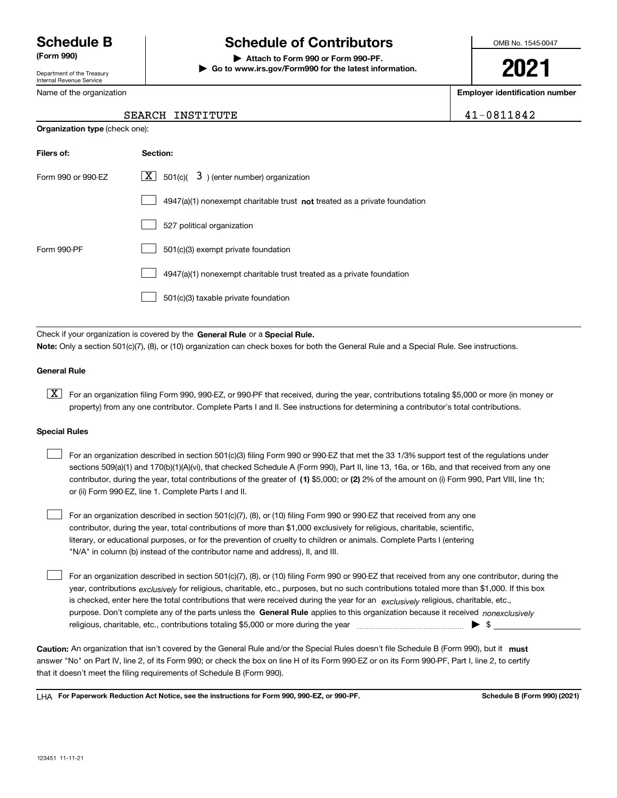Department of the Treasury Internal Revenue Service

Name of the organization

# **Schedule B Schedule of Contributors**

**(Form 990) | Attach to Form 990 or Form 990-PF. | Go to www.irs.gov/Form990 for the latest information.** OMB No. 1545-0047

**2021**

**Employer identification number**

41-0811842

| SEARCH INSTITUTE |  |
|------------------|--|
|------------------|--|

| <b>Organization type (check one):</b> |                                                                                    |  |  |  |  |  |  |
|---------------------------------------|------------------------------------------------------------------------------------|--|--|--|--|--|--|
| Filers of:                            | Section:                                                                           |  |  |  |  |  |  |
| Form 990 or 990-EZ                    | $\lfloor x \rfloor$ 501(c)( 3) (enter number) organization                         |  |  |  |  |  |  |
|                                       | $4947(a)(1)$ nonexempt charitable trust <b>not</b> treated as a private foundation |  |  |  |  |  |  |
|                                       | 527 political organization                                                         |  |  |  |  |  |  |
| Form 990-PF                           | 501(c)(3) exempt private foundation                                                |  |  |  |  |  |  |
|                                       | 4947(a)(1) nonexempt charitable trust treated as a private foundation              |  |  |  |  |  |  |
|                                       | 501(c)(3) taxable private foundation                                               |  |  |  |  |  |  |

Check if your organization is covered by the **General Rule** or a **Special Rule. Note:**  Only a section 501(c)(7), (8), or (10) organization can check boxes for both the General Rule and a Special Rule. See instructions.

## **General Rule**

 $\boxed{\textbf{X}}$  For an organization filing Form 990, 990-EZ, or 990-PF that received, during the year, contributions totaling \$5,000 or more (in money or property) from any one contributor. Complete Parts I and II. See instructions for determining a contributor's total contributions.

### **Special Rules**

| For an organization described in section 501(c)(3) filing Form 990 or 990-EZ that met the 33 1/3% support test of the regulations under       |
|-----------------------------------------------------------------------------------------------------------------------------------------------|
| sections 509(a)(1) and 170(b)(1)(A)(vi), that checked Schedule A (Form 990), Part II, line 13, 16a, or 16b, and that received from any one    |
| contributor, during the year, total contributions of the greater of (1) \$5,000; or (2) 2% of the amount on (i) Form 990, Part VIII, line 1h; |
| or (ii) Form 990-EZ, line 1. Complete Parts I and II.                                                                                         |

For an organization described in section 501(c)(7), (8), or (10) filing Form 990 or 990-EZ that received from any one contributor, during the year, total contributions of more than \$1,000 exclusively for religious, charitable, scientific, literary, or educational purposes, or for the prevention of cruelty to children or animals. Complete Parts I (entering "N/A" in column (b) instead of the contributor name and address), II, and III.  $\mathcal{L}^{\text{max}}$ 

purpose. Don't complete any of the parts unless the **General Rule** applies to this organization because it received *nonexclusively* year, contributions <sub>exclusively</sub> for religious, charitable, etc., purposes, but no such contributions totaled more than \$1,000. If this box is checked, enter here the total contributions that were received during the year for an  $\;$ exclusively religious, charitable, etc., For an organization described in section 501(c)(7), (8), or (10) filing Form 990 or 990-EZ that received from any one contributor, during the religious, charitable, etc., contributions totaling \$5,000 or more during the year  $\Box$ — $\Box$  =  $\Box$  $\mathcal{L}^{\text{max}}$ 

Caution: An organization that isn't covered by the General Rule and/or the Special Rules doesn't file Schedule B (Form 990), but it **must** answer "No" on Part IV, line 2, of its Form 990; or check the box on line H of its Form 990-EZ or on its Form 990-PF, Part I, line 2, to certify that it doesn't meet the filing requirements of Schedule B (Form 990).

LHA For Paperwork Reduction Act Notice, see the instructions for Form 990, 990-EZ, or 990-PF. **In the act and Schedule B** (Form 990) (2021)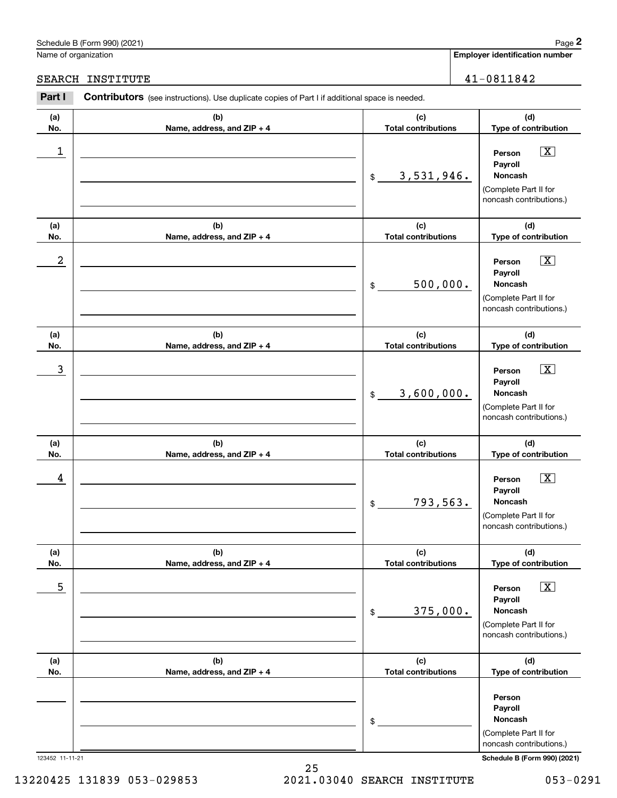## Schedule B (Form 990) (2021) Page 2

Name of organization

÷.

|                  | chedule B (Form 990) (2021)                                                                           |                                   | Page 2                                                                                                        |
|------------------|-------------------------------------------------------------------------------------------------------|-----------------------------------|---------------------------------------------------------------------------------------------------------------|
|                  | lame of organization                                                                                  |                                   | <b>Employer identification number</b>                                                                         |
| <b>EARCH</b>     | INSTITUTE                                                                                             |                                   | 41-0811842                                                                                                    |
| Part I           | <b>Contributors</b> (see instructions). Use duplicate copies of Part I if additional space is needed. |                                   |                                                                                                               |
| (a)<br>No.       | (b)<br>Name, address, and ZIP + 4                                                                     | (c)<br><b>Total contributions</b> | (d)<br>Type of contribution                                                                                   |
| 1                |                                                                                                       | 3,531,946.<br>\$                  | $\boxed{\text{X}}$<br>Person<br>Payroll<br>Noncash<br>(Complete Part II for<br>noncash contributions.)        |
| (a)<br>No.       | (b)<br>Name, address, and ZIP + 4                                                                     | (c)<br><b>Total contributions</b> | (d)<br>Type of contribution                                                                                   |
| $\boldsymbol{2}$ |                                                                                                       | 500,000.<br>$\mathfrak{S}$        | $\boxed{\text{X}}$<br>Person<br>Payroll<br>Noncash<br>(Complete Part II for<br>noncash contributions.)        |
| (a)<br>No.       | (b)<br>Name, address, and ZIP + 4                                                                     | (c)<br><b>Total contributions</b> | (d)<br>Type of contribution                                                                                   |
| $\mathbf{3}$     |                                                                                                       | 3,600,000.<br>\$                  | $\boxed{\text{X}}$<br>Person<br>Payroll<br>Noncash<br>(Complete Part II for<br>noncash contributions.)        |
| (a)<br>No.       | (b)<br>Name, address, and ZIP + 4                                                                     | (c)<br><b>Total contributions</b> | (d)<br>Type of contribution                                                                                   |
| 4                |                                                                                                       | 793,563.<br>\$                    | $\boxed{\text{X}}$<br>Person<br>Payroll<br>Noncash<br>(Complete Part II for<br>noncash contributions.)        |
| (a)<br>No.       | (b)<br>Name, address, and ZIP + 4                                                                     | (c)<br><b>Total contributions</b> | (d)<br>Type of contribution                                                                                   |
| 5                |                                                                                                       | 375,000.<br>\$                    | $\boxed{\text{X}}$<br>Person<br>Payroll<br><b>Noncash</b><br>(Complete Part II for<br>noncash contributions.) |
| (a)<br>No.       | (b)<br>Name, address, and ZIP + 4                                                                     | (c)<br><b>Total contributions</b> | (d)<br>Type of contribution                                                                                   |
|                  |                                                                                                       | \$                                | Person<br>Payroll<br>Noncash<br>(Complete Part II for<br>noncash contributions.)                              |

123452 11-11-21 **Schedule B (Form 990) (2021)**

25 13220425 131839 053-029853 2021.03040 SEARCH INSTITUTE 053-0291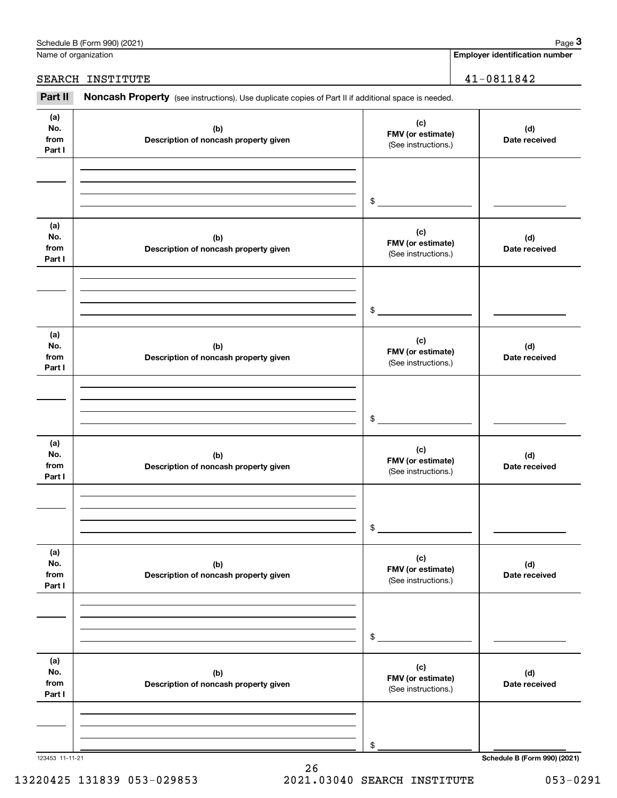|                              | Schedule B (Form 990) (2021)                                                                        |                                                 | Page 3                                |
|------------------------------|-----------------------------------------------------------------------------------------------------|-------------------------------------------------|---------------------------------------|
| Name of organization         |                                                                                                     |                                                 | <b>Employer identification number</b> |
|                              | SEARCH INSTITUTE                                                                                    |                                                 | $41 - 0811842$                        |
| Part II                      | Noncash Property (see instructions). Use duplicate copies of Part II if additional space is needed. |                                                 |                                       |
| (a)<br>No.<br>from<br>Part I | (b)<br>Description of noncash property given                                                        | (c)<br>FMV (or estimate)<br>(See instructions.) | (d)<br>Date received                  |
|                              |                                                                                                     | \$                                              |                                       |
| (a)<br>No.<br>from<br>Part I | (b)<br>Description of noncash property given                                                        | (c)<br>FMV (or estimate)<br>(See instructions.) | (d)<br>Date received                  |
|                              |                                                                                                     | \$                                              |                                       |
| (a)<br>No.<br>from<br>Part I | (b)<br>Description of noncash property given                                                        | (c)<br>FMV (or estimate)<br>(See instructions.) | (d)<br>Date received                  |
|                              |                                                                                                     | \$                                              |                                       |
| (a)<br>No.<br>from<br>Part I | (b)<br>Description of noncash property given                                                        | (c)<br>FMV (or estimate)<br>(See instructions.) | (d)<br>Date received                  |
|                              |                                                                                                     | \$                                              |                                       |
| (a)<br>No.<br>from<br>Part I | (b)<br>Description of noncash property given                                                        | (c)<br>FMV (or estimate)<br>(See instructions.) | (d)<br>Date received                  |
|                              |                                                                                                     | \$                                              |                                       |
| (a)<br>No.<br>from<br>Part I | (b)<br>Description of noncash property given                                                        | (c)<br>FMV (or estimate)<br>(See instructions.) | (d)<br>Date received                  |
|                              |                                                                                                     | \$                                              |                                       |
|                              |                                                                                                     |                                                 |                                       |

123453 11-11-21 **Schedule B (Form 990) (2021)**

13220425 131839 053-029853 2021.03040 SEARCH INSTITUTE 053-0291

26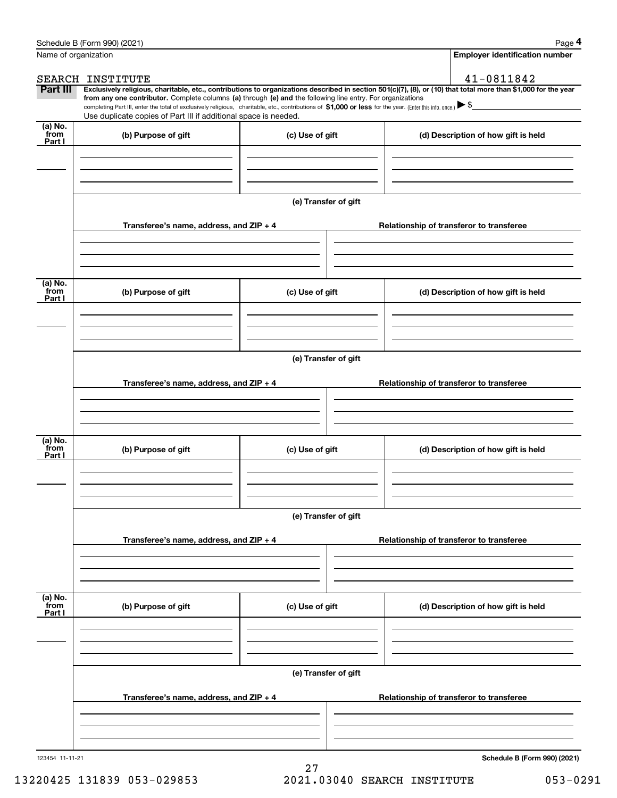|                           | Schedule B (Form 990) (2021)                                                                                                                                                                                                                                                                    |                      | Page 4                                   |
|---------------------------|-------------------------------------------------------------------------------------------------------------------------------------------------------------------------------------------------------------------------------------------------------------------------------------------------|----------------------|------------------------------------------|
| Name of organization      |                                                                                                                                                                                                                                                                                                 |                      | <b>Employer identification number</b>    |
|                           | SEARCH INSTITUTE                                                                                                                                                                                                                                                                                |                      | 41-0811842                               |
| Part III                  | Exclusively religious, charitable, etc., contributions to organizations described in section 501(c)(7), (8), or (10) that total more than \$1,000 for the year                                                                                                                                  |                      |                                          |
|                           | from any one contributor. Complete columns (a) through (e) and the following line entry. For organizations<br>completing Part III, enter the total of exclusively religious, charitable, etc., contributions of \$1,000 or less for the year. (Enter this info. once.) $\blacktriangleright$ \$ |                      |                                          |
|                           | Use duplicate copies of Part III if additional space is needed.                                                                                                                                                                                                                                 |                      |                                          |
| (a) No.<br>from<br>Part I | (b) Purpose of gift                                                                                                                                                                                                                                                                             | (c) Use of gift      | (d) Description of how gift is held      |
|                           |                                                                                                                                                                                                                                                                                                 |                      |                                          |
|                           |                                                                                                                                                                                                                                                                                                 |                      |                                          |
|                           |                                                                                                                                                                                                                                                                                                 | (e) Transfer of gift |                                          |
|                           | Transferee's name, address, and ZIP + 4                                                                                                                                                                                                                                                         |                      | Relationship of transferor to transferee |
|                           |                                                                                                                                                                                                                                                                                                 |                      |                                          |
| (a) No.<br>from           |                                                                                                                                                                                                                                                                                                 |                      |                                          |
| Part I                    | (b) Purpose of gift                                                                                                                                                                                                                                                                             | (c) Use of gift      | (d) Description of how gift is held      |
|                           |                                                                                                                                                                                                                                                                                                 |                      |                                          |
|                           |                                                                                                                                                                                                                                                                                                 | (e) Transfer of gift |                                          |
|                           | Transferee's name, address, and ZIP + 4                                                                                                                                                                                                                                                         |                      | Relationship of transferor to transferee |
|                           |                                                                                                                                                                                                                                                                                                 |                      |                                          |
|                           |                                                                                                                                                                                                                                                                                                 |                      |                                          |
| (a) No.<br>from<br>Part I | (b) Purpose of gift<br>(c) Use of gift                                                                                                                                                                                                                                                          |                      | (d) Description of how gift is held      |
|                           |                                                                                                                                                                                                                                                                                                 |                      |                                          |
|                           |                                                                                                                                                                                                                                                                                                 | (e) Transfer of gift |                                          |
|                           | Transferee's name, address, and ZIP + 4                                                                                                                                                                                                                                                         |                      | Relationship of transferor to transferee |
|                           |                                                                                                                                                                                                                                                                                                 |                      |                                          |
| (a) No.<br>from<br>Part I | (b) Purpose of gift                                                                                                                                                                                                                                                                             | (c) Use of gift      | (d) Description of how gift is held      |
|                           |                                                                                                                                                                                                                                                                                                 |                      |                                          |
|                           |                                                                                                                                                                                                                                                                                                 | (e) Transfer of gift |                                          |
|                           | Transferee's name, address, and ZIP + 4                                                                                                                                                                                                                                                         |                      | Relationship of transferor to transferee |
|                           |                                                                                                                                                                                                                                                                                                 |                      |                                          |
| 123454 11-11-21           |                                                                                                                                                                                                                                                                                                 |                      | Schedule B (Form 990) (2021)             |
|                           |                                                                                                                                                                                                                                                                                                 | 27                   |                                          |

## 13220425 131839 053-029853 2021.03040 SEARCH INSTITUTE 053-0291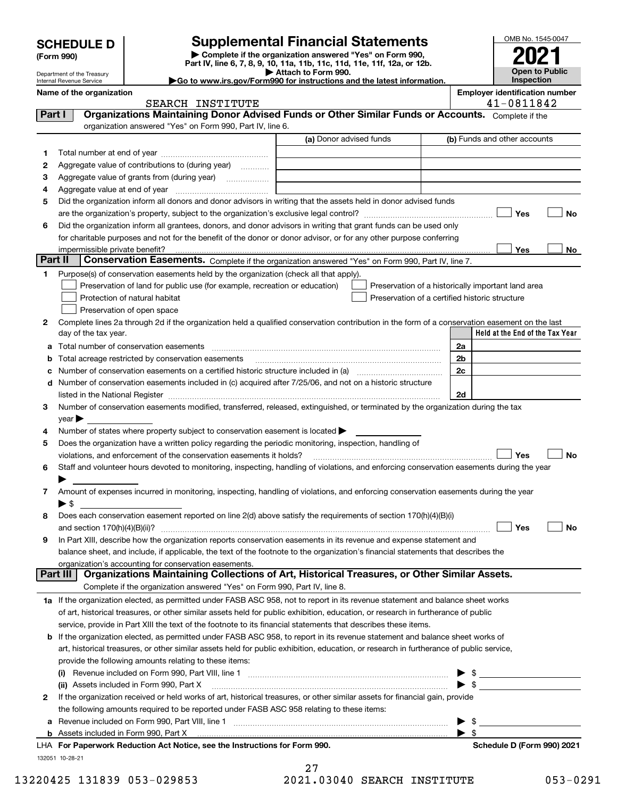| <b>SCHEDULE D</b> |  |  |  |
|-------------------|--|--|--|
|-------------------|--|--|--|

# **Supplemental Financial Statements**

**| Complete if the organization answered "Yes" on Form 990, Part IV, line 6, 7, 8, 9, 10, 11a, 11b, 11c, 11d, 11e, 11f, 12a, or 12b. | Attach to Form 990.** OMB No. 1545-0047 **Open to Public Inspection2021**

|          | Department of the Treasury<br>Internal Revenue Service | Go to www.irs.gov/Form990 for instructions and the latest information.                                                                                                                                                         | Allach to Form 990.     |  |                         | Inspection                                         | UNGH IV FUNIIV |
|----------|--------------------------------------------------------|--------------------------------------------------------------------------------------------------------------------------------------------------------------------------------------------------------------------------------|-------------------------|--|-------------------------|----------------------------------------------------|----------------|
|          | Name of the organization                               |                                                                                                                                                                                                                                |                         |  |                         | <b>Employer identification number</b>              |                |
|          |                                                        | SEARCH INSTITUTE                                                                                                                                                                                                               |                         |  |                         | 41-0811842                                         |                |
| Part I   |                                                        | Organizations Maintaining Donor Advised Funds or Other Similar Funds or Accounts. Complete if the                                                                                                                              |                         |  |                         |                                                    |                |
|          |                                                        | organization answered "Yes" on Form 990, Part IV, line 6.                                                                                                                                                                      |                         |  |                         |                                                    |                |
|          |                                                        |                                                                                                                                                                                                                                | (a) Donor advised funds |  |                         | (b) Funds and other accounts                       |                |
| 1.       |                                                        |                                                                                                                                                                                                                                |                         |  |                         |                                                    |                |
| 2        |                                                        | Aggregate value of contributions to (during year)                                                                                                                                                                              |                         |  |                         |                                                    |                |
| з        |                                                        |                                                                                                                                                                                                                                |                         |  |                         |                                                    |                |
| 4        |                                                        |                                                                                                                                                                                                                                |                         |  |                         |                                                    |                |
| 5        |                                                        | Did the organization inform all donors and donor advisors in writing that the assets held in donor advised funds                                                                                                               |                         |  |                         |                                                    |                |
|          |                                                        |                                                                                                                                                                                                                                |                         |  |                         | Yes                                                | No             |
| 6        |                                                        | Did the organization inform all grantees, donors, and donor advisors in writing that grant funds can be used only                                                                                                              |                         |  |                         |                                                    |                |
|          |                                                        | for charitable purposes and not for the benefit of the donor or donor advisor, or for any other purpose conferring                                                                                                             |                         |  |                         |                                                    |                |
| Part II  | impermissible private benefit?                         |                                                                                                                                                                                                                                |                         |  |                         | Yes                                                | No             |
|          |                                                        | Conservation Easements. Complete if the organization answered "Yes" on Form 990, Part IV, line 7.                                                                                                                              |                         |  |                         |                                                    |                |
| 1.       |                                                        | Purpose(s) of conservation easements held by the organization (check all that apply).                                                                                                                                          |                         |  |                         |                                                    |                |
|          |                                                        | Preservation of land for public use (for example, recreation or education)                                                                                                                                                     |                         |  |                         | Preservation of a historically important land area |                |
|          |                                                        | Protection of natural habitat                                                                                                                                                                                                  |                         |  |                         | Preservation of a certified historic structure     |                |
|          |                                                        | Preservation of open space                                                                                                                                                                                                     |                         |  |                         |                                                    |                |
| 2        | day of the tax year.                                   | Complete lines 2a through 2d if the organization held a qualified conservation contribution in the form of a conservation easement on the last                                                                                 |                         |  |                         | Held at the End of the Tax Year                    |                |
|          |                                                        | Total number of conservation easements                                                                                                                                                                                         |                         |  | 2a                      |                                                    |                |
| а<br>b   |                                                        | Total acreage restricted by conservation easements                                                                                                                                                                             |                         |  | 2 <sub>b</sub>          |                                                    |                |
| с        |                                                        | Number of conservation easements on a certified historic structure included in (a) <i>mummumumumum</i>                                                                                                                         |                         |  | 2c                      |                                                    |                |
| d        |                                                        | Number of conservation easements included in (c) acquired after 7/25/06, and not on a historic structure                                                                                                                       |                         |  |                         |                                                    |                |
|          |                                                        | listed in the National Register [11, 11] The Marian Community of the National Property of the National Register [11] The Marian Community of the National Register [11] The Marian Community of the National Register [11] The |                         |  | 2d                      |                                                    |                |
| 3        |                                                        | Number of conservation easements modified, transferred, released, extinguished, or terminated by the organization during the tax                                                                                               |                         |  |                         |                                                    |                |
|          | $year \triangleright$                                  |                                                                                                                                                                                                                                |                         |  |                         |                                                    |                |
| 4        |                                                        | Number of states where property subject to conservation easement is located >                                                                                                                                                  |                         |  |                         |                                                    |                |
| 5        |                                                        | Does the organization have a written policy regarding the periodic monitoring, inspection, handling of                                                                                                                         |                         |  |                         |                                                    |                |
|          |                                                        | violations, and enforcement of the conservation easements it holds?                                                                                                                                                            |                         |  |                         | Yes                                                | No             |
| 6        |                                                        | Staff and volunteer hours devoted to monitoring, inspecting, handling of violations, and enforcing conservation easements during the year                                                                                      |                         |  |                         |                                                    |                |
|          |                                                        |                                                                                                                                                                                                                                |                         |  |                         |                                                    |                |
| 7        |                                                        | Amount of expenses incurred in monitoring, inspecting, handling of violations, and enforcing conservation easements during the year                                                                                            |                         |  |                         |                                                    |                |
|          | ► \$                                                   |                                                                                                                                                                                                                                |                         |  |                         |                                                    |                |
| 8        |                                                        | Does each conservation easement reported on line 2(d) above satisfy the requirements of section 170(h)(4)(B)(i)                                                                                                                |                         |  |                         |                                                    |                |
|          | and section 170(h)(4)(B)(ii)?                          |                                                                                                                                                                                                                                |                         |  |                         | Yes                                                | _∣ No          |
| 9        |                                                        | In Part XIII, describe how the organization reports conservation easements in its revenue and expense statement and                                                                                                            |                         |  |                         |                                                    |                |
|          |                                                        | balance sheet, and include, if applicable, the text of the footnote to the organization's financial statements that describes the                                                                                              |                         |  |                         |                                                    |                |
| Part III |                                                        | organization's accounting for conservation easements.<br>Organizations Maintaining Collections of Art, Historical Treasures, or Other Similar Assets.                                                                          |                         |  |                         |                                                    |                |
|          |                                                        | Complete if the organization answered "Yes" on Form 990, Part IV, line 8.                                                                                                                                                      |                         |  |                         |                                                    |                |
|          |                                                        | 1a If the organization elected, as permitted under FASB ASC 958, not to report in its revenue statement and balance sheet works                                                                                                |                         |  |                         |                                                    |                |
|          |                                                        | of art, historical treasures, or other similar assets held for public exhibition, education, or research in furtherance of public                                                                                              |                         |  |                         |                                                    |                |
|          |                                                        | service, provide in Part XIII the text of the footnote to its financial statements that describes these items.                                                                                                                 |                         |  |                         |                                                    |                |
|          |                                                        | <b>b</b> If the organization elected, as permitted under FASB ASC 958, to report in its revenue statement and balance sheet works of                                                                                           |                         |  |                         |                                                    |                |
|          |                                                        | art, historical treasures, or other similar assets held for public exhibition, education, or research in furtherance of public service,                                                                                        |                         |  |                         |                                                    |                |
|          |                                                        | provide the following amounts relating to these items:                                                                                                                                                                         |                         |  |                         |                                                    |                |
|          |                                                        |                                                                                                                                                                                                                                |                         |  |                         |                                                    |                |
|          |                                                        | (ii) Assets included in Form 990, Part X                                                                                                                                                                                       |                         |  | ► \$                    |                                                    |                |
| 2        |                                                        | If the organization received or held works of art, historical treasures, or other similar assets for financial gain, provide                                                                                                   |                         |  |                         |                                                    |                |
|          |                                                        | the following amounts required to be reported under FASB ASC 958 relating to these items:                                                                                                                                      |                         |  |                         |                                                    |                |
| а        |                                                        |                                                                                                                                                                                                                                |                         |  | - \$                    |                                                    |                |
|          |                                                        |                                                                                                                                                                                                                                |                         |  | $\blacktriangleright$ s |                                                    |                |
|          |                                                        |                                                                                                                                                                                                                                |                         |  |                         |                                                    |                |

132051 10-28-21 **For Paperwork Reduction Act Notice, see the Instructions for Form 990. Schedule D (Form 990) 2021** LHA

13220425 131839 053-029853 2021.03040 SEARCH INSTITUTE 053-0291

27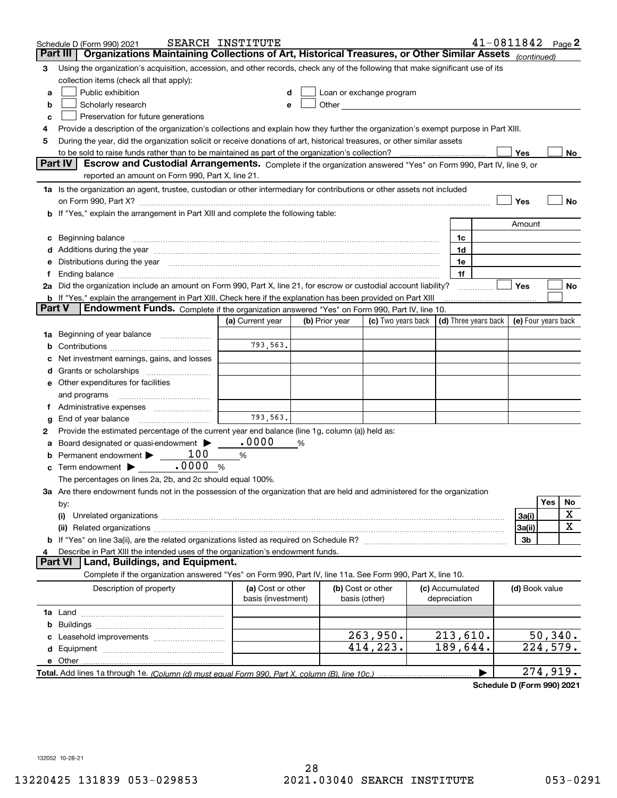|        | Schedule D (Form 990) 2021                                                                                                                                                                                                     | SEARCH INSTITUTE                        |                |                                                                                                                                                                                                                               |                    |                                 | $41 - 0811842$ Page 2 |                     |                        |    |
|--------|--------------------------------------------------------------------------------------------------------------------------------------------------------------------------------------------------------------------------------|-----------------------------------------|----------------|-------------------------------------------------------------------------------------------------------------------------------------------------------------------------------------------------------------------------------|--------------------|---------------------------------|-----------------------|---------------------|------------------------|----|
|        | Organizations Maintaining Collections of Art, Historical Treasures, or Other Similar Assets (continued)<br>Part III                                                                                                            |                                         |                |                                                                                                                                                                                                                               |                    |                                 |                       |                     |                        |    |
| 3      | Using the organization's acquisition, accession, and other records, check any of the following that make significant use of its                                                                                                |                                         |                |                                                                                                                                                                                                                               |                    |                                 |                       |                     |                        |    |
|        | collection items (check all that apply):                                                                                                                                                                                       |                                         |                |                                                                                                                                                                                                                               |                    |                                 |                       |                     |                        |    |
| a      | Public exhibition                                                                                                                                                                                                              |                                         |                | Loan or exchange program                                                                                                                                                                                                      |                    |                                 |                       |                     |                        |    |
| b      | Scholarly research                                                                                                                                                                                                             | е                                       |                | Other and the contract of the contract of the contract of the contract of the contract of the contract of the contract of the contract of the contract of the contract of the contract of the contract of the contract of the |                    |                                 |                       |                     |                        |    |
| с      | Preservation for future generations                                                                                                                                                                                            |                                         |                |                                                                                                                                                                                                                               |                    |                                 |                       |                     |                        |    |
| 4      | Provide a description of the organization's collections and explain how they further the organization's exempt purpose in Part XIII.                                                                                           |                                         |                |                                                                                                                                                                                                                               |                    |                                 |                       |                     |                        |    |
| 5      | During the year, did the organization solicit or receive donations of art, historical treasures, or other similar assets                                                                                                       |                                         |                |                                                                                                                                                                                                                               |                    |                                 |                       |                     |                        |    |
|        | to be sold to raise funds rather than to be maintained as part of the organization's collection?                                                                                                                               |                                         |                |                                                                                                                                                                                                                               |                    |                                 |                       | Yes                 |                        | No |
|        | <b>Part IV</b><br>Escrow and Custodial Arrangements. Complete if the organization answered "Yes" on Form 990, Part IV, line 9, or                                                                                              |                                         |                |                                                                                                                                                                                                                               |                    |                                 |                       |                     |                        |    |
|        | reported an amount on Form 990, Part X, line 21.                                                                                                                                                                               |                                         |                |                                                                                                                                                                                                                               |                    |                                 |                       |                     |                        |    |
|        | 1a Is the organization an agent, trustee, custodian or other intermediary for contributions or other assets not included                                                                                                       |                                         |                |                                                                                                                                                                                                                               |                    |                                 |                       |                     |                        |    |
|        | on Form 990, Part X? [11] matter contracts and contracts and contracts are contracted and contracts are contracted and contract and contract of the contract of the contract of the contract of the contract of the contract o |                                         |                |                                                                                                                                                                                                                               |                    |                                 |                       | Yes                 |                        | No |
|        | b If "Yes," explain the arrangement in Part XIII and complete the following table:                                                                                                                                             |                                         |                |                                                                                                                                                                                                                               |                    |                                 |                       |                     |                        |    |
|        |                                                                                                                                                                                                                                |                                         |                |                                                                                                                                                                                                                               |                    |                                 |                       | Amount              |                        |    |
| c      | Beginning balance material content contracts and all the content of the content of the content of the content of the content of the content of the content of the content of the content of the content of the content of the  |                                         |                |                                                                                                                                                                                                                               |                    | 1c                              |                       |                     |                        |    |
|        | Additions during the year manufactured and an account of the state of the state of the state of the state of the state of the state of the state of the state of the state of the state of the state of the state of the state |                                         |                |                                                                                                                                                                                                                               |                    | 1d                              |                       |                     |                        |    |
|        | Distributions during the year measurement contains and all the state of the state of the state of the state of                                                                                                                 |                                         |                |                                                                                                                                                                                                                               |                    | 1e                              |                       |                     |                        |    |
| Ť.     |                                                                                                                                                                                                                                |                                         |                |                                                                                                                                                                                                                               |                    | 1f                              |                       |                     |                        |    |
|        | 2a Did the organization include an amount on Form 990, Part X, line 21, for escrow or custodial account liability?                                                                                                             |                                         |                |                                                                                                                                                                                                                               |                    |                                 |                       | Yes                 |                        | No |
| Part V | <b>b</b> If "Yes," explain the arrangement in Part XIII. Check here if the explanation has been provided on Part XIII<br>Endowment Funds. Complete if the organization answered "Yes" on Form 990, Part IV, line 10.           |                                         |                |                                                                                                                                                                                                                               |                    |                                 |                       |                     |                        |    |
|        |                                                                                                                                                                                                                                | (a) Current year                        | (b) Prior year |                                                                                                                                                                                                                               | (c) Two years back | (d) Three years back            |                       | (e) Four years back |                        |    |
|        |                                                                                                                                                                                                                                |                                         |                |                                                                                                                                                                                                                               |                    |                                 |                       |                     |                        |    |
| 1a     | Beginning of year balance                                                                                                                                                                                                      | 793,563.                                |                |                                                                                                                                                                                                                               |                    |                                 |                       |                     |                        |    |
|        |                                                                                                                                                                                                                                |                                         |                |                                                                                                                                                                                                                               |                    |                                 |                       |                     |                        |    |
|        | Net investment earnings, gains, and losses                                                                                                                                                                                     |                                         |                |                                                                                                                                                                                                                               |                    |                                 |                       |                     |                        |    |
| d      | Grants or scholarships<br>e Other expenditures for facilities                                                                                                                                                                  |                                         |                |                                                                                                                                                                                                                               |                    |                                 |                       |                     |                        |    |
|        |                                                                                                                                                                                                                                |                                         |                |                                                                                                                                                                                                                               |                    |                                 |                       |                     |                        |    |
|        | and programs<br>f Administrative expenses                                                                                                                                                                                      |                                         |                |                                                                                                                                                                                                                               |                    |                                 |                       |                     |                        |    |
|        | End of year balance                                                                                                                                                                                                            | 793,563.                                |                |                                                                                                                                                                                                                               |                    |                                 |                       |                     |                        |    |
| g<br>2 | Provide the estimated percentage of the current year end balance (line 1g, column (a)) held as:                                                                                                                                |                                         |                |                                                                                                                                                                                                                               |                    |                                 |                       |                     |                        |    |
| а      | Board designated or quasi-endowment >                                                                                                                                                                                          | .0000                                   | %              |                                                                                                                                                                                                                               |                    |                                 |                       |                     |                        |    |
|        | 100<br>Permanent endowment >                                                                                                                                                                                                   | %                                       |                |                                                                                                                                                                                                                               |                    |                                 |                       |                     |                        |    |
|        | .0000<br>Term endowment $\blacktriangleright$                                                                                                                                                                                  | %                                       |                |                                                                                                                                                                                                                               |                    |                                 |                       |                     |                        |    |
|        | The percentages on lines 2a, 2b, and 2c should equal 100%.                                                                                                                                                                     |                                         |                |                                                                                                                                                                                                                               |                    |                                 |                       |                     |                        |    |
|        | 3a Are there endowment funds not in the possession of the organization that are held and administered for the organization                                                                                                     |                                         |                |                                                                                                                                                                                                                               |                    |                                 |                       |                     |                        |    |
|        | by:                                                                                                                                                                                                                            |                                         |                |                                                                                                                                                                                                                               |                    |                                 |                       |                     | Yes                    | No |
| (i)    |                                                                                                                                                                                                                                |                                         |                |                                                                                                                                                                                                                               |                    |                                 |                       | 3a(i)               |                        | х  |
| 3a(ii) |                                                                                                                                                                                                                                |                                         |                |                                                                                                                                                                                                                               |                    |                                 |                       |                     |                        | X  |
|        | 3b                                                                                                                                                                                                                             |                                         |                |                                                                                                                                                                                                                               |                    |                                 |                       |                     |                        |    |
|        | Describe in Part XIII the intended uses of the organization's endowment funds.                                                                                                                                                 |                                         |                |                                                                                                                                                                                                                               |                    |                                 |                       |                     |                        |    |
|        | Land, Buildings, and Equipment.<br>Part VI                                                                                                                                                                                     |                                         |                |                                                                                                                                                                                                                               |                    |                                 |                       |                     |                        |    |
|        | Complete if the organization answered "Yes" on Form 990, Part IV, line 11a. See Form 990, Part X, line 10.                                                                                                                     |                                         |                |                                                                                                                                                                                                                               |                    |                                 |                       |                     |                        |    |
|        | Description of property                                                                                                                                                                                                        | (a) Cost or other<br>basis (investment) |                | (b) Cost or other<br>basis (other)                                                                                                                                                                                            |                    | (c) Accumulated<br>depreciation |                       | (d) Book value      |                        |    |
|        |                                                                                                                                                                                                                                |                                         |                |                                                                                                                                                                                                                               |                    |                                 |                       |                     |                        |    |
| b      |                                                                                                                                                                                                                                |                                         |                |                                                                                                                                                                                                                               |                    |                                 |                       |                     |                        |    |
|        |                                                                                                                                                                                                                                |                                         |                | 263,950.                                                                                                                                                                                                                      |                    | 213,610.                        |                       |                     | 50,340.                |    |
|        |                                                                                                                                                                                                                                |                                         |                | 414, 223.                                                                                                                                                                                                                     |                    | 189,644.                        |                       |                     | $\overline{224,579}$ . |    |
|        | e Other.                                                                                                                                                                                                                       |                                         |                |                                                                                                                                                                                                                               |                    |                                 |                       |                     |                        |    |
|        |                                                                                                                                                                                                                                |                                         |                |                                                                                                                                                                                                                               |                    |                                 |                       |                     | 274,919.               |    |
|        |                                                                                                                                                                                                                                |                                         |                |                                                                                                                                                                                                                               |                    |                                 |                       |                     |                        |    |

**Schedule D (Form 990) 2021**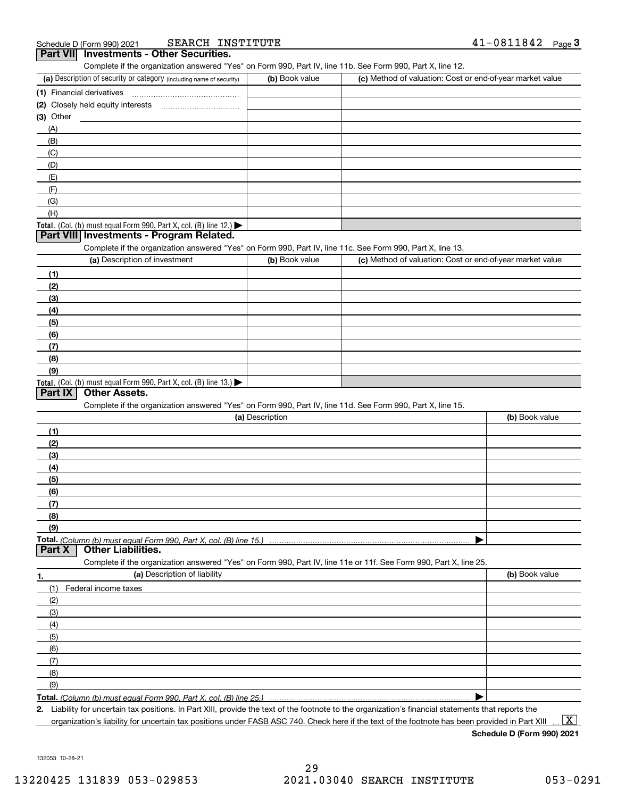| SEARCH<br>INSTITU.<br>Schedule D (Form 990) 2021 |
|--------------------------------------------------|
|--------------------------------------------------|

| Schedule D (Form 990) 2021                                           | SEARCH INSTITUTE |                |                                                                                                                   | 41-0811842<br>Page $3$ |
|----------------------------------------------------------------------|------------------|----------------|-------------------------------------------------------------------------------------------------------------------|------------------------|
| <b>Investments - Other Securities.</b><br><b>Part VII</b>            |                  |                |                                                                                                                   |                        |
|                                                                      |                  |                | Complete if the organization answered "Yes" on Form 990, Part IV, line 11b. See Form 990, Part X, line 12.        |                        |
| (a) Description of security or category (including name of security) |                  | (b) Book value | (c) Method of valuation: Cost or end-of-year market value                                                         |                        |
| (1) Financial derivatives                                            |                  |                |                                                                                                                   |                        |
|                                                                      |                  |                |                                                                                                                   |                        |
| (3) Other                                                            |                  |                |                                                                                                                   |                        |
| (A)                                                                  |                  |                |                                                                                                                   |                        |
| (B)                                                                  |                  |                |                                                                                                                   |                        |
| (C)                                                                  |                  |                |                                                                                                                   |                        |
|                                                                      |                  |                |                                                                                                                   |                        |
| (D)                                                                  |                  |                |                                                                                                                   |                        |
| (E)                                                                  |                  |                |                                                                                                                   |                        |
| (F)                                                                  |                  |                |                                                                                                                   |                        |
| (G)                                                                  |                  |                |                                                                                                                   |                        |
| (H)                                                                  |                  |                |                                                                                                                   |                        |
| Total. (Col. (b) must equal Form 990, Part X, col. (B) line 12.)     |                  |                |                                                                                                                   |                        |
| Part VIII Investments - Program Related.                             |                  |                |                                                                                                                   |                        |
|                                                                      |                  |                | Complete if the organization answered "Yes" on Form 990, Part IV, line 11c. See Form 990, Part X, line 13.        |                        |
| (a) Description of investment                                        |                  | (b) Book value | (c) Method of valuation: Cost or end-of-year market value                                                         |                        |
| (1)                                                                  |                  |                |                                                                                                                   |                        |
| (2)                                                                  |                  |                |                                                                                                                   |                        |
| (3)                                                                  |                  |                |                                                                                                                   |                        |
| (4)                                                                  |                  |                |                                                                                                                   |                        |
| (5)                                                                  |                  |                |                                                                                                                   |                        |
| (6)                                                                  |                  |                |                                                                                                                   |                        |
| (7)                                                                  |                  |                |                                                                                                                   |                        |
| (8)                                                                  |                  |                |                                                                                                                   |                        |
| (9)                                                                  |                  |                |                                                                                                                   |                        |
| Total. (Col. (b) must equal Form 990, Part X, col. (B) line 13.)     |                  |                |                                                                                                                   |                        |
| <b>Other Assets.</b><br><b>Part IX</b>                               |                  |                |                                                                                                                   |                        |
|                                                                      |                  |                | Complete if the organization answered "Yes" on Form 990, Part IV, line 11d. See Form 990, Part X, line 15.        |                        |
|                                                                      | (a) Description  |                |                                                                                                                   | (b) Book value         |
| (1)                                                                  |                  |                |                                                                                                                   |                        |
| (2)                                                                  |                  |                |                                                                                                                   |                        |
| (3)                                                                  |                  |                |                                                                                                                   |                        |
| (4)                                                                  |                  |                |                                                                                                                   |                        |
| (5)                                                                  |                  |                |                                                                                                                   |                        |
| (6)                                                                  |                  |                |                                                                                                                   |                        |
| (7)                                                                  |                  |                |                                                                                                                   |                        |
| (8)                                                                  |                  |                |                                                                                                                   |                        |
| (9)                                                                  |                  |                |                                                                                                                   |                        |
| Total. (Column (b) must equal Form 990, Part X, col. (B) line 15.)   |                  |                |                                                                                                                   |                        |
| <b>Part X</b><br><b>Other Liabilities.</b>                           |                  |                |                                                                                                                   |                        |
|                                                                      |                  |                | Complete if the organization answered "Yes" on Form 990, Part IV, line 11e or 11f. See Form 990, Part X, line 25. |                        |
| (a) Description of liability<br>1.                                   |                  |                |                                                                                                                   | (b) Book value         |
| (1)<br>Federal income taxes                                          |                  |                |                                                                                                                   |                        |
| (2)                                                                  |                  |                |                                                                                                                   |                        |
| (3)                                                                  |                  |                |                                                                                                                   |                        |
| (4)                                                                  |                  |                |                                                                                                                   |                        |
| (5)                                                                  |                  |                |                                                                                                                   |                        |
| (6)                                                                  |                  |                |                                                                                                                   |                        |
| (7)                                                                  |                  |                |                                                                                                                   |                        |
| (8)                                                                  |                  |                |                                                                                                                   |                        |
| (9)                                                                  |                  |                |                                                                                                                   |                        |
|                                                                      |                  |                |                                                                                                                   |                        |
| Total. (Column (b) must equal Form 990. Part X, col. (B) line 25.    |                  |                |                                                                                                                   |                        |

**2.** Liability for uncertain tax positions. In Part XIII, provide the text of the footnote to the organization's financial statements that reports the organization's liability for uncertain tax positions under FASB ASC 740. Check here if the text of the footnote has been provided in Part XIII

**Schedule D (Form 990) 2021**

132053 10-28-21

 $\boxed{\text{X}}$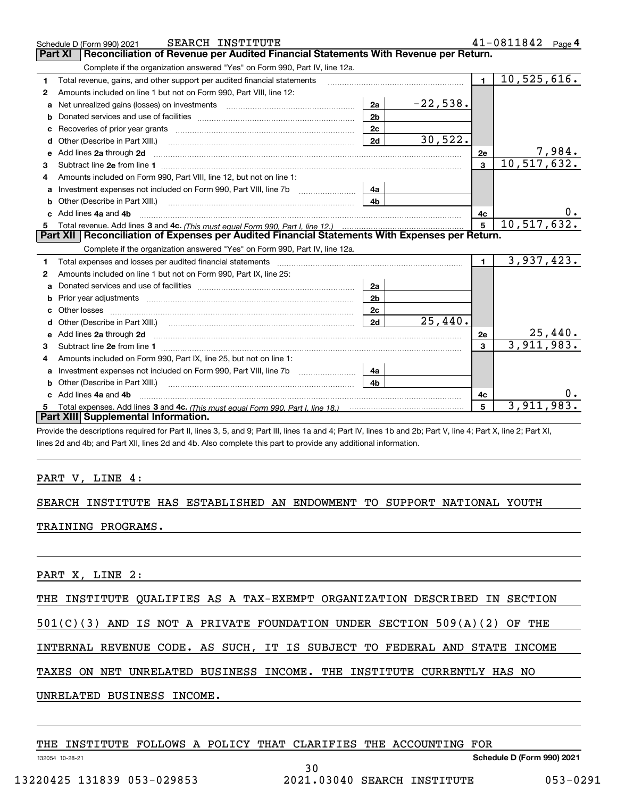|    | SEARCH INSTITUTE<br>Schedule D (Form 990) 2021                                                                                                                                                                                      |                |            |                | $41 - 0811842$ Page 4 |
|----|-------------------------------------------------------------------------------------------------------------------------------------------------------------------------------------------------------------------------------------|----------------|------------|----------------|-----------------------|
|    | Reconciliation of Revenue per Audited Financial Statements With Revenue per Return.<br>Part XI                                                                                                                                      |                |            |                |                       |
|    | Complete if the organization answered "Yes" on Form 990, Part IV, line 12a.                                                                                                                                                         |                |            |                |                       |
| 1. | Total revenue, gains, and other support per audited financial statements                                                                                                                                                            |                |            | $\blacksquare$ | 10,525,616.           |
| 2  | Amounts included on line 1 but not on Form 990, Part VIII, line 12:                                                                                                                                                                 |                |            |                |                       |
| a  | Net unrealized gains (losses) on investments [11] matter contracts and the unrealized gains (losses) on investments                                                                                                                 | 2a             | $-22,538.$ |                |                       |
|    |                                                                                                                                                                                                                                     | 2 <sub>b</sub> |            |                |                       |
| с  |                                                                                                                                                                                                                                     | 2c             |            |                |                       |
|    | <b>d</b> Other (Describe in Part XIII.)                                                                                                                                                                                             | 2d             | 30,522.    |                |                       |
| е  | Add lines 2a through 2d                                                                                                                                                                                                             |                |            | 2e             | 7,984.                |
| 3  |                                                                                                                                                                                                                                     |                |            | $\overline{3}$ | 10, 517, 632.         |
| 4  | Amounts included on Form 990, Part VIII, line 12, but not on line 1:                                                                                                                                                                |                |            |                |                       |
|    | Investment expenses not included on Form 990, Part VIII, line 7b [1000000000000000000000000000000000                                                                                                                                | 4a             |            |                |                       |
| b  | Other (Describe in Part XIII.) (2000) (2000) (2000) (2010) (2010) (2010) (2010) (2010) (2010) (2010) (2010) (20                                                                                                                     | 4 <sub>b</sub> |            |                |                       |
| c. | Add lines 4a and 4b                                                                                                                                                                                                                 |                |            | 4с             |                       |
|    |                                                                                                                                                                                                                                     |                |            | $\overline{5}$ | 10, 517, 632.         |
|    |                                                                                                                                                                                                                                     |                |            |                |                       |
|    | Part XII   Reconciliation of Expenses per Audited Financial Statements With Expenses per Return.                                                                                                                                    |                |            |                |                       |
|    | Complete if the organization answered "Yes" on Form 990, Part IV, line 12a.                                                                                                                                                         |                |            |                |                       |
| 1  | Total expenses and losses per audited financial statements [11] [11] Total expenses and losses per audited financial statements [11] [11] Total expenses and losses per audited financial statements                                |                |            | $\blacksquare$ | 3,937,423.            |
| 2  | Amounts included on line 1 but not on Form 990, Part IX, line 25:                                                                                                                                                                   |                |            |                |                       |
| a  |                                                                                                                                                                                                                                     | 2a             |            |                |                       |
| b  |                                                                                                                                                                                                                                     | 2 <sub>b</sub> |            |                |                       |
| c. |                                                                                                                                                                                                                                     | 2c             |            |                |                       |
| d  |                                                                                                                                                                                                                                     | 2d             | 25,440.    |                |                       |
| е  | Add lines 2a through 2d <b>contained a contained a contained a contained a</b> contained a contained a contained a contained a contained a contained a contained a contained a contained a contained a contained a contained a cont |                |            | 2e             | <u>25,440.</u>        |
| 3  |                                                                                                                                                                                                                                     |                |            | $\overline{3}$ | 3,911,983.            |
| 4  | Amounts included on Form 990, Part IX, line 25, but not on line 1:                                                                                                                                                                  |                |            |                |                       |
| a  |                                                                                                                                                                                                                                     | 4a             |            |                |                       |
|    | <b>b</b> Other (Describe in Part XIII.)                                                                                                                                                                                             | 4b.            |            |                |                       |
| C. | Add lines 4a and 4b                                                                                                                                                                                                                 |                |            | 4c             |                       |
|    | Part XIII Supplemental Information.                                                                                                                                                                                                 |                |            | 5              | 3,911,983             |

Provide the descriptions required for Part II, lines 3, 5, and 9; Part III, lines 1a and 4; Part IV, lines 1b and 2b; Part V, line 4; Part X, line 2; Part XI, lines 2d and 4b; and Part XII, lines 2d and 4b. Also complete this part to provide any additional information.

### PART V, LINE 4:

## SEARCH INSTITUTE HAS ESTABLISHED AN ENDOWMENT TO SUPPORT NATIONAL YOUTH

### TRAINING PROGRAMS.

PART X, LINE 2:

THE INSTITUTE QUALIFIES AS A TAX-EXEMPT ORGANIZATION DESCRIBED IN SECTION

501(C)(3) AND IS NOT A PRIVATE FOUNDATION UNDER SECTION 509(A)(2) OF THE

INTERNAL REVENUE CODE. AS SUCH, IT IS SUBJECT TO FEDERAL AND STATE INCOME

30

TAXES ON NET UNRELATED BUSINESS INCOME. THE INSTITUTE CURRENTLY HAS NO

UNRELATED BUSINESS INCOME.

|  |  |  |  |  |  |  |  |  | THE INSTITUTE FOLLOWS A POLICY THAT CLARIFIES THE ACCOUNTING FOR |  |
|--|--|--|--|--|--|--|--|--|------------------------------------------------------------------|--|
|--|--|--|--|--|--|--|--|--|------------------------------------------------------------------|--|

**Schedule D (Form 990) 2021**

13220425 131839 053-029853 2021.03040 SEARCH INSTITUTE 053-0291

132054 10-28-21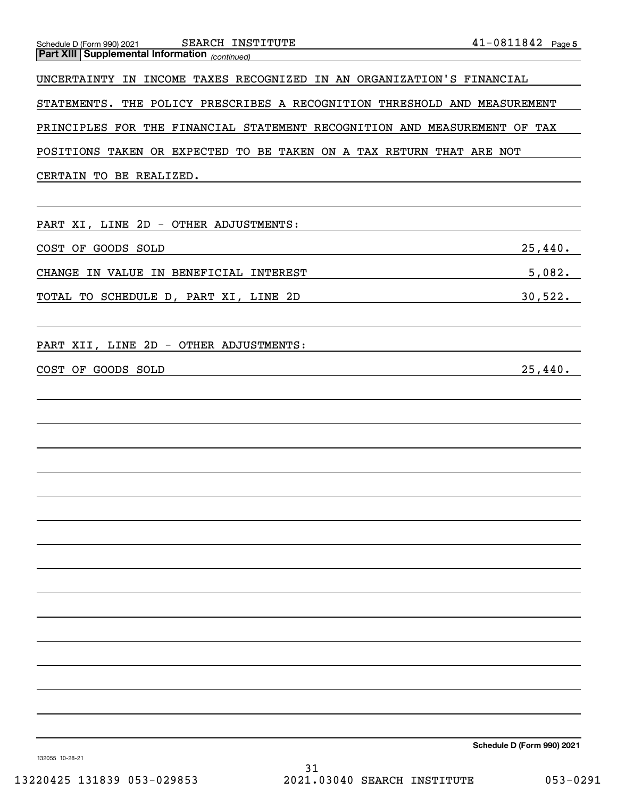| PRINCIPLES FOR THE FINANCIAL STATEMENT RECOGNITION AND MEASUREMENT OF TAX |                                             |
|---------------------------------------------------------------------------|---------------------------------------------|
| POSITIONS TAKEN OR EXPECTED TO BE TAKEN ON A TAX RETURN THAT ARE NOT      |                                             |
| CERTAIN TO BE REALIZED.                                                   |                                             |
|                                                                           |                                             |
| PART XI, LINE 2D - OTHER ADJUSTMENTS:                                     |                                             |
| COST OF GOODS SOLD                                                        | 25,440.                                     |
| CHANGE IN VALUE IN BENEFICIAL INTEREST                                    | 5,082.                                      |
| TOTAL TO SCHEDULE D, PART XI, LINE 2D                                     | 30,522.                                     |
| PART XII, LINE 2D - OTHER ADJUSTMENTS:                                    |                                             |
| COST OF GOODS SOLD                                                        | 25,440.                                     |
|                                                                           |                                             |
|                                                                           |                                             |
|                                                                           |                                             |
|                                                                           |                                             |
|                                                                           |                                             |
|                                                                           |                                             |
|                                                                           |                                             |
|                                                                           |                                             |
|                                                                           |                                             |
|                                                                           |                                             |
|                                                                           |                                             |
|                                                                           |                                             |
|                                                                           |                                             |
|                                                                           |                                             |
|                                                                           |                                             |
|                                                                           | Schedule D (Form 990) 2021                  |
| 132055 10-28-21<br>31                                                     |                                             |
| 13220425 131839 053-029853                                                | 2021.03040 SEARCH INSTITUTE<br>$053 - 0291$ |

*(continued)*

UNCERTAINTY IN INCOME TAXES RECOGNIZED IN AN ORGANIZATION'S FINANCIAL

**Part XIII Supplemental Information** 

**5** Schedule D (Form 990) 2021 SEARCH INSTITUTE 4 L-U 8 L I 8 4 Z Page SEARCH INSTITUTE 41-0811842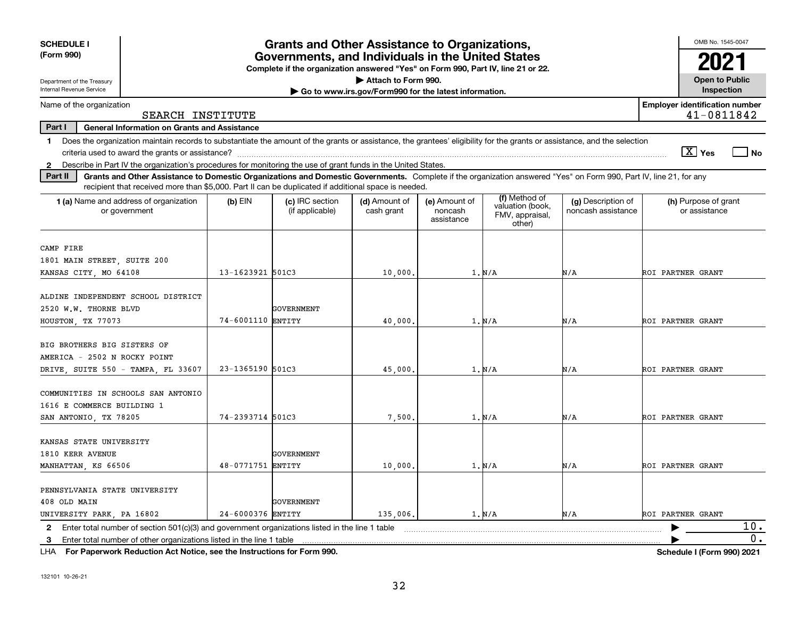| <b>SCHEDULE I</b>                                                                                                                                                                                                                                                                    |                   | <b>Grants and Other Assistance to Organizations,</b>                             |                                                       |                                        |                                                                |                                          | OMB No. 1545-0047                                   |
|--------------------------------------------------------------------------------------------------------------------------------------------------------------------------------------------------------------------------------------------------------------------------------------|-------------------|----------------------------------------------------------------------------------|-------------------------------------------------------|----------------------------------------|----------------------------------------------------------------|------------------------------------------|-----------------------------------------------------|
| (Form 990)                                                                                                                                                                                                                                                                           |                   | Governments, and Individuals in the United States                                |                                                       |                                        |                                                                |                                          |                                                     |
| Department of the Treasury                                                                                                                                                                                                                                                           |                   | Complete if the organization answered "Yes" on Form 990, Part IV, line 21 or 22. | Attach to Form 990.                                   |                                        |                                                                |                                          | <b>Open to Public</b>                               |
| Internal Revenue Service                                                                                                                                                                                                                                                             |                   |                                                                                  | Go to www.irs.gov/Form990 for the latest information. |                                        |                                                                |                                          | Inspection                                          |
| Name of the organization<br>SEARCH INSTITUTE                                                                                                                                                                                                                                         |                   |                                                                                  |                                                       |                                        |                                                                |                                          | <b>Employer identification number</b><br>41-0811842 |
| Part I<br><b>General Information on Grants and Assistance</b>                                                                                                                                                                                                                        |                   |                                                                                  |                                                       |                                        |                                                                |                                          |                                                     |
| Does the organization maintain records to substantiate the amount of the grants or assistance, the grantees' eligibility for the grants or assistance, and the selection<br>1.                                                                                                       |                   |                                                                                  |                                                       |                                        |                                                                |                                          |                                                     |
|                                                                                                                                                                                                                                                                                      |                   |                                                                                  |                                                       |                                        |                                                                |                                          | $\boxed{\text{X}}$ Yes<br>l No                      |
| 2 Describe in Part IV the organization's procedures for monitoring the use of grant funds in the United States.                                                                                                                                                                      |                   |                                                                                  |                                                       |                                        |                                                                |                                          |                                                     |
| Grants and Other Assistance to Domestic Organizations and Domestic Governments. Complete if the organization answered "Yes" on Form 990, Part IV, line 21, for any<br>Part II<br>recipient that received more than \$5,000. Part II can be duplicated if additional space is needed. |                   |                                                                                  |                                                       |                                        |                                                                |                                          |                                                     |
| 1 (a) Name and address of organization<br>or government                                                                                                                                                                                                                              | $(b)$ EIN         | (c) IRC section<br>(if applicable)                                               | (d) Amount of<br>cash grant                           | (e) Amount of<br>noncash<br>assistance | (f) Method of<br>valuation (book,<br>FMV, appraisal,<br>other) | (g) Description of<br>noncash assistance | (h) Purpose of grant<br>or assistance               |
| CAMP FIRE                                                                                                                                                                                                                                                                            |                   |                                                                                  |                                                       |                                        |                                                                |                                          |                                                     |
| 1801 MAIN STREET, SUITE 200                                                                                                                                                                                                                                                          |                   |                                                                                  |                                                       |                                        |                                                                |                                          |                                                     |
| KANSAS CITY, MO 64108                                                                                                                                                                                                                                                                | 13-1623921 501C3  |                                                                                  | 10,000,                                               |                                        | 1. N/A                                                         | N/A                                      | ROI PARTNER GRANT                                   |
| ALDINE INDEPENDENT SCHOOL DISTRICT<br>2520 W.W. THORNE BLVD<br>HOUSTON, TX 77073                                                                                                                                                                                                     | 74-6001110 ENTITY | GOVERNMENT                                                                       | 40,000                                                |                                        | 1. N/A                                                         | N/A                                      | ROI PARTNER GRANT                                   |
| BIG BROTHERS BIG SISTERS OF<br>AMERICA - 2502 N ROCKY POINT<br>DRIVE, SUITE 550 - TAMPA, FL 33607                                                                                                                                                                                    | 23-1365190 501C3  |                                                                                  | 45,000                                                |                                        | 1. N/A                                                         | N/A                                      | ROI PARTNER GRANT                                   |
| COMMUNITIES IN SCHOOLS SAN ANTONIO<br>1616 E COMMERCE BUILDING 1<br>SAN ANTONIO, TX 78205                                                                                                                                                                                            | 74-2393714 501C3  |                                                                                  | 7,500                                                 |                                        | 1. N/A                                                         | N/A                                      | ROI PARTNER GRANT                                   |
| KANSAS STATE UNIVERSITY<br>1810 KERR AVENUE<br>MANHATTAN, KS 66506                                                                                                                                                                                                                   | 48-0771751 ENTITY | GOVERNMENT                                                                       | 10,000                                                |                                        | 1. N/A                                                         | N/A                                      | ROI PARTNER GRANT                                   |
| PENNSYLVANIA STATE UNIVERSITY<br>408 OLD MAIN<br>UNIVERSITY PARK, PA 16802                                                                                                                                                                                                           | 24-6000376 ENTITY | GOVERNMENT                                                                       | 135,006.                                              |                                        | 1. N/A                                                         | N/A                                      | ROI PARTNER GRANT                                   |
| Enter total number of section 501(c)(3) and government organizations listed in the line 1 table<br>2                                                                                                                                                                                 |                   |                                                                                  |                                                       |                                        |                                                                |                                          | 10.                                                 |
| Enter total number of other organizations listed in the line 1 table<br>3.                                                                                                                                                                                                           |                   |                                                                                  |                                                       |                                        |                                                                |                                          | 0.                                                  |

**For Paperwork Reduction Act Notice, see the Instructions for Form 990. Schedule I (Form 990) 2021** LHA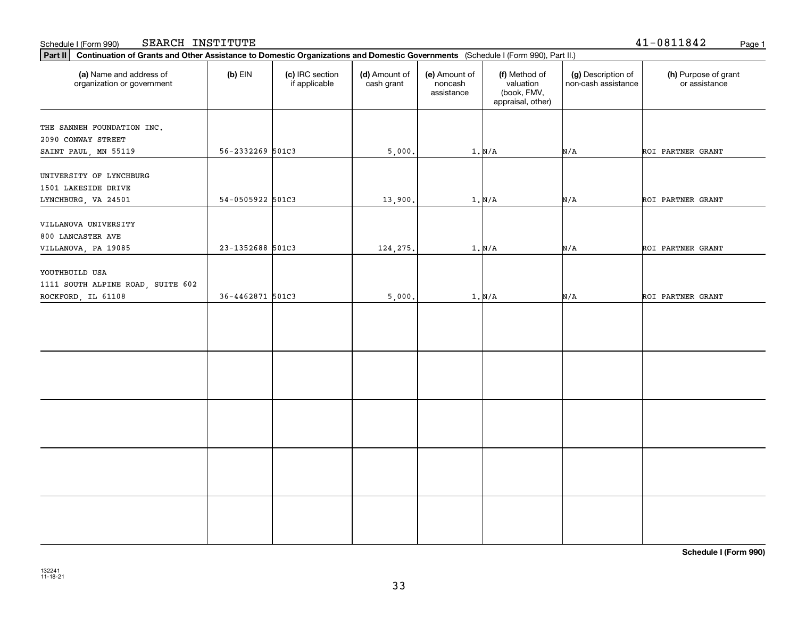| (a) Name and address of<br>organization or government                     | $(b)$ EIN        | (c) IRC section<br>if applicable | (d) Amount of<br>cash grant | (e) Amount of<br>noncash<br>assistance | (f) Method of<br>valuation<br>(book, FMV,<br>appraisal, other) | (g) Description of<br>non-cash assistance | (h) Purpose of grant<br>or assistance |
|---------------------------------------------------------------------------|------------------|----------------------------------|-----------------------------|----------------------------------------|----------------------------------------------------------------|-------------------------------------------|---------------------------------------|
| THE SANNEH FOUNDATION INC.<br>2090 CONWAY STREET<br>SAINT PAUL, MN 55119  | 56-2332269 501C3 |                                  | 5,000.                      |                                        | 1. N/A                                                         | N/A                                       | ROI PARTNER GRANT                     |
| UNIVERSITY OF LYNCHBURG<br>1501 LAKESIDE DRIVE<br>LYNCHBURG, VA 24501     | 54-0505922 501C3 |                                  | 13,900.                     |                                        | $1. N/A$                                                       | N/A                                       | ROI PARTNER GRANT                     |
| VILLANOVA UNIVERSITY<br>800 LANCASTER AVE<br>VILLANOVA, PA 19085          | 23-1352688 501C3 |                                  | 124,275.                    |                                        | $1. N/A$                                                       | N/A                                       | ROI PARTNER GRANT                     |
| YOUTHBUILD USA<br>1111 SOUTH ALPINE ROAD, SUITE 602<br>ROCKFORD, IL 61108 | 36-4462871 501C3 |                                  | 5,000.                      |                                        | $1. N/A$                                                       | N/A                                       | ROI PARTNER GRANT                     |
|                                                                           |                  |                                  |                             |                                        |                                                                |                                           |                                       |
|                                                                           |                  |                                  |                             |                                        |                                                                |                                           |                                       |
|                                                                           |                  |                                  |                             |                                        |                                                                |                                           |                                       |
|                                                                           |                  |                                  |                             |                                        |                                                                |                                           |                                       |
|                                                                           |                  |                                  |                             |                                        |                                                                |                                           |                                       |

Schedule I (Form 990) Page 1 SEARCH INSTITUTE

**Part II Continuation of Grants and Other Assistance to Domestic Organizations and Domestic Governments**  (Schedule I (Form 990), Part II.)

**Schedule I (Form 990)**

41-0811842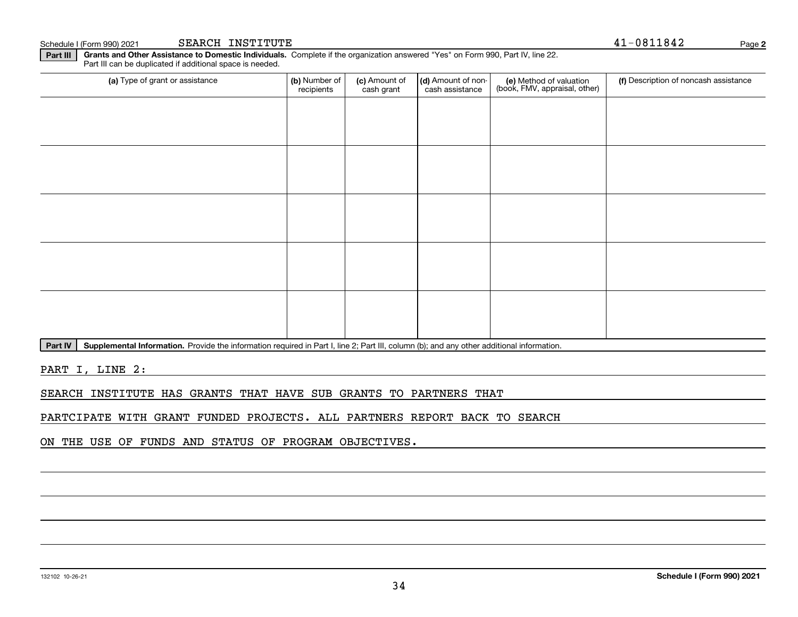**Part III | Grants and Other Assistance to Domestic Individuals. Complete if the organization answered "Yes" on Form 990, Part IV, line 22.** Part III can be duplicated if additional space is needed.

| (a) Type of grant or assistance | (b) Number of<br>recipients | (c) Amount of<br>cash grant | (d) Amount of non-<br>cash assistance | (e) Method of valuation<br>(book, FMV, appraisal, other) | (f) Description of noncash assistance |
|---------------------------------|-----------------------------|-----------------------------|---------------------------------------|----------------------------------------------------------|---------------------------------------|
|                                 |                             |                             |                                       |                                                          |                                       |
|                                 |                             |                             |                                       |                                                          |                                       |
|                                 |                             |                             |                                       |                                                          |                                       |
|                                 |                             |                             |                                       |                                                          |                                       |
|                                 |                             |                             |                                       |                                                          |                                       |
|                                 |                             |                             |                                       |                                                          |                                       |
|                                 |                             |                             |                                       |                                                          |                                       |
|                                 |                             |                             |                                       |                                                          |                                       |
|                                 |                             |                             |                                       |                                                          |                                       |
|                                 |                             |                             |                                       |                                                          |                                       |

Part IV | Supplemental Information. Provide the information required in Part I, line 2; Part III, column (b); and any other additional information.

PART I, LINE 2:

SEARCH INSTITUTE HAS GRANTS THAT HAVE SUB GRANTS TO PARTNERS THAT

PARTCIPATE WITH GRANT FUNDED PROJECTS. ALL PARTNERS REPORT BACK TO SEARCH

ON THE USE OF FUNDS AND STATUS OF PROGRAM OBJECTIVES.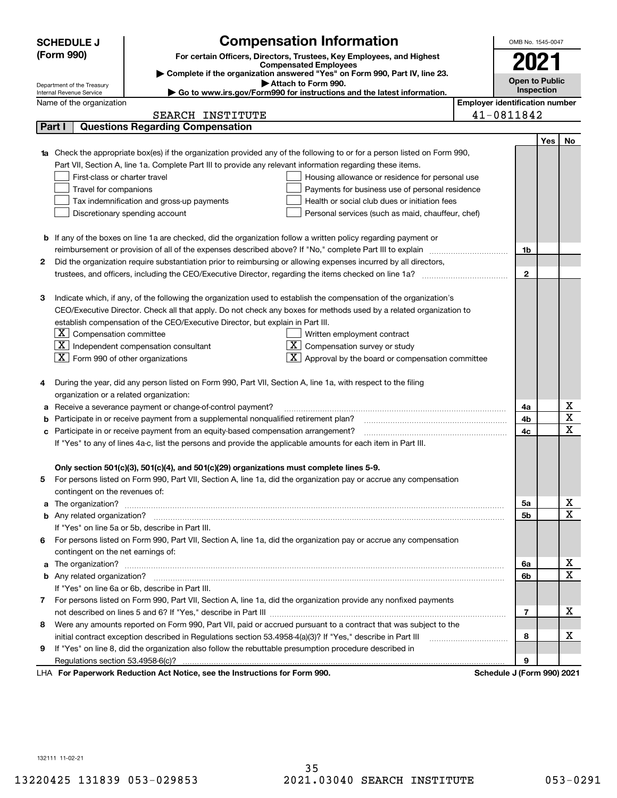|        | <b>Compensation Information</b><br><b>SCHEDULE J</b>                                                                                                                                                                                 |                                       | OMB No. 1545-0047     |     |                         |
|--------|--------------------------------------------------------------------------------------------------------------------------------------------------------------------------------------------------------------------------------------|---------------------------------------|-----------------------|-----|-------------------------|
|        | (Form 990)<br>For certain Officers, Directors, Trustees, Key Employees, and Highest                                                                                                                                                  |                                       |                       |     |                         |
|        | <b>Compensated Employees</b>                                                                                                                                                                                                         |                                       | 2021                  |     |                         |
|        | Complete if the organization answered "Yes" on Form 990, Part IV, line 23.<br>Attach to Form 990.                                                                                                                                    |                                       | <b>Open to Public</b> |     |                         |
|        | Department of the Treasury<br>Go to www.irs.gov/Form990 for instructions and the latest information.<br>Internal Revenue Service                                                                                                     |                                       | Inspection            |     |                         |
|        | Name of the organization                                                                                                                                                                                                             | <b>Employer identification number</b> |                       |     |                         |
|        | SEARCH INSTITUTE                                                                                                                                                                                                                     | 41-0811842                            |                       |     |                         |
| Part I | <b>Questions Regarding Compensation</b>                                                                                                                                                                                              |                                       |                       |     |                         |
|        |                                                                                                                                                                                                                                      |                                       |                       | Yes | No                      |
|        | Check the appropriate box(es) if the organization provided any of the following to or for a person listed on Form 990,                                                                                                               |                                       |                       |     |                         |
|        | Part VII, Section A, line 1a. Complete Part III to provide any relevant information regarding these items.                                                                                                                           |                                       |                       |     |                         |
|        | First-class or charter travel<br>Housing allowance or residence for personal use                                                                                                                                                     |                                       |                       |     |                         |
|        | Travel for companions<br>Payments for business use of personal residence                                                                                                                                                             |                                       |                       |     |                         |
|        | Tax indemnification and gross-up payments<br>Health or social club dues or initiation fees                                                                                                                                           |                                       |                       |     |                         |
|        | Discretionary spending account<br>Personal services (such as maid, chauffeur, chef)                                                                                                                                                  |                                       |                       |     |                         |
|        |                                                                                                                                                                                                                                      |                                       |                       |     |                         |
|        | <b>b</b> If any of the boxes on line 1a are checked, did the organization follow a written policy regarding payment or                                                                                                               |                                       |                       |     |                         |
|        |                                                                                                                                                                                                                                      |                                       | 1b                    |     |                         |
| 2      | Did the organization require substantiation prior to reimbursing or allowing expenses incurred by all directors,                                                                                                                     |                                       |                       |     |                         |
|        |                                                                                                                                                                                                                                      |                                       | $\mathbf{2}$          |     |                         |
|        |                                                                                                                                                                                                                                      |                                       |                       |     |                         |
| З      | Indicate which, if any, of the following the organization used to establish the compensation of the organization's                                                                                                                   |                                       |                       |     |                         |
|        | CEO/Executive Director. Check all that apply. Do not check any boxes for methods used by a related organization to                                                                                                                   |                                       |                       |     |                         |
|        | establish compensation of the CEO/Executive Director, but explain in Part III.                                                                                                                                                       |                                       |                       |     |                         |
|        | $ \mathbf{X} $ Compensation committee<br>Written employment contract                                                                                                                                                                 |                                       |                       |     |                         |
|        | $\boxed{\textbf{X}}$ Independent compensation consultant<br>$\overline{X}$ Compensation survey or study                                                                                                                              |                                       |                       |     |                         |
|        | $\boxed{\textbf{X}}$ Form 990 of other organizations<br>$\boxed{\textbf{X}}$ Approval by the board or compensation committee                                                                                                         |                                       |                       |     |                         |
|        |                                                                                                                                                                                                                                      |                                       |                       |     |                         |
| 4      | During the year, did any person listed on Form 990, Part VII, Section A, line 1a, with respect to the filing                                                                                                                         |                                       |                       |     |                         |
|        | organization or a related organization:                                                                                                                                                                                              |                                       |                       |     |                         |
| а      | Receive a severance payment or change-of-control payment?                                                                                                                                                                            |                                       | 4a                    |     | Χ                       |
|        | Participate in or receive payment from a supplemental nonqualified retirement plan?                                                                                                                                                  |                                       | 4b                    |     | $\overline{\textbf{X}}$ |
|        | Participate in or receive payment from an equity-based compensation arrangement?                                                                                                                                                     |                                       | 4c                    |     | $\mathbf X$             |
|        | If "Yes" to any of lines 4a-c, list the persons and provide the applicable amounts for each item in Part III.                                                                                                                        |                                       |                       |     |                         |
|        |                                                                                                                                                                                                                                      |                                       |                       |     |                         |
|        | Only section 501(c)(3), 501(c)(4), and 501(c)(29) organizations must complete lines 5-9.                                                                                                                                             |                                       |                       |     |                         |
|        | For persons listed on Form 990, Part VII, Section A, line 1a, did the organization pay or accrue any compensation                                                                                                                    |                                       |                       |     |                         |
|        | contingent on the revenues of:                                                                                                                                                                                                       |                                       |                       |     |                         |
| a      |                                                                                                                                                                                                                                      |                                       | 5a                    |     | x                       |
|        |                                                                                                                                                                                                                                      |                                       | 5b                    |     | $\overline{\mathbf{x}}$ |
|        | If "Yes" on line 5a or 5b, describe in Part III.                                                                                                                                                                                     |                                       |                       |     |                         |
|        | 6 For persons listed on Form 990, Part VII, Section A, line 1a, did the organization pay or accrue any compensation                                                                                                                  |                                       |                       |     |                         |
|        | contingent on the net earnings of:                                                                                                                                                                                                   |                                       |                       |     |                         |
| a      | The organization? <b>With the contract of the contract of the contract of the contract of the contract of the contract of the contract of the contract of the contract of the contract of the contract of the contract of the co</b> |                                       | 6a                    |     | х                       |
|        |                                                                                                                                                                                                                                      |                                       | 6b                    |     | $\overline{\mathbf{x}}$ |
|        | If "Yes" on line 6a or 6b, describe in Part III.                                                                                                                                                                                     |                                       |                       |     |                         |
|        | 7 For persons listed on Form 990, Part VII, Section A, line 1a, did the organization provide any nonfixed payments                                                                                                                   |                                       |                       |     |                         |
|        |                                                                                                                                                                                                                                      |                                       | 7                     |     | х                       |
| 8      | Were any amounts reported on Form 990, Part VII, paid or accrued pursuant to a contract that was subject to the                                                                                                                      |                                       |                       |     |                         |
|        | initial contract exception described in Regulations section 53.4958-4(a)(3)? If "Yes," describe in Part III                                                                                                                          |                                       | 8                     |     | х                       |
| 9      | If "Yes" on line 8, did the organization also follow the rebuttable presumption procedure described in                                                                                                                               |                                       |                       |     |                         |
|        |                                                                                                                                                                                                                                      |                                       | 9                     |     |                         |
|        | LHA For Paperwork Reduction Act Notice, see the Instructions for Form 990.                                                                                                                                                           | Schedule J (Form 990) 2021            |                       |     |                         |

132111 11-02-21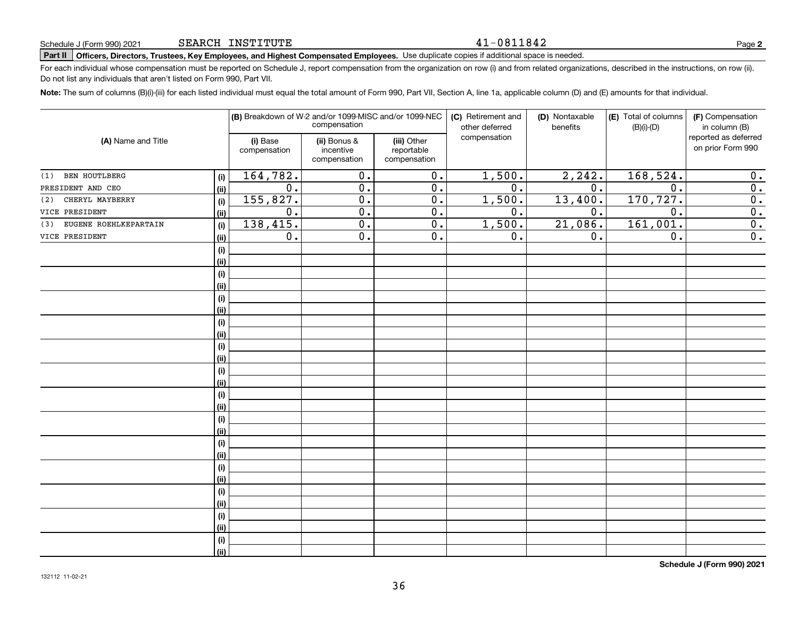### 41-0811842

# **Part II Officers, Directors, Trustees, Key Employees, and Highest Compensated Employees.**  Schedule J (Form 990) 2021 Page Use duplicate copies if additional space is needed.

For each individual whose compensation must be reported on Schedule J, report compensation from the organization on row (i) and from related organizations, described in the instructions, on row (ii). Do not list any individuals that aren't listed on Form 990, Part VII.

**Note:**  The sum of columns (B)(i)-(iii) for each listed individual must equal the total amount of Form 990, Part VII, Section A, line 1a, applicable column (D) and (E) amounts for that individual.

|                              |      |                          | (B) Breakdown of W-2 and/or 1099-MISC and/or 1099-NEC<br>compensation |                                           | (C) Retirement and<br>other deferred | (D) Nontaxable<br>benefits | (E) Total of columns<br>$(B)(i)-(D)$ | (F) Compensation<br>in column (B)         |
|------------------------------|------|--------------------------|-----------------------------------------------------------------------|-------------------------------------------|--------------------------------------|----------------------------|--------------------------------------|-------------------------------------------|
| (A) Name and Title           |      | (i) Base<br>compensation | (ii) Bonus &<br>incentive<br>compensation                             | (iii) Other<br>reportable<br>compensation | compensation                         |                            |                                      | reported as deferred<br>on prior Form 990 |
| BEN HOUTLBERG<br>(1)         | (i)  | 164, 782.                | 0.                                                                    | $\overline{0}$ .                          | 1,500.                               | 2, 242.                    | 168,524.                             | 0.                                        |
| PRESIDENT AND CEO            | (ii) | 0.                       | 0.                                                                    | $\overline{0}$ .                          | $\overline{0}$ .                     | 0.                         | 0.                                   | $\overline{0}$ .                          |
| CHERYL MAYBERRY<br>(2)       | (i)  | 155, 827.                | 0.                                                                    | 0.                                        | 1,500.                               | 13,400.                    | 170, 727.                            | $\overline{0}$ .                          |
| VICE PRESIDENT               | (ii) | 0.                       | $\overline{0}$ .                                                      | $\overline{0}$ .                          | $\overline{0}$ .                     | 0.                         | $\overline{0}$ .                     | $\overline{0}$ .                          |
| EUGENE ROEHLKEPARTAIN<br>(3) | (i)  | 138,415.                 | $\overline{0}$ .                                                      | $\overline{0}$ .                          | 1,500.                               | 21,086.                    | 161,001.                             | $\overline{0}$ .                          |
| VICE PRESIDENT               | (ii) | $\mathbf 0$ .            | $\overline{0}$ .                                                      | $\overline{0}$ .                          | 0.                                   | 0.                         | 0.                                   | $\overline{0}$ .                          |
|                              | (i)  |                          |                                                                       |                                           |                                      |                            |                                      |                                           |
|                              | (ii) |                          |                                                                       |                                           |                                      |                            |                                      |                                           |
|                              | (i)  |                          |                                                                       |                                           |                                      |                            |                                      |                                           |
|                              | (ii) |                          |                                                                       |                                           |                                      |                            |                                      |                                           |
|                              | (i)  |                          |                                                                       |                                           |                                      |                            |                                      |                                           |
|                              | (ii) |                          |                                                                       |                                           |                                      |                            |                                      |                                           |
|                              | (i)  |                          |                                                                       |                                           |                                      |                            |                                      |                                           |
|                              | (ii) |                          |                                                                       |                                           |                                      |                            |                                      |                                           |
|                              | (i)  |                          |                                                                       |                                           |                                      |                            |                                      |                                           |
|                              | (ii) |                          |                                                                       |                                           |                                      |                            |                                      |                                           |
|                              | (i)  |                          |                                                                       |                                           |                                      |                            |                                      |                                           |
|                              | (ii) |                          |                                                                       |                                           |                                      |                            |                                      |                                           |
|                              | (i)  |                          |                                                                       |                                           |                                      |                            |                                      |                                           |
|                              | (ii) |                          |                                                                       |                                           |                                      |                            |                                      |                                           |
|                              | (i)  |                          |                                                                       |                                           |                                      |                            |                                      |                                           |
|                              | (ii) |                          |                                                                       |                                           |                                      |                            |                                      |                                           |
|                              | (i)  |                          |                                                                       |                                           |                                      |                            |                                      |                                           |
|                              | (ii) |                          |                                                                       |                                           |                                      |                            |                                      |                                           |
|                              | (i)  |                          |                                                                       |                                           |                                      |                            |                                      |                                           |
|                              | (ii) |                          |                                                                       |                                           |                                      |                            |                                      |                                           |
|                              | (i)  |                          |                                                                       |                                           |                                      |                            |                                      |                                           |
|                              | (ii) |                          |                                                                       |                                           |                                      |                            |                                      |                                           |
|                              | (i)  |                          |                                                                       |                                           |                                      |                            |                                      |                                           |
|                              | (ii) |                          |                                                                       |                                           |                                      |                            |                                      |                                           |
|                              | (i)  |                          |                                                                       |                                           |                                      |                            |                                      |                                           |
|                              | (ii) |                          |                                                                       |                                           |                                      |                            |                                      |                                           |

**Schedule J (Form 990) 2021**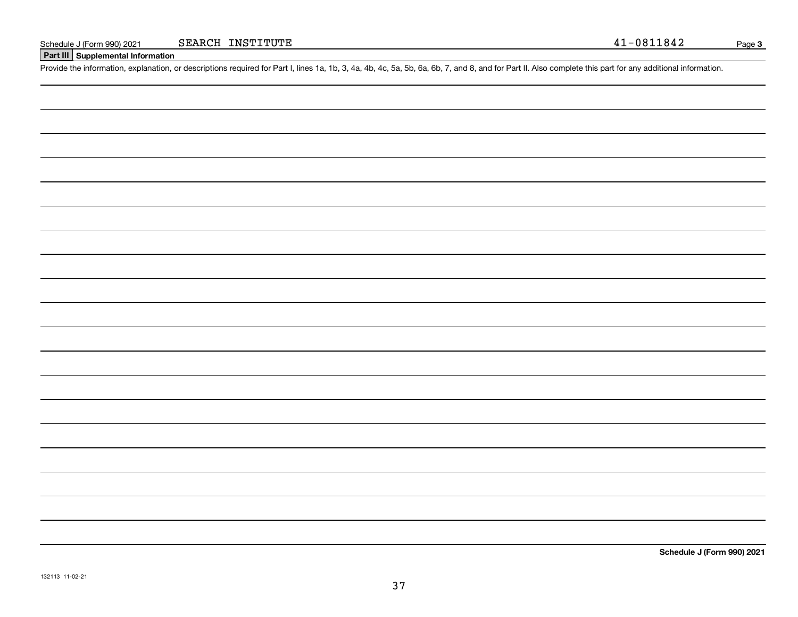## **Part III Supplemental Information**

Schedule J (Form 990) 2021 SEARCH INSTITUTE 41 - 0811842<br>Part III Supplemental Information<br>Provide the information, explanation, or descriptions required for Part I, lines 1a, 1b, 3, 4a, 4b, 4c, 5a, 5b, 6a, 6b, 7, and 8, a

**Schedule J (Form 990) 2021**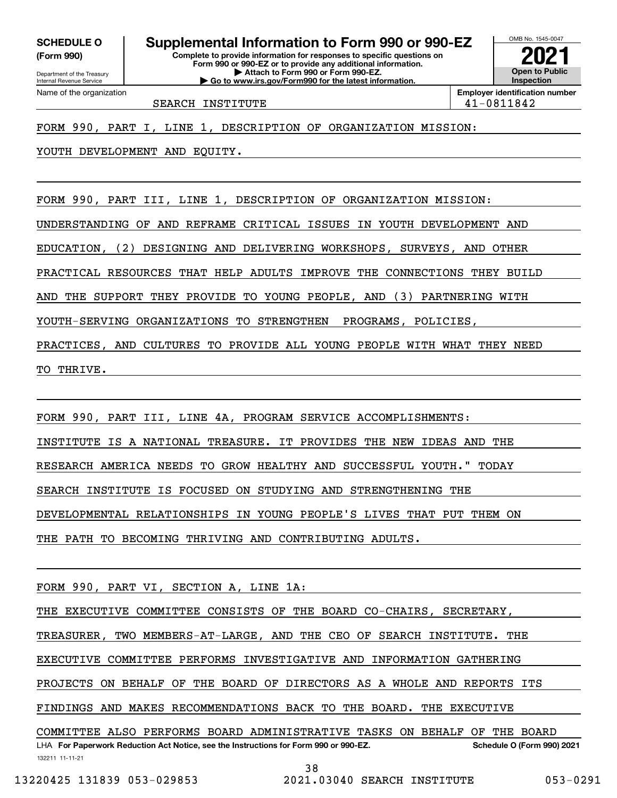**(Form 990)**

**Complete to provide information for responses to specific questions on Form 990 or 990-EZ or to provide any additional information. | Attach to Form 990 or Form 990-EZ. | Go to www.irs.gov/Form990 for the latest information. SCHEDULE O Supplemental Information to Form 990 or 990-EZ**



SEARCH INSTITUTE  $\vert 41-0811842 \vert$ 

FORM 990, PART I, LINE 1, DESCRIPTION OF ORGANIZATION MISSION:

YOUTH DEVELOPMENT AND EQUITY.

FORM 990, PART III, LINE 1, DESCRIPTION OF ORGANIZATION MISSION:

UNDERSTANDING OF AND REFRAME CRITICAL ISSUES IN YOUTH DEVELOPMENT AND

EDUCATION, (2) DESIGNING AND DELIVERING WORKSHOPS, SURVEYS, AND OTHER

PRACTICAL RESOURCES THAT HELP ADULTS IMPROVE THE CONNECTIONS THEY BUILD

AND THE SUPPORT THEY PROVIDE TO YOUNG PEOPLE, AND (3) PARTNERING WITH

YOUTH-SERVING ORGANIZATIONS TO STRENGTHEN PROGRAMS, POLICIES,

PRACTICES, AND CULTURES TO PROVIDE ALL YOUNG PEOPLE WITH WHAT THEY NEED

TO THRIVE.

FORM 990, PART III, LINE 4A, PROGRAM SERVICE ACCOMPLISHMENTS:

INSTITUTE IS A NATIONAL TREASURE. IT PROVIDES THE NEW IDEAS AND THE

RESEARCH AMERICA NEEDS TO GROW HEALTHY AND SUCCESSFUL YOUTH." TODAY

SEARCH INSTITUTE IS FOCUSED ON STUDYING AND STRENGTHENING THE

DEVELOPMENTAL RELATIONSHIPS IN YOUNG PEOPLE'S LIVES THAT PUT THEM ON

THE PATH TO BECOMING THRIVING AND CONTRIBUTING ADULTS.

FORM 990, PART VI, SECTION A, LINE 1A:

THE EXECUTIVE COMMITTEE CONSISTS OF THE BOARD CO-CHAIRS, SECRETARY,

TREASURER, TWO MEMBERS-AT-LARGE, AND THE CEO OF SEARCH INSTITUTE. THE

EXECUTIVE COMMITTEE PERFORMS INVESTIGATIVE AND INFORMATION GATHERING

PROJECTS ON BEHALF OF THE BOARD OF DIRECTORS AS A WHOLE AND REPORTS ITS

FINDINGS AND MAKES RECOMMENDATIONS BACK TO THE BOARD. THE EXECUTIVE

132211 11-11-21 LHA For Paperwork Reduction Act Notice, see the Instructions for Form 990 or 990-EZ. Schedule O (Form 990) 2021 COMMITTEE ALSO PERFORMS BOARD ADMINISTRATIVE TASKS ON BEHALF OF THE BOARD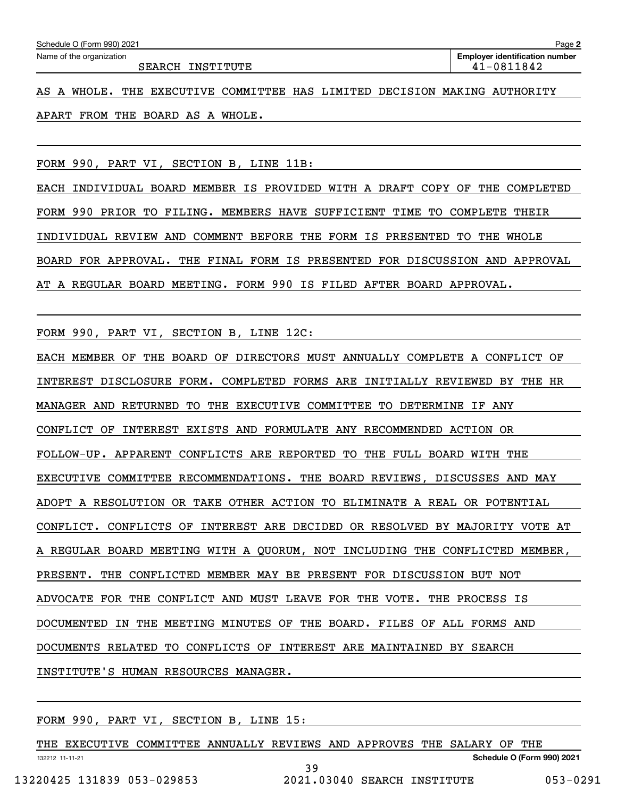| Schedule O (Form 990) 2021 | Page <b>2</b>                         |
|----------------------------|---------------------------------------|
| Name of the organization   | <b>Employer identification number</b> |
| SEARCH INSTITUTE           | 41-0811842                            |

AS A WHOLE. THE EXECUTIVE COMMITTEE HAS LIMITED DECISION MAKING AUTHORITY APART FROM THE BOARD AS A WHOLE.

FORM 990, PART VI, SECTION B, LINE 11B:

EACH INDIVIDUAL BOARD MEMBER IS PROVIDED WITH A DRAFT COPY OF THE COMPLETED FORM 990 PRIOR TO FILING. MEMBERS HAVE SUFFICIENT TIME TO COMPLETE THEIR INDIVIDUAL REVIEW AND COMMENT BEFORE THE FORM IS PRESENTED TO THE WHOLE BOARD FOR APPROVAL. THE FINAL FORM IS PRESENTED FOR DISCUSSION AND APPROVAL AT A REGULAR BOARD MEETING. FORM 990 IS FILED AFTER BOARD APPROVAL.

FORM 990, PART VI, SECTION B, LINE 12C:

EACH MEMBER OF THE BOARD OF DIRECTORS MUST ANNUALLY COMPLETE A CONFLICT OF INTEREST DISCLOSURE FORM. COMPLETED FORMS ARE INITIALLY REVIEWED BY THE HR MANAGER AND RETURNED TO THE EXECUTIVE COMMITTEE TO DETERMINE IF ANY CONFLICT OF INTEREST EXISTS AND FORMULATE ANY RECOMMENDED ACTION OR FOLLOW-UP. APPARENT CONFLICTS ARE REPORTED TO THE FULL BOARD WITH THE EXECUTIVE COMMITTEE RECOMMENDATIONS. THE BOARD REVIEWS, DISCUSSES AND MAY ADOPT A RESOLUTION OR TAKE OTHER ACTION TO ELIMINATE A REAL OR POTENTIAL CONFLICT. CONFLICTS OF INTEREST ARE DECIDED OR RESOLVED BY MAJORITY VOTE AT A REGULAR BOARD MEETING WITH A QUORUM, NOT INCLUDING THE CONFLICTED MEMBER, PRESENT. THE CONFLICTED MEMBER MAY BE PRESENT FOR DISCUSSION BUT NOT ADVOCATE FOR THE CONFLICT AND MUST LEAVE FOR THE VOTE. THE PROCESS IS DOCUMENTED IN THE MEETING MINUTES OF THE BOARD. FILES OF ALL FORMS AND DOCUMENTS RELATED TO CONFLICTS OF INTEREST ARE MAINTAINED BY SEARCH INSTITUTE'S HUMAN RESOURCES MANAGER.

FORM 990, PART VI, SECTION B, LINE 15:

132212 11-11-21 **Schedule O (Form 990) 2021** THE EXECUTIVE COMMITTEE ANNUALLY REVIEWS AND APPROVES THE SALARY OF THE 39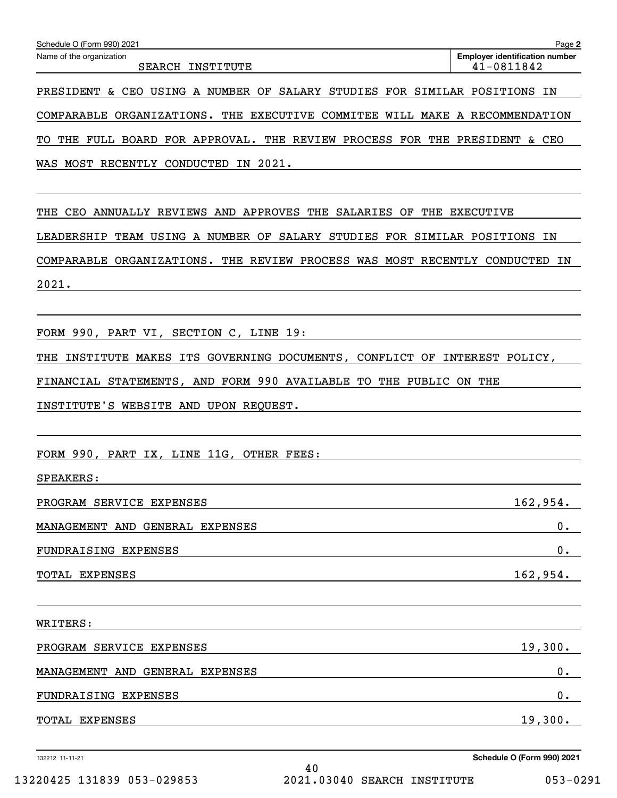| Schedule O (Form 990) 2021                                                  | Page 2                                              |
|-----------------------------------------------------------------------------|-----------------------------------------------------|
| Name of the organization<br>SEARCH INSTITUTE                                | <b>Employer identification number</b><br>41-0811842 |
| PRESIDENT & CEO USING A NUMBER OF SALARY STUDIES FOR SIMILAR POSITIONS IN   |                                                     |
| COMPARABLE ORGANIZATIONS. THE EXECUTIVE COMMITEE WILL MAKE A RECOMMENDATION |                                                     |
| TO THE FULL BOARD FOR APPROVAL. THE REVIEW PROCESS FOR THE PRESIDENT & CEO  |                                                     |
| WAS MOST RECENTLY CONDUCTED IN 2021.                                        |                                                     |
|                                                                             |                                                     |
| THE CEO ANNUALLY REVIEWS AND APPROVES THE SALARIES OF THE EXECUTIVE         |                                                     |
| LEADERSHIP TEAM USING A NUMBER OF SALARY STUDIES FOR SIMILAR POSITIONS IN   |                                                     |
| COMPARABLE ORGANIZATIONS. THE REVIEW PROCESS WAS MOST RECENTLY CONDUCTED IN |                                                     |
| 2021.                                                                       |                                                     |
|                                                                             |                                                     |
| FORM 990, PART VI, SECTION C, LINE 19:                                      |                                                     |
| THE INSTITUTE MAKES ITS GOVERNING DOCUMENTS, CONFLICT OF INTEREST POLICY,   |                                                     |
| FINANCIAL STATEMENTS, AND FORM 990 AVAILABLE TO THE PUBLIC ON THE           |                                                     |
| INSTITUTE'S WEBSITE AND UPON REQUEST.                                       |                                                     |
|                                                                             |                                                     |
| FORM 990, PART IX, LINE 11G, OTHER FEES:                                    |                                                     |
| SPEAKERS:                                                                   |                                                     |
| PROGRAM SERVICE EXPENSES                                                    | 162,954.                                            |
| MANAGEMENT AND GENERAL EXPENSES                                             | 0.                                                  |
| FUNDRAISING EXPENSES                                                        | 0.                                                  |
| TOTAL EXPENSES                                                              | 162,954.                                            |
|                                                                             |                                                     |
| WRITERS:                                                                    |                                                     |
| PROGRAM SERVICE EXPENSES                                                    | 19,300.                                             |
| MANAGEMENT AND GENERAL EXPENSES                                             | 0.                                                  |
| FUNDRAISING EXPENSES                                                        | 0.                                                  |
| TOTAL EXPENSES                                                              | 19,300.                                             |
|                                                                             |                                                     |

132212 11-11-21